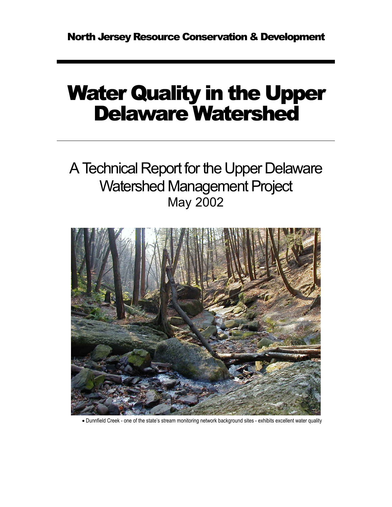# Water Quality in the Upper Delaware Watershed

A Technical Report for the Upper Delaware Watershed Management Project May 2002



• Dunnfield Creek - one of the state's stream monitoring network background sites - exhibits excellent water quality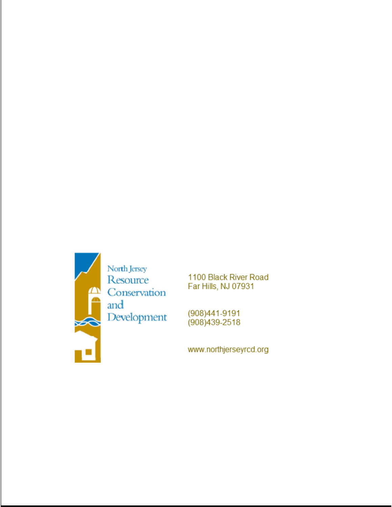

1100 Black River Road Far Hills, NJ 07931

(908)441-9191 (908) 439-2518

www.northjerseyrcd.org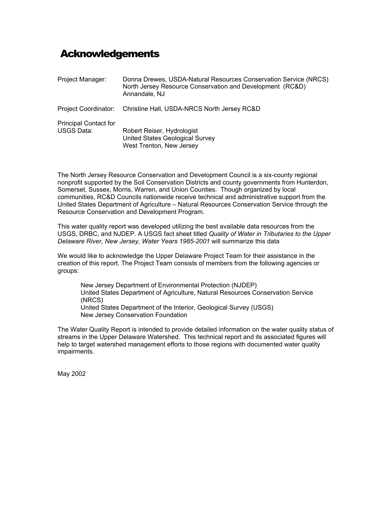# Acknowledgements

| Project Manager:                                  | Donna Drewes, USDA-Natural Resources Conservation Service (NRCS)<br>North Jersey Resource Conservation and Development (RC&D)<br>Annandale, NJ |
|---------------------------------------------------|------------------------------------------------------------------------------------------------------------------------------------------------|
| Project Coordinator:                              | Christine Hall, USDA-NRCS North Jersey RC&D                                                                                                    |
| <b>Principal Contact for</b><br><b>USGS Data:</b> | Robert Reiser, Hydrologist<br>United States Geological Survey<br>West Trenton, New Jersey                                                      |

The North Jersey Resource Conservation and Development Council is a six-county regional nonprofit supported by the Soil Conservation Districts and county governments from Hunterdon, Somerset, Sussex, Morris, Warren, and Union Counties. Though organized by local communities, RC&D Councils nationwide receive technical and administrative support from the United States Department of Agriculture – Natural Resources Conservation Service through the Resource Conservation and Development Program.

This water quality report was developed utilizing the best available data resources from the USGS, DRBC, and NJDEP. A USGS fact sheet titled *Quality of Water in Tributaries to the Upper Delaware River, New Jersey, Water Years 1985-2001* will summarize this data

We would like to acknowledge the Upper Delaware Project Team for their assistance in the creation of this report. The Project Team consists of members from the following agencies or groups:

New Jersey Department of Environmental Protection (NJDEP) United States Department of Agriculture, Natural Resources Conservation Service (NRCS) United States Department of the Interior, Geological Survey (USGS) New Jersey Conservation Foundation

The Water Quality Report is intended to provide detailed information on the water quality status of streams in the Upper Delaware Watershed. This technical report and its associated figures will help to target watershed management efforts to those regions with documented water quality impairments.

May 2002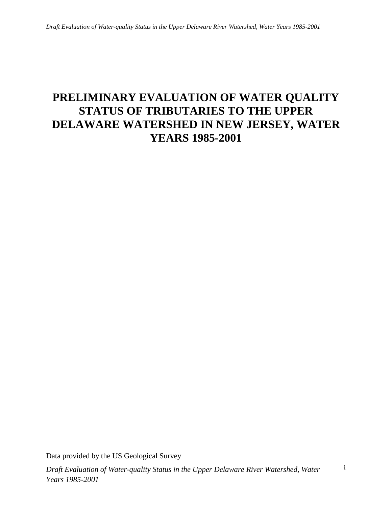# **PRELIMINARY EVALUATION OF WATER QUALITY STATUS OF TRIBUTARIES TO THE UPPER DELAWARE WATERSHED IN NEW JERSEY, WATER YEARS 1985-2001**

Data provided by the US Geological Survey

i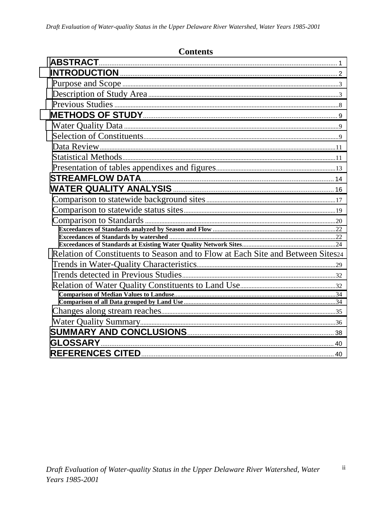| <b>Contents</b>                                                                 |  |
|---------------------------------------------------------------------------------|--|
|                                                                                 |  |
|                                                                                 |  |
|                                                                                 |  |
|                                                                                 |  |
|                                                                                 |  |
|                                                                                 |  |
|                                                                                 |  |
|                                                                                 |  |
|                                                                                 |  |
|                                                                                 |  |
|                                                                                 |  |
|                                                                                 |  |
|                                                                                 |  |
|                                                                                 |  |
|                                                                                 |  |
|                                                                                 |  |
|                                                                                 |  |
|                                                                                 |  |
| Relation of Constituents to Season and to Flow at Each Site and Between Sites24 |  |
|                                                                                 |  |
|                                                                                 |  |
|                                                                                 |  |
|                                                                                 |  |
|                                                                                 |  |
|                                                                                 |  |
|                                                                                 |  |
|                                                                                 |  |
|                                                                                 |  |
|                                                                                 |  |

 $\,$ ii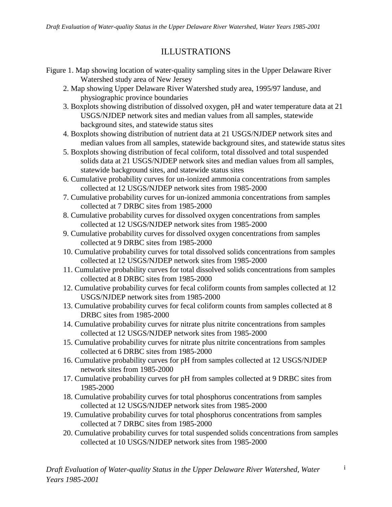# ILLUSTRATIONS

- Figure 1. Map showing location of water-quality sampling sites in the Upper Delaware River Watershed study area of New Jersey
	- 2. Map showing Upper Delaware River Watershed study area, 1995/97 landuse, and physiographic province boundaries
	- 3. Boxplots showing distribution of dissolved oxygen, pH and water temperature data at 21 USGS/NJDEP network sites and median values from all samples, statewide background sites, and statewide status sites
	- 4. Boxplots showing distribution of nutrient data at 21 USGS/NJDEP network sites and median values from all samples, statewide background sites, and statewide status sites
	- 5. Boxplots showing distribution of fecal coliform, total dissolved and total suspended solids data at 21 USGS/NJDEP network sites and median values from all samples, statewide background sites, and statewide status sites
	- 6. Cumulative probability curves for un-ionized ammonia concentrations from samples collected at 12 USGS/NJDEP network sites from 1985-2000
	- 7. Cumulative probability curves for un-ionized ammonia concentrations from samples collected at 7 DRBC sites from 1985-2000
	- 8. Cumulative probability curves for dissolved oxygen concentrations from samples collected at 12 USGS/NJDEP network sites from 1985-2000
	- 9. Cumulative probability curves for dissolved oxygen concentrations from samples collected at 9 DRBC sites from 1985-2000
	- 10. Cumulative probability curves for total dissolved solids concentrations from samples collected at 12 USGS/NJDEP network sites from 1985-2000
	- 11. Cumulative probability curves for total dissolved solids concentrations from samples collected at 8 DRBC sites from 1985-2000
	- 12. Cumulative probability curves for fecal coliform counts from samples collected at 12 USGS/NJDEP network sites from 1985-2000
	- 13. Cumulative probability curves for fecal coliform counts from samples collected at 8 DRBC sites from 1985-2000
	- 14. Cumulative probability curves for nitrate plus nitrite concentrations from samples collected at 12 USGS/NJDEP network sites from 1985-2000
	- 15. Cumulative probability curves for nitrate plus nitrite concentrations from samples collected at 6 DRBC sites from 1985-2000
	- 16. Cumulative probability curves for pH from samples collected at 12 USGS/NJDEP network sites from 1985-2000
	- 17. Cumulative probability curves for pH from samples collected at 9 DRBC sites from 1985-2000
	- 18. Cumulative probability curves for total phosphorus concentrations from samples collected at 12 USGS/NJDEP network sites from 1985-2000
	- 19. Cumulative probability curves for total phosphorus concentrations from samples collected at 7 DRBC sites from 1985-2000
	- 20. Cumulative probability curves for total suspended solids concentrations from samples collected at 10 USGS/NJDEP network sites from 1985-2000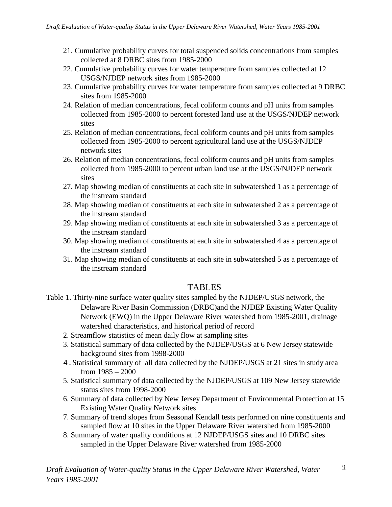- 21. Cumulative probability curves for total suspended solids concentrations from samples collected at 8 DRBC sites from 1985-2000
- 22. Cumulative probability curves for water temperature from samples collected at 12 USGS/NJDEP network sites from 1985-2000
- 23. Cumulative probability curves for water temperature from samples collected at 9 DRBC sites from 1985-2000
- 24. Relation of median concentrations, fecal coliform counts and pH units from samples collected from 1985-2000 to percent forested land use at the USGS/NJDEP network sites
- 25. Relation of median concentrations, fecal coliform counts and pH units from samples collected from 1985-2000 to percent agricultural land use at the USGS/NJDEP network sites
- 26. Relation of median concentrations, fecal coliform counts and pH units from samples collected from 1985-2000 to percent urban land use at the USGS/NJDEP network sites
- 27. Map showing median of constituents at each site in subwatershed 1 as a percentage of the instream standard
- 28. Map showing median of constituents at each site in subwatershed 2 as a percentage of the instream standard
- 29. Map showing median of constituents at each site in subwatershed 3 as a percentage of the instream standard
- 30. Map showing median of constituents at each site in subwatershed 4 as a percentage of the instream standard
- 31. Map showing median of constituents at each site in subwatershed 5 as a percentage of the instream standard

#### TABLES

- Table 1. Thirty-nine surface water quality sites sampled by the NJDEP/USGS network, the Delaware River Basin Commission (DRBC)and the NJDEP Existing Water Quality Network (EWQ) in the Upper Delaware River watershed from 1985-2001, drainage watershed characteristics, and historical period of record
	- 2. Streamflow statistics of mean daily flow at sampling sites
	- 3. Statistical summary of data collected by the NJDEP/USGS at 6 New Jersey statewide background sites from 1998-2000
	- 4.Statistical summary of all data collected by the NJDEP/USGS at 21 sites in study area from 1985 – 2000
	- 5. Statistical summary of data collected by the NJDEP/USGS at 109 New Jersey statewide status sites from 1998-2000
	- 6. Summary of data collected by New Jersey Department of Environmental Protection at 15 Existing Water Quality Network sites
	- 7. Summary of trend slopes from Seasonal Kendall tests performed on nine constituents and sampled flow at 10 sites in the Upper Delaware River watershed from 1985-2000

ii

8. Summary of water quality conditions at 12 NJDEP/USGS sites and 10 DRBC sites sampled in the Upper Delaware River watershed from 1985-2000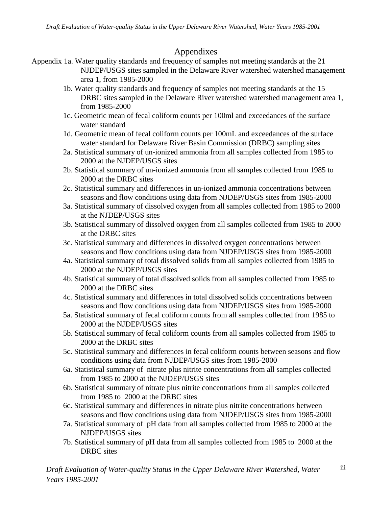# Appendixes

- Appendix 1a. Water quality standards and frequency of samples not meeting standards at the 21 NJDEP/USGS sites sampled in the Delaware River watershed watershed management area 1, from 1985-2000
	- 1b. Water quality standards and frequency of samples not meeting standards at the 15 DRBC sites sampled in the Delaware River watershed watershed management area 1, from 1985-2000
	- 1c. Geometric mean of fecal coliform counts per 100ml and exceedances of the surface water standard
	- 1d. Geometric mean of fecal coliform counts per 100mL and exceedances of the surface water standard for Delaware River Basin Commission (DRBC) sampling sites
	- 2a. Statistical summary of un-ionized ammonia from all samples collected from 1985 to 2000 at the NJDEP/USGS sites
	- 2b. Statistical summary of un-ionized ammonia from all samples collected from 1985 to 2000 at the DRBC sites
	- 2c. Statistical summary and differences in un-ionized ammonia concentrations between seasons and flow conditions using data from NJDEP/USGS sites from 1985-2000
	- 3a. Statistical summary of dissolved oxygen from all samples collected from 1985 to 2000 at the NJDEP/USGS sites
	- 3b. Statistical summary of dissolved oxygen from all samples collected from 1985 to 2000 at the DRBC sites
	- 3c. Statistical summary and differences in dissolved oxygen concentrations between seasons and flow conditions using data from NJDEP/USGS sites from 1985-2000
	- 4a. Statistical summary of total dissolved solids from all samples collected from 1985 to 2000 at the NJDEP/USGS sites
	- 4b. Statistical summary of total dissolved solids from all samples collected from 1985 to 2000 at the DRBC sites
	- 4c. Statistical summary and differences in total dissolved solids concentrations between seasons and flow conditions using data from NJDEP/USGS sites from 1985-2000
	- 5a. Statistical summary of fecal coliform counts from all samples collected from 1985 to 2000 at the NJDEP/USGS sites
	- 5b. Statistical summary of fecal coliform counts from all samples collected from 1985 to 2000 at the DRBC sites
	- 5c. Statistical summary and differences in fecal coliform counts between seasons and flow conditions using data from NJDEP/USGS sites from 1985-2000
	- 6a. Statistical summary of nitrate plus nitrite concentrations from all samples collected from 1985 to 2000 at the NJDEP/USGS sites
	- 6b. Statistical summary of nitrate plus nitrite concentrations from all samples collected from 1985 to 2000 at the DRBC sites
	- 6c. Statistical summary and differences in nitrate plus nitrite concentrations between seasons and flow conditions using data from NJDEP/USGS sites from 1985-2000
	- 7a. Statistical summary of pH data from all samples collected from 1985 to 2000 at the NJDEP/USGS sites
	- 7b. Statistical summary of pH data from all samples collected from 1985 to 2000 at the DRBC sites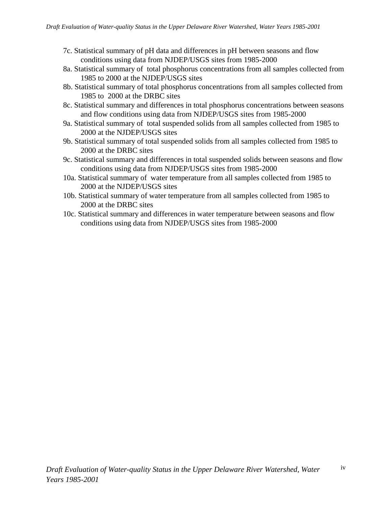- 7c. Statistical summary of pH data and differences in pH between seasons and flow conditions using data from NJDEP/USGS sites from 1985-2000
- 8a. Statistical summary of total phosphorus concentrations from all samples collected from 1985 to 2000 at the NJDEP/USGS sites
- 8b. Statistical summary of total phosphorus concentrations from all samples collected from 1985 to 2000 at the DRBC sites
- 8c. Statistical summary and differences in total phosphorus concentrations between seasons and flow conditions using data from NJDEP/USGS sites from 1985-2000
- 9a. Statistical summary of total suspended solids from all samples collected from 1985 to 2000 at the NJDEP/USGS sites
- 9b. Statistical summary of total suspended solids from all samples collected from 1985 to 2000 at the DRBC sites
- 9c. Statistical summary and differences in total suspended solids between seasons and flow conditions using data from NJDEP/USGS sites from 1985-2000
- 10a. Statistical summary of water temperature from all samples collected from 1985 to 2000 at the NJDEP/USGS sites
- 10b. Statistical summary of water temperature from all samples collected from 1985 to 2000 at the DRBC sites
- 10c. Statistical summary and differences in water temperature between seasons and flow conditions using data from NJDEP/USGS sites from 1985-2000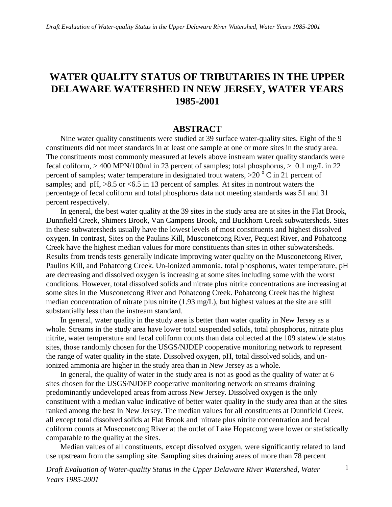# <span id="page-9-0"></span>**WATER QUALITY STATUS OF TRIBUTARIES IN THE UPPER DELAWARE WATERSHED IN NEW JERSEY, WATER YEARS 1985-2001**

#### **ABSTRACT**

Nine water quality constituents were studied at 39 surface water-quality sites. Eight of the 9 constituents did not meet standards in at least one sample at one or more sites in the study area. The constituents most commonly measured at levels above instream water quality standards were fecal coliform, > 400 MPN/100ml in 23 percent of samples; total phosphorus, > 0.1 mg/L in 22 percent of samples; water temperature in designated trout waters,  $>20^{\circ}$  C in 21 percent of samples; and  $pH$ ,  $>8.5$  or  $<6.5$  in 13 percent of samples. At sites in nontrout waters the percentage of fecal coliform and total phosphorus data not meeting standards was 51 and 31 percent respectively.

In general, the best water quality at the 39 sites in the study area are at sites in the Flat Brook, Dunnfield Creek, Shimers Brook, Van Campens Brook, and Buckhorn Creek subwatersheds. Sites in these subwatersheds usually have the lowest levels of most constituents and highest dissolved oxygen. In contrast, Sites on the Paulins Kill, Musconetcong River, Pequest River, and Pohatcong Creek have the highest median values for more constituents than sites in other subwatersheds. Results from trends tests generally indicate improving water quality on the Musconetcong River, Paulins Kill, and Pohatcong Creek. Un-ionized ammonia, total phosphorus, water temperature, pH are decreasing and dissolved oxygen is increasing at some sites including some with the worst conditions. However, total dissolved solids and nitrate plus nitrite concentrations are increasing at some sites in the Musconetcong River and Pohatcong Creek. Pohatcong Creek has the highest median concentration of nitrate plus nitrite (1.93 mg/L), but highest values at the site are still substantially less than the instream standard.

In general, water quality in the study area is better than water quality in New Jersey as a whole. Streams in the study area have lower total suspended solids, total phosphorus, nitrate plus nitrite, water temperature and fecal coliform counts than data collected at the 109 statewide status sites, those randomly chosen for the USGS/NJDEP cooperative monitoring network to represent the range of water quality in the state. Dissolved oxygen, pH, total dissolved solids, and unionized ammonia are higher in the study area than in New Jersey as a whole.

In general, the quality of water in the study area is not as good as the quality of water at 6 sites chosen for the USGS/NJDEP cooperative monitoring network on streams draining predominantly undeveloped areas from across New Jersey. Dissolved oxygen is the only constituent with a median value indicative of better water quality in the study area than at the sites ranked among the best in New Jersey. The median values for all constituents at Dunnfield Creek, all except total dissolved solids at Flat Brook and nitrate plus nitrite concentration and fecal coliform counts at Musconetcong River at the outlet of Lake Hopatcong were lower or statistically comparable to the quality at the sites.

Median values of all constituents, except dissolved oxygen, were significantly related to land use upstream from the sampling site. Sampling sites draining areas of more than 78 percent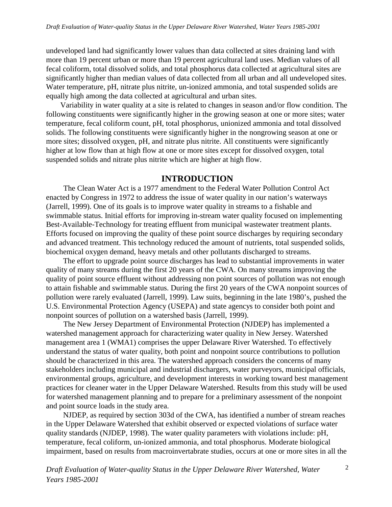<span id="page-10-0"></span>undeveloped land had significantly lower values than data collected at sites draining land with more than 19 percent urban or more than 19 percent agricultural land uses. Median values of all fecal coliform, total dissolved solids, and total phosphorus data collected at agricultural sites are significantly higher than median values of data collected from all urban and all undeveloped sites. Water temperature, pH, nitrate plus nitrite, un-ionized ammonia, and total suspended solids are equally high among the data collected at agricultural and urban sites.

Variability in water quality at a site is related to changes in season and/or flow condition. The following constituents were significantly higher in the growing season at one or more sites; water temperature, fecal coliform count, pH, total phosphorus, unionized ammonia and total dissolved solids. The following constituents were significantly higher in the nongrowing season at one or more sites; dissolved oxygen, pH, and nitrate plus nitrite. All constituents were significantly higher at low flow than at high flow at one or more sites except for dissolved oxygen, total suspended solids and nitrate plus nitrite which are higher at high flow.

#### **INTRODUCTION**

The Clean Water Act is a 1977 amendment to the Federal Water Pollution Control Act enacted by Congress in 1972 to address the issue of water quality in our nation's waterways (Jarrell, 1999). One of its goals is to improve water quality in streams to a fishable and swimmable status. Initial efforts for improving in-stream water quality focused on implementing Best-Available-Technology for treating effluent from municipal wastewater treatment plants. Efforts focused on improving the quality of these point source discharges by requiring secondary and advanced treatment. This technology reduced the amount of nutrients, total suspended solids, biochemical oxygen demand, heavy metals and other pollutants discharged to streams.

The effort to upgrade point source discharges has lead to substantial improvements in water quality of many streams during the first 20 years of the CWA. On many streams improving the quality of point source effluent without addressing non point sources of pollution was not enough to attain fishable and swimmable status. During the first 20 years of the CWA nonpoint sources of pollution were rarely evaluated (Jarrell, 1999). Law suits, beginning in the late 1980's, pushed the U.S. Environmental Protection Agency (USEPA) and state agencys to consider both point and nonpoint sources of pollution on a watershed basis (Jarrell, 1999).

The New Jersey Department of Environmental Protection (NJDEP) has implemented a watershed management approach for characterizing water quality in New Jersey. Watershed management area 1 (WMA1) comprises the upper Delaware River Watershed. To effectively understand the status of water quality, both point and nonpoint source contributions to pollution should be characterized in this area. The watershed approach considers the concerns of many stakeholders including municipal and industrial dischargers, water purveyors, municipal officials, environmental groups, agriculture, and development interests in working toward best management practices for cleaner water in the Upper Delaware Watershed. Results from this study will be used for watershed management planning and to prepare for a preliminary assessment of the nonpoint and point source loads in the study area.

NJDEP, as required by section 303d of the CWA, has identified a number of stream reaches in the Upper Delaware Watershed that exhibit observed or expected violations of surface water quality standards (NJDEP, 1998). The water quality parameters with violations include: pH, temperature, fecal coliform, un-ionized ammonia, and total phosphorus. Moderate biological impairment, based on results from macroinvertabrate studies, occurs at one or more sites in all the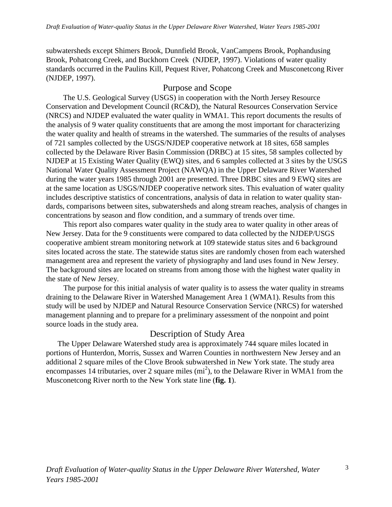<span id="page-11-0"></span>subwatersheds except Shimers Brook, Dunnfield Brook, VanCampens Brook, Pophandusing Brook, Pohatcong Creek, and Buckhorn Creek (NJDEP, 1997). Violations of water quality standards occurred in the Paulins Kill, Pequest River, Pohatcong Creek and Musconetcong River (NJDEP, 1997).

#### Purpose and Scope

The U.S. Geological Survey (USGS) in cooperation with the North Jersey Resource Conservation and Development Council (RC&D), the Natural Resources Conservation Service (NRCS) and NJDEP evaluated the water quality in WMA1. This report documents the results of the analysis of 9 water quality constituents that are among the most important for characterizing the water quality and health of streams in the watershed. The summaries of the results of analyses of 721 samples collected by the USGS/NJDEP cooperative network at 18 sites, 658 samples collected by the Delaware River Basin Commission (DRBC) at 15 sites, 58 samples collected by NJDEP at 15 Existing Water Quality (EWQ) sites, and 6 samples collected at 3 sites by the USGS National Water Quality Assessment Project (NAWQA) in the Upper Delaware River Watershed during the water years 1985 through 2001 are presented. Three DRBC sites and 9 EWQ sites are at the same location as USGS/NJDEP cooperative network sites. This evaluation of water quality includes descriptive statistics of concentrations, analysis of data in relation to water quality standards, comparisons between sites, subwatersheds and along stream reaches, analysis of changes in concentrations by season and flow condition, and a summary of trends over time.

This report also compares water quality in the study area to water quality in other areas of New Jersey. Data for the 9 constituents were compared to data collected by the NJDEP/USGS cooperative ambient stream monitoring network at 109 statewide status sites and 6 background sites located across the state. The statewide status sites are randomly chosen from each watershed management area and represent the variety of physiography and land uses found in New Jersey. The background sites are located on streams from among those with the highest water quality in the state of New Jersey.

The purpose for this initial analysis of water quality is to assess the water quality in streams draining to the Delaware River in Watershed Management Area 1 (WMA1). Results from this study will be used by NJDEP and Natural Resource Conservation Service (NRCS) for watershed management planning and to prepare for a preliminary assessment of the nonpoint and point source loads in the study area.

#### Description of Study Area

The Upper Delaware Watershed study area is approximately 744 square miles located in portions of Hunterdon, Morris, Sussex and Warren Counties in northwestern New Jersey and an additional 2 square miles of the Clove Brook subwatershed in New York state. The study area encompasses 14 tributaries, over 2 square miles  $(m<sup>2</sup>)$ , to the Delaware River in WMA1 from the Musconetcong River north to the New York state line (**fig. 1**).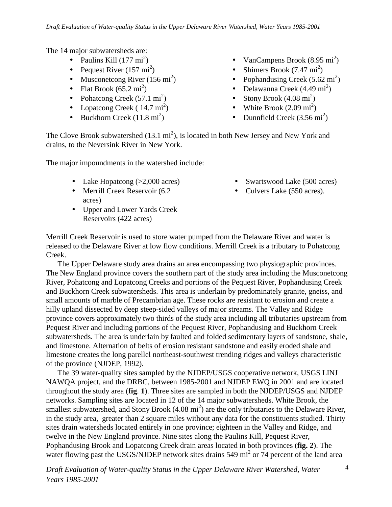The 14 major subwatersheds are:

- Paulins Kill  $(177 \text{ mi}^2)$
- Pequest River  $(157 \text{ mi}^2)$
- Musconetcong River  $(156 \text{ mi}^2)$
- Flat Brook  $(65.2 \text{ mi}^2)$
- Pohatcong Creek  $(57.1 \text{ mi}^2)$
- Lopatcong Creek ( $14.7 \text{ mi}^2$ )
- Buckhorn Creek  $(11.8 \text{ mi}^2)$
- VanCampens Brook  $(8.95 \text{ mi}^2)$
- Shimers Brook  $(7.47 \text{ mi}^2)$
- Pophandusing Creek  $(5.62 \text{ mi}^2)$
- Delawanna Creek  $(4.49 \text{ mi}^2)$
- Stony Brook  $(4.08 \text{ mi}^2)$
- White Brook  $(2.09 \text{ mi}^2)$
- Dunnfield Creek  $(3.56 \text{ mi}^2)$

The Clove Brook subwatershed  $(13.1 \text{ mi}^2)$ , is located in both New Jersey and New York and drains, to the Neversink River in New York.

The major impoundments in the watershed include:

- Lake Hopatcong (>2,000 acres)
- Merrill Creek Reservoir (6.2 acres)
- Upper and Lower Yards Creek Reservoirs (422 acres)
- Swartswood Lake (500 acres)
	- Culvers Lake (550 acres).

Merrill Creek Reservoir is used to store water pumped from the Delaware River and water is released to the Delaware River at low flow conditions. Merrill Creek is a tributary to Pohatcong Creek.

The Upper Delaware study area drains an area encompassing two physiographic provinces. The New England province covers the southern part of the study area including the Musconetcong River, Pohatcong and Lopatcong Creeks and portions of the Pequest River, Pophandusing Creek and Buckhorn Creek subwatersheds. This area is underlain by predominately granite, gneiss, and small amounts of marble of Precambrian age. These rocks are resistant to erosion and create a hilly upland dissected by deep steep-sided valleys of major streams. The Valley and Ridge province covers approximately two thirds of the study area including all tributaries upstream from Pequest River and including portions of the Pequest River, Pophandusing and Buckhorn Creek subwatersheds. The area is underlain by faulted and folded sedimentary layers of sandstone, shale, and limestone. Alternation of belts of erosion resistant sandstone and easily eroded shale and limestone creates the long parellel northeast-southwest trending ridges and valleys characteristic of the province (NJDEP, 1992).

The 39 water-quality sites sampled by the NJDEP/USGS cooperative network, USGS LINJ NAWQA project, and the DRBC, between 1985-2001 and NJDEP EWQ in 2001 and are located throughout the study area (**fig**. **1**). Three sites are sampled in both the NJDEP/USGS and NJDEP networks. Sampling sites are located in 12 of the 14 major subwatersheds. White Brook, the smallest subwatershed, and Stony Brook  $(4.08 \text{ mi}^2)$  are the only tributaries to the Delaware River, in the study area, greater than 2 square miles without any data for the constituents studied. Thirty sites drain watersheds located entirely in one province; eighteen in the Valley and Ridge, and twelve in the New England province. Nine sites along the Paulins Kill, Pequest River, Pophandusing Brook and Lopatcong Creek drain areas located in both provinces (**fig. 2**). The water flowing past the USGS/NJDEP network sites drains 549  $\text{mi}^2$  or 74 percent of the land area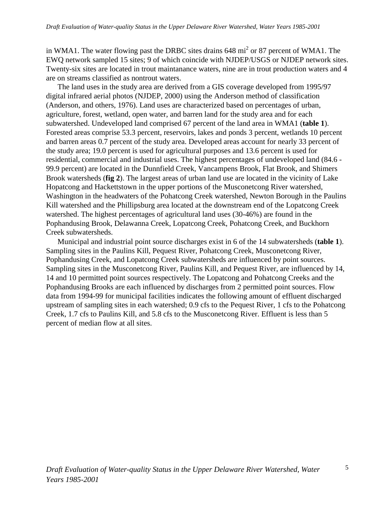in WMA1. The water flowing past the DRBC sites drains 648 mi<sup>2</sup> or 87 percent of WMA1. The EWQ network sampled 15 sites; 9 of which coincide with NJDEP/USGS or NJDEP network sites. Twenty-six sites are located in trout maintanance waters, nine are in trout production waters and 4 are on streams classified as nontrout waters.

The land uses in the study area are derived from a GIS coverage developed from 1995/97 digital infrared aerial photos (NJDEP, 2000) using the Anderson method of classification (Anderson, and others, 1976). Land uses are characterized based on percentages of urban, agriculture, forest, wetland, open water, and barren land for the study area and for each subwatershed. Undeveloped land comprised 67 percent of the land area in WMA1 (**table 1**). Forested areas comprise 53.3 percent, reservoirs, lakes and ponds 3 percent, wetlands 10 percent and barren areas 0.7 percent of the study area. Developed areas account for nearly 33 percent of the study area; 19.0 percent is used for agricultural purposes and 13.6 percent is used for residential, commercial and industrial uses. The highest percentages of undeveloped land (84.6 - 99.9 percent) are located in the Dunnfield Creek, Vancampens Brook, Flat Brook, and Shimers Brook watersheds (**fig 2**). The largest areas of urban land use are located in the vicinity of Lake Hopatcong and Hackettstown in the upper portions of the Musconetcong River watershed, Washington in the headwaters of the Pohatcong Creek watershed, Newton Borough in the Paulins Kill watershed and the Phillipsburg area located at the downstream end of the Lopatcong Creek watershed. The highest percentages of agricultural land uses (30-46%) are found in the Pophandusing Brook, Delawanna Creek, Lopatcong Creek, Pohatcong Creek, and Buckhorn Creek subwatersheds.

Municipal and industrial point source discharges exist in 6 of the 14 subwatersheds (**table 1**). Sampling sites in the Paulins Kill, Pequest River, Pohatcong Creek, Musconetcong River, Pophandusing Creek, and Lopatcong Creek subwatersheds are influenced by point sources. Sampling sites in the Musconetcong River, Paulins Kill, and Pequest River, are influenced by 14, 14 and 10 permitted point sources respectively. The Lopatcong and Pohatcong Creeks and the Pophandusing Brooks are each influenced by discharges from 2 permitted point sources. Flow data from 1994-99 for municipal facilities indicates the following amount of effluent discharged upstream of sampling sites in each watershed; 0.9 cfs to the Pequest River, 1 cfs to the Pohatcong Creek, 1.7 cfs to Paulins Kill, and 5.8 cfs to the Musconetcong River. Effluent is less than 5 percent of median flow at all sites.

5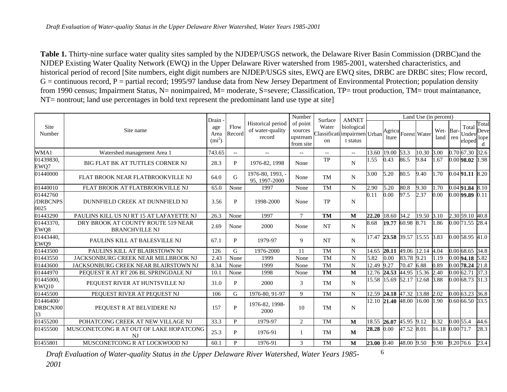**Table 1.** Thirty-nine surface water quality sites sampled by the NJDEP/USGS network, the Delaware River Basin Commission (DRBC)and the NJDEP Existing Water Quality Network (EWQ) in the Upper Delaware River watershed from 1985-2001, watershed characteristics, and historical period of record [Site numbers, eight digit numbers are NJDEP/USGS sites, EWQ are EWQ sites, DRBC are DRBC sites; Flow record,  $G =$  continuous record, P = partial record; 1995/97 landuse data from New Jersey Department of Environmental Protection; population density from 1990 census; Impairment Status, N= nonimpaired, M= moderate, S=severe; Classification, TP= trout production, TM= trout maintanance, NT= nontrout; land use percentages in bold text represent the predominant land use type at site]

|                                     |                                                             | Drain                   |                |                                                 | Number                                       | Surface              | <b>AMNET</b>                                           | Land Use (in percent) |                  |                         |                        |                   |             |                          |                            |  |
|-------------------------------------|-------------------------------------------------------------|-------------------------|----------------|-------------------------------------------------|----------------------------------------------|----------------------|--------------------------------------------------------|-----------------------|------------------|-------------------------|------------------------|-------------------|-------------|--------------------------|----------------------------|--|
| Site<br>Number                      | Site name                                                   | age<br>Area<br>$(mi^2)$ | Flow<br>Record | Historical period<br>of water-quality<br>record | of point<br>sources<br>upstream<br>from site | Water<br>$_{\rm on}$ | biological<br>Classificati impairmen Urban<br>t status |                       | lture            |                         | Agricu Forest Water    | Wet-Bar-<br>land  | ren         | Total<br>Undev<br>eloped | Total<br>Deve<br>lope<br>d |  |
| WMA1                                | Watershed management Area 1                                 | 743.65                  | $--$           | $- -$                                           | $\overline{\phantom{a}}$                     | $- -$                | $\hspace{0.05cm} -\hspace{0.05cm} -\hspace{0.05cm}$    |                       | 13.60 19.00 53.3 |                         | 10.30                  | 3.00              |             | 0.70 67.30 32.6          |                            |  |
| 01439830,<br>EWQ7                   | <b>BIG FLAT BK AT TUTTLES CORNER NJ</b>                     | 28.3                    | P              | 1976-82, 1998                                   | None                                         | <b>TP</b>            | N                                                      | 1.55                  | 0.43             | 86.5                    | 9.84                   | 1.67              |             | $0.00$ 98.02             | 1.98                       |  |
| 01440000                            | FLAT BROOK NEAR FLATBROOKVILLE NJ                           | 64.0                    | G              | 1976-80, 1993,<br>95, 1997-2000                 | None                                         | <b>TM</b>            | $\mathbf N$                                            | 3.00                  | 5.20             | 80.5                    | 9.40                   | 1.70              |             | 0.04 91.11 8.20          |                            |  |
| 01440010                            | FLAT BROOK AT FLATBROOKVILLE NJ                             | 65.0                    | None           | 1997                                            | None                                         | <b>TM</b>            | ${\bf N}$                                              | 2.90                  | 5.20             | 80.8                    | 9.30                   | 1.70              |             | 0.04 91.84 8.10          |                            |  |
| 01442760<br><b>/DRBCNPS</b><br>0025 | DUNNFIELD CREEK AT DUNNFIELD NJ                             | 3.56                    | P              | 1998-2000                                       | None                                         | TP                   | N                                                      | 0.11                  | 0.00             | 97.5                    | 2.37                   | 0.00              |             | $0.00$ 99.89             | 0.11                       |  |
| 01443290                            | PAULINS KILL US NJ RT 15 AT LAFAYETTE NJ                    | 26.3                    | None           | 1997                                            | $\overline{7}$                               | <b>TM</b>            | $\mathbf M$                                            | 22.20                 | 18.60 34.2       |                         | 19.50                  | 3.10              |             | 2.30 59.10 40.8          |                            |  |
| 01443370,<br>EWQ8                   | DRY BROOK AT COUNTY ROUTE 519 NEAR<br><b>BRANCHVILLE NJ</b> | 2.69                    | None           | 2000                                            | None                                         | <b>NT</b>            | ${\bf N}$                                              | 8.68                  | 19.77 60.98      |                         | 8.71                   | 1.86              |             | 0.00 71.55 28.4          |                            |  |
| 01443440,<br>EWQ9                   | PAULINS KILL AT BALESVILLE NJ                               | 67.1                    | P              | 1979-97                                         | $\mathbf{Q}$                                 | <b>NT</b>            | $\mathbf N$                                            | 17.47                 |                  |                         | 23.58 39.57 15.55 3.83 |                   |             | 0.00 58.95 41.0          |                            |  |
| 01443500                            | PAULINS KILL AT BLAIRSTOWN NJ                               | 126                     | G              | 1976-2000                                       | 11                                           | <b>TM</b>            | ${\bf N}$                                              | 14.65                 | 20.11            |                         | 49.06 12.14 4.04       |                   |             | 0.00 68.65 34.8          |                            |  |
| 01443550                            | JACKSONBURG CREEK NEAR MILLBROOK NJ                         | 2.43                    | None           | 1999                                            | None                                         | <b>TM</b>            | N                                                      | 5.82                  | 0.00             | 83.78                   | 9.21                   | 1.19              |             | $0.00$ 94.18             | 5.82                       |  |
| 01443600                            | JACKSONBURG CREEK NEAR BLAIRSTOWN NJ                        | 8.34                    | None           | 1999                                            | None                                         | <b>TM</b>            | ${\bf N}$                                              | 12.49                 | 9.27             | 70.47                   | 6.88                   | 0.89              |             | $0.00$ 78.24             | 21.8                       |  |
| 01444970                            | PEQUEST R AT RT 206 BL SPRINGDALE NJ                        | 10.1                    | None           | 1998                                            | None                                         | TM                   | $\mathbf M$                                            | 12.76                 | 24.53            | 44.95                   | 15.36 2.40             |                   |             | 0.00 62.71               | 37.3                       |  |
| 01445000,<br>EWQ10                  | PEQUEST RIVER AT HUNTSVILLE NJ                              | 31.0                    | P              | 2000                                            | 3                                            | <b>TM</b>            | $\mathbf N$                                            | 15.58 15.69           |                  | 52.17                   | 12.68                  | 3.88              |             | 0.00 68.73 31.3          |                            |  |
| 01445500                            | PEQUEST RIVER AT PEQUEST NJ                                 | 106                     | G              | 1976-80, 91-97                                  | $\mathbf{Q}$                                 | <b>TM</b>            | ${\bf N}$                                              | 12.59                 |                  |                         | 24.18 47.32 13.88 2.02 |                   |             | 0.00 63.23 36.8          |                            |  |
| 01446400/<br>DRBCNJ00<br>33         | PEOUEST R AT BELVIDERE NJ                                   | 157                     | P              | 1976-82, 1998-<br>2000                          | 10                                           | <b>TM</b>            | N                                                      |                       |                  | 12.10 21.40 48.00 16.00 |                        | 1.90              |             | 0.60 66.50 33.5          |                            |  |
| 01455200                            | POHATCONG CREEK AT NEW VILLAGE NJ                           | 33.3                    | P              | 1979-97                                         | $\overline{2}$                               | <b>TM</b>            | $\mathbf M$                                            | 18.55                 | 26.07            | 45.95 9.12              |                        | 0.32              | $0.00$ 55.4 |                          | 44.6                       |  |
| 01455500                            | MUSCONETCONG R AT OUT OF LAKE HOPATCONG<br><b>NJ</b>        | 25.3                    | P              | 1976-91                                         |                                              | <b>TM</b>            | M                                                      | 28.28 0.00            |                  | 47.52 8.01              |                        | $16.18$ 0.00 71.7 |             |                          | 28.3                       |  |
| 01455801                            | MUSCONETCONG R AT LOCKWOOD NJ                               | 60.1                    | P              | 1976-91                                         | 3                                            | TM                   | M                                                      | 23.00 0.40            |                  | 48.00 9.50              |                        | 9.90              |             | 9.20 76.6                | 23.4                       |  |

6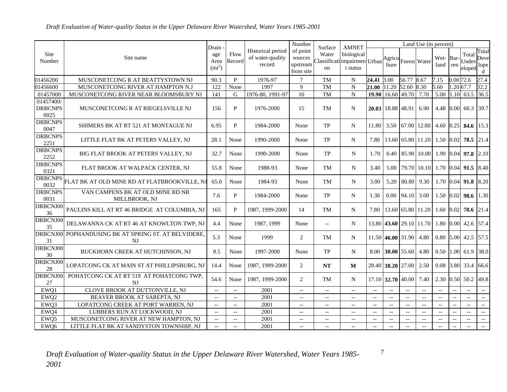|                                     |                                                       |                                  |                          |                                                 | Number                                       |                                                     |                                                                        | Land Use (in percent)                               |                                                     |                                                     |                                                     |                                                     |                                                     |                                                     |                                                     |  |  |
|-------------------------------------|-------------------------------------------------------|----------------------------------|--------------------------|-------------------------------------------------|----------------------------------------------|-----------------------------------------------------|------------------------------------------------------------------------|-----------------------------------------------------|-----------------------------------------------------|-----------------------------------------------------|-----------------------------------------------------|-----------------------------------------------------|-----------------------------------------------------|-----------------------------------------------------|-----------------------------------------------------|--|--|
| Site<br>Number                      | Site name                                             | Drain<br>age<br>Area<br>$(mi^2)$ | Flow<br>Record           | Historical period<br>of water-quality<br>record | of point<br>sources<br>upstream<br>from site | Surface<br>Water<br>on                              | <b>AMNET</b><br>biological<br>Classificati impairmen Urban<br>t status |                                                     | lture                                               | Agricu Forest Water                                 |                                                     | Wet-Bar-<br>land                                    | ren                                                 | Total<br>Undev<br>$\frac{1}{2}$ loped               | Total<br>Deve                                       |  |  |
| 01456200                            | MUSCONETCONG R AT BEATTYSTOWN NJ                      | 90.3                             | P                        | 1976-97                                         | $\tau$                                       | <b>TM</b>                                           | N                                                                      | 24.41                                               | 3.00                                                | 56.77 8.67                                          |                                                     | 7.15                                                | 0.00 72.6                                           |                                                     | 27.4                                                |  |  |
| 01456600                            | MUSCONETCONG RIVER AT HAMPTON N.J                     | 122                              | None                     | 1997                                            | 9                                            | <b>TM</b>                                           | ${\bf N}$                                                              | 21.00                                               | 11.20 52.60                                         |                                                     | 8.30                                                | 5.60                                                |                                                     | 1.2067.7                                            | 32.2                                                |  |  |
| 01457000                            | MUSCONETCONG RIVER NEAR BLOOMSBURY NJ                 | 141                              | G                        | 1976-80, 1991-97                                | 10                                           | <b>TM</b>                                           | ${\bf N}$                                                              | 19.90                                               |                                                     | 16.60 49.70                                         | 7.70                                                | 5.00                                                |                                                     | $1.10\,63.5$                                        | 36.5                                                |  |  |
| 01457400/<br><b>DRBCNPS</b><br>0025 | MUSCONETCONG R AT RIEGELSVILLE NJ                     | 156                              | P                        | 1976-2000                                       | 15                                           | TM                                                  | ${\bf N}$                                                              |                                                     |                                                     | 20.83 18.88 48.91                                   | 6.90                                                | 4.48 0.00                                           |                                                     | 60.3                                                | 39.7                                                |  |  |
| <b>DRBCNPS</b><br>0047              | SHIMERS BK AT RT 521 AT MONTAGUE NJ                   | 6.95                             | P                        | 1984-2000                                       | None                                         | TP                                                  | N                                                                      | 11.80                                               |                                                     | 3.50 67.00 12.80                                    |                                                     |                                                     |                                                     | 4.60 0.25 <b>84.6</b> 15.3                          |                                                     |  |  |
| <b>DRBCNPS</b><br>2251              | LITTLE FLAT BK AT PETERS VALLEY, NJ                   | 28.1                             | None                     | 1990-2000                                       | None                                         | TP                                                  | N                                                                      | 7.80                                                |                                                     | 13.60 65.80 11.20                                   |                                                     | 1.50 0.02                                           |                                                     | 78.5                                                | 21.4                                                |  |  |
| <b>DRBCNPS</b><br>2252              | BIG FLAT BROOK AT PETERS VALLEY, NJ                   | 32.7                             | None                     | 1990-2000                                       | None                                         | TP                                                  | $\mathbf N$                                                            | 1.70                                                |                                                     | $0.40$ 85.90 10.00                                  |                                                     |                                                     |                                                     | 1.90 $\vert 0.04 \vert$ 97.8 $\vert 2.10 \vert$     |                                                     |  |  |
| <b>DRBCNPS</b><br>0321              | FLAT BROOK AT WALPACK CENTER, NJ                      | 55.8                             | None                     | 1988-93                                         | None                                         | TM                                                  | $\mathbf N$                                                            | 3.40                                                |                                                     |                                                     | 5.00 79.70 10.10                                    | 1.70 0.04                                           |                                                     | 91.5                                                | 8.40                                                |  |  |
| <b>DRBCNPS</b><br>0032              | FLAT BK AT OLD MINE RD AT FLATBROOKVILLE, NJ          | 65.0                             | None                     | 1984-93                                         | None                                         | <b>TM</b>                                           | $\mathbf N$                                                            | 3.00                                                | 5.20                                                | 80.80                                               | 9.30                                                | 1.70 0.04                                           |                                                     | 91.8                                                | 8.20                                                |  |  |
| <b>DRBCNPS</b><br>0031              | VAN CAMPENS BK AT OLD MINE RD NR<br>MILLBROOK, NJ     | 7.6                              | P                        | 1984-2000                                       | None                                         | TP                                                  | N                                                                      | 1.30                                                | 0.00                                                | 94.10                                               | 3.00                                                | 1.50 0.02                                           |                                                     | 98.6                                                | 1.30                                                |  |  |
| DRBCNJ00<br>36                      | PAULINS KILL AT RT 46 BRIDGE AT COLUMBIA, NJ          | 165                              | P                        | 1987, 1999-2000                                 | 14                                           | <b>TM</b>                                           | N                                                                      | 7.80                                                |                                                     | 13.60 65.80 11.20                                   |                                                     | $1.60 \ 0.02$                                       |                                                     | 78.6 21.4                                           |                                                     |  |  |
| DRBCNJ00<br>35                      | DELAWANNA CK AT RT 46 AT KNOWLTON TWP, NJ             | 4.4                              | None                     | 1987, 1999                                      | None                                         | $\overline{\phantom{m}}$                            | $\mathbf N$                                                            |                                                     |                                                     | 13.80 43.60 29.10 11.70                             |                                                     |                                                     |                                                     | 1.80 $\vert 0.00 \vert$ 42.6 $\vert 57.4 \vert$     |                                                     |  |  |
| DRBCNJ00<br>31                      | POPHANDUSING BK AT SPRING ST. AT BELVIDERE,<br>NJ     | 5.3                              | None                     | 1999                                            | 2                                            | TM                                                  | N                                                                      |                                                     |                                                     | 11.50 46.00 31.90                                   | 4.80                                                | 0.80 5.00                                           |                                                     | 42.5 57.5                                           |                                                     |  |  |
| DRBCNJ00<br>$30\,$                  | BUCKHORN CREEK AT HUTCHINSON, NJ                      | 8.5                              | None                     | 1997-2000                                       | None                                         | TP                                                  | N                                                                      | 8.00                                                |                                                     | 30.00 55.60                                         | 4.80                                                | $0.50$ 1.00                                         |                                                     | 61.9                                                | 38.0                                                |  |  |
| DRBCNJ00<br>28                      | LOPATCONG CK AT MAIN ST AT PHILLIPSBURG, NJ           | 14.4                             | None                     | 1987, 1999-2000                                 | 2                                            | NT                                                  | M                                                                      | 28.40                                               |                                                     | 38.20 27.00                                         | 2.50                                                | $0.08$ 3.80                                         |                                                     | 33.4                                                | 66.6                                                |  |  |
| DRBCNJ00<br>27                      | POHATCONG CK AT RT 519 AT POHATCONG TWP,<br><b>NJ</b> | 54.6                             | None                     | 1987, 1999-2000                                 | $\overline{2}$                               | TM                                                  | N                                                                      |                                                     |                                                     | 17.10 32.70 40.00                                   | 7.40                                                | $2.30 \,   \, 0.50 \,   \,$                         |                                                     | 50.2                                                | 49.8                                                |  |  |
| EWQ1                                | CLOVE BROOK AT DUTTONVILLE, NJ                        | $-$                              | $\overline{\phantom{a}}$ | 2001                                            | $-$                                          | $\overline{\phantom{a}}$                            | $\overline{\phantom{a}}$                                               | $\hspace{0.05cm} -\hspace{0.05cm} -\hspace{0.05cm}$ | $\overline{\phantom{a}}$                            | $\overline{\phantom{a}}$                            |                                                     | $\overline{\phantom{a}}$                            |                                                     | $\overline{\phantom{a}}$                            | $\overline{\phantom{a}}$                            |  |  |
| EWQ <sub>2</sub>                    | BEAVER BROOK AT SAREPTA, NJ                           | $-$                              | $\overline{\phantom{a}}$ | 2001                                            | $\overline{\phantom{a}}$                     | $\overline{\phantom{m}}$                            | $\overline{\phantom{m}}$                                               | $\overline{\phantom{a}}$                            | $\overline{\phantom{a}}$                            | $\overline{\phantom{a}}$                            | $\overline{\phantom{a}}$                            | $\overline{\phantom{a}}$                            |                                                     | $\overline{\phantom{a}}$                            | $\overline{\phantom{a}}$                            |  |  |
| EWQ3                                | LOPATCONG CREEK AT PORT WARREN, NJ                    | $\overline{\phantom{a}}$         | $\overline{\phantom{a}}$ | 2001                                            | $\overline{\phantom{a}}$                     | $- -$                                               | $\overline{\phantom{m}}$                                               | $\overline{\phantom{a}}$                            | $\overline{\phantom{a}}$                            | $\overline{\phantom{a}}$                            | $\overline{\phantom{a}}$                            | $-\, -$                                             | $\overline{\phantom{a}}$                            | $\overline{\phantom{a}}$                            | $\overline{\phantom{a}}$                            |  |  |
| EWQ4                                | LUBBERS RUN AT LOCKWOOD, NJ                           | $--$                             | $\overline{\phantom{a}}$ | 2001                                            | $\overline{\phantom{m}}$                     | $- -$                                               | $- -$                                                                  | $\overline{\phantom{a}}$                            | $\hspace{0.05cm} -\hspace{0.05cm} -\hspace{0.05cm}$ | $\hspace{0.05cm} -\hspace{0.05cm} -\hspace{0.05cm}$ | $\hspace{0.05cm} -\hspace{0.05cm} -\hspace{0.05cm}$ | $\hspace{0.05cm} -\hspace{0.05cm} -\hspace{0.05cm}$ | $\hspace{0.05cm} -\hspace{0.05cm} -\hspace{0.05cm}$ | $\hspace{0.05cm} -\hspace{0.05cm} -\hspace{0.05cm}$ | $--$                                                |  |  |
| EWQ5                                | MUSCONETCONG RIVER AT NEW HAMPTON, NJ                 | $-$                              | $\overline{\phantom{a}}$ | 2001                                            | $-$                                          | $\hspace{0.05cm} -\hspace{0.05cm} -\hspace{0.05cm}$ | $\overline{\phantom{a}}$                                               | $- -$                                               | $\overline{a}$                                      | $\overline{\phantom{a}}$                            | $\overline{\phantom{a}}$                            | $-$                                                 |                                                     | $\overline{\phantom{a}}$                            | $\hspace{0.05cm} -\hspace{0.05cm} -\hspace{0.05cm}$ |  |  |
| EW <sub>O6</sub>                    | LITTLE FLAT BK AT SANDYSTON TOWNSHIP, NJ              | $-$                              | $- -$                    | 2001                                            | $\overline{a}$                               | $\overline{a}$                                      | $\overline{a}$                                                         | $\sim$                                              | $\overline{\phantom{a}}$                            | $\overline{\phantom{a}}$                            | $\overline{\phantom{a}}$                            | $\overline{\phantom{a}}$                            |                                                     | $\overline{\phantom{a}}$                            | $\sim$                                              |  |  |

7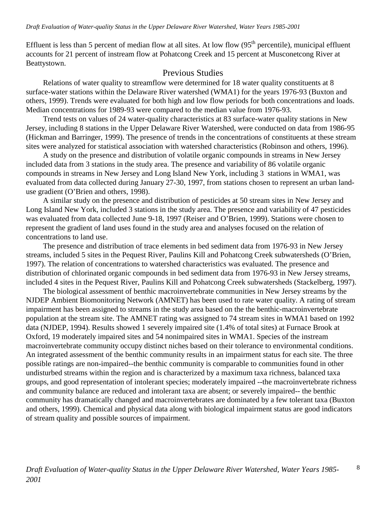<span id="page-16-0"></span>Effluent is less than 5 percent of median flow at all sites. At low flow  $(95<sup>th</sup>$  percentile), municipal effluent accounts for 21 percent of instream flow at Pohatcong Creek and 15 percent at Musconetcong River at Beattystown.

#### Previous Studies

Relations of water quality to streamflow were determined for 18 water quality constituents at 8 surface-water stations within the Delaware River watershed (WMA1) for the years 1976-93 (Buxton and others, 1999). Trends were evaluated for both high and low flow periods for both concentrations and loads. Median concentrations for 1989-93 were compared to the median value from 1976-93.

Trend tests on values of 24 water-quality characteristics at 83 surface-water quality stations in New Jersey, including 8 stations in the Upper Delaware River Watershed, were conducted on data from 1986-95 (Hickman and Barringer, 1999). The presence of trends in the concentrations of constituents at these stream sites were analyzed for statistical association with watershed characteristics (Robinson and others, 1996).

A study on the presence and distribution of volatile organic compounds in streams in New Jersey included data from 3 stations in the study area. The presence and variability of 86 volatile organic compounds in streams in New Jersey and Long Island New York, including 3 stations in WMA1, was evaluated from data collected during January 27-30, 1997, from stations chosen to represent an urban landuse gradient (O'Brien and others, 1998).

A similar study on the presence and distribution of pesticides at 50 stream sites in New Jersey and Long Island New York, included 3 stations in the study area. The presence and variability of 47 pesticides was evaluated from data collected June 9-18, 1997 (Reiser and O'Brien, 1999). Stations were chosen to represent the gradient of land uses found in the study area and analyses focused on the relation of concentrations to land use.

The presence and distribution of trace elements in bed sediment data from 1976-93 in New Jersey streams, included 5 sites in the Pequest River, Paulins Kill and Pohatcong Creek subwatersheds (O'Brien, 1997). The relation of concentrations to watershed characteristics was evaluated. The presence and distribution of chlorinated organic compounds in bed sediment data from 1976-93 in New Jersey streams, included 4 sites in the Pequest River, Paulins Kill and Pohatcong Creek subwatersheds (Stackelberg, 1997).

The biological assessment of benthic macroinvertebrate communities in New Jersey streams by the NJDEP Ambient Biomonitoring Network (AMNET) has been used to rate water quality. A rating of stream impairment has been assigned to streams in the study area based on the the benthic-macroinvertebrate population at the stream site. The AMNET rating was assigned to 74 stream sites in WMA1 based on 1992 data (NJDEP, 1994). Results showed 1 severely impaired site (1.4% of total sites) at Furnace Brook at Oxford, 19 moderately impaired sites and 54 nonimpaired sites in WMA1. Species of the instream macroinvertebrate community occupy distinct niches based on their tolerance to environmental conditions. An integrated assessment of the benthic community results in an impairment status for each site. The three possible ratings are non-impaired--the benthic community is comparable to communities found in other undisturbed streams within the region and is characterized by a maximum taxa richness, balanced taxa groups, and good representation of intolerant species; moderately impaired --the macroinvertebrate richness and community balance are reduced and intolerant taxa are absent; or severely impaired-- the benthic community has dramatically changed and macroinvertebrates are dominated by a few tolerant taxa (Buxton and others, 1999). Chemical and physical data along with biological impairment status are good indicators of stream quality and possible sources of impairment.

8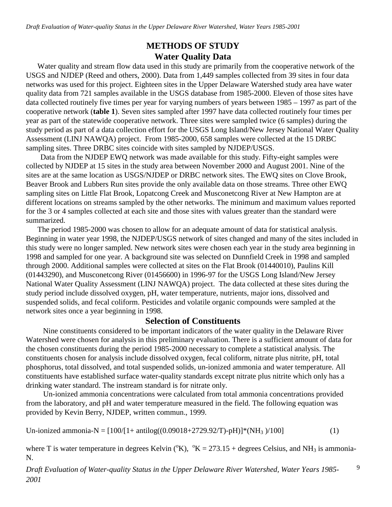# **METHODS OF STUDY Water Quality Data**

<span id="page-17-0"></span>Water quality and stream flow data used in this study are primarily from the cooperative network of the USGS and NJDEP (Reed and others, 2000). Data from 1,449 samples collected from 39 sites in four data networks was used for this project. Eighteen sites in the Upper Delaware Watershed study area have water quality data from 721 samples available in the USGS database from 1985-2000. Eleven of those sites have data collected routinely five times per year for varying numbers of years between 1985 – 1997 as part of the cooperative network (**table 1**). Seven sites sampled after 1997 have data collected routinely four times per year as part of the statewide cooperative network. Three sites were sampled twice (6 samples) during the study period as part of a data collection effort for the USGS Long Island/New Jersey National Water Quality Assessment (LINJ NAWQA) project. From 1985-2000, 658 samples were collected at the 15 DRBC sampling sites. Three DRBC sites coincide with sites sampled by NJDEP/USGS.

Data from the NJDEP EWQ network was made available for this study. Fifty-eight samples were collected by NJDEP at 15 sites in the study area between November 2000 and August 2001. Nine of the sites are at the same location as USGS/NJDEP or DRBC network sites. The EWQ sites on Clove Brook, Beaver Brook and Lubbers Run sites provide the only available data on those streams. Three other EWQ sampling sites on Little Flat Brook, Lopatcong Creek and Musconetcong River at New Hampton are at different locations on streams sampled by the other networks. The minimum and maximum values reported for the 3 or 4 samples collected at each site and those sites with values greater than the standard were summarized.

The period 1985-2000 was chosen to allow for an adequate amount of data for statistical analysis. Beginning in water year 1998, the NJDEP/USGS network of sites changed and many of the sites included in this study were no longer sampled. New network sites were chosen each year in the study area beginning in 1998 and sampled for one year. A background site was selected on Dunnfield Creek in 1998 and sampled through 2000. Additional samples were collected at sites on the Flat Brook (01440010), Paulins Kill (01443290), and Musconetcong River (01456600) in 1996-97 for the USGS Long Island/New Jersey National Water Quality Assessment (LINJ NAWQA) project. The data collected at these sites during the study period include dissolved oxygen, pH, water temperature, nutrients, major ions, dissolved and suspended solids, and fecal coliform. Pesticides and volatile organic compounds were sampled at the network sites once a year beginning in 1998.

# **Selection of Constituents**

Nine constituents considered to be important indicators of the water quality in the Delaware River Watershed were chosen for analysis in this preliminary evaluation. There is a sufficient amount of data for the chosen constituents during the period 1985-2000 necessary to complete a statistical analysis. The constituents chosen for analysis include dissolved oxygen, fecal coliform, nitrate plus nitrite, pH, total phosphorus, total dissolved, and total suspended solids, un-ionized ammonia and water temperature. All constituents have established surface water-quality standards except nitrate plus nitrite which only has a drinking water standard. The instream standard is for nitrate only.

Un-ionized ammonia concentrations were calculated from total ammonia concentrations provided from the laboratory, and pH and water temperature measured in the field. The following equation was provided by Kevin Berry, NJDEP, written commun., 1999.

Un-ionized ammonia-N =  $[100/[1 + \text{antilog}((0.09018 + 2729.92/T) - pH)]*(NH_3)/100]$  (1)

where T is water temperature in degrees Kelvin ( ${}^{\circ}$ K),  ${}^{\circ}$ K = 273.15 + degrees Celsius, and NH<sub>3</sub> is ammonia-N.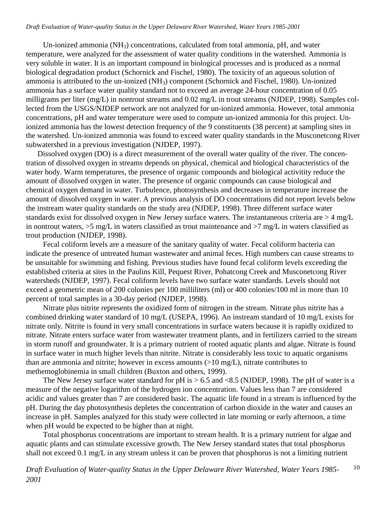Un-ionized ammonia  $(NH_3)$  concentrations, calculated from total ammonia, pH, and water temperature, were analyzed for the assessment of water quality conditions in the watershed. Ammonia is very soluble in water. It is an important compound in biological processes and is produced as a normal biological degradation product (Schornick and Fischel, 1980). The toxicity of an aqueous solution of ammonia is attributed to the un-ionized (NH3) component (Schornick and Fischel, 1980). Un-ionized ammonia has a surface water quality standard not to exceed an average 24-hour concentration of 0.05 milligrams per liter (mg/L) in nontrout streams and 0.02 mg/L in trout streams (NJDEP, 1998). Samples collected from the USGS/NJDEP network are not analyzed for un-ionized ammonia. However, total ammonia concentrations, pH and water temperature were used to compute un-ionized ammonia for this project. Unionized ammonia has the lowest detection frequency of the 9 constituents (38 percent) at sampling sites in the watershed. Un-ionized ammonia was found to exceed water quality standards in the Musconetcong River subwatershed in a previous investigation (NJDEP, 1997).

Dissolved oxygen (DO) is a direct measurement of the overall water quality of the river. The concentration of dissolved oxygen in streams depends on physical, chemical and biological characteristics of the water body. Warm temperatures, the presence of organic compounds and biological activitity reduce the amount of dissolved oxygen in water. The presence of organic compounds can cause biological and chemical oxygen demand in water. Turbulence, photosynthesis and decreases in temperature increase the amount of dissolved oxygen in water. A previous analysis of DO concentrations did not report levels below the instream water quality standards on the study area (NJDEP, 1998). Three different surface water standards exist for dissolved oxygen in New Jersey surface waters. The instantaneous criteria are > 4 mg/L in nontrout waters,  $>5$  mg/L in waters classified as trout maintenance and  $>7$  mg/L in waters classified as trout production (NJDEP, 1998).

Fecal coliform levels are a measure of the sanitary quality of water. Fecal coliform bacteria can indicate the presence of untreated human wastewater and animal feces. High numbers can cause streams to be unsuitable for swimming and fishing. Previous studies have found fecal coliform levels exceeding the established criteria at sites in the Paulins Kill, Pequest River, Pohatcong Creek and Musconetcong River watersheds (NJDEP, 1997). Fecal coliform levels have two surface water standards. Levels should not exceed a geometric mean of 200 colonies per 100 milliliters (ml) or 400 colonies/100 ml in more than 10 percent of total samples in a 30-day period (NJDEP, 1998).

Nitrate plus nitrite represents the oxidized form of nitrogen in the stream. Nitrate plus nitrite has a combined drinking water standard of 10 mg/L (USEPA, 1996). An instream standard of 10 mg/L exists for nitrate only. Nitrite is found in very small concentrations in surface waters because it is rapidly oxidized to nitrate. Nitrate enters surface water from wastewater treatment plants, and in fertilizers carried to the stream in storm runoff and groundwater. It is a primary nutrient of rooted aquatic plants and algae. Nitrate is found in surface water in much higher levels than nitrite. Nitrate is considerably less toxic to aquatic organisms than are ammonia and nitrite; however in excess amounts (>10 mg/L), nitrate contributes to methemoglobinemia in small children (Buxton and others, 1999).

The New Jersey surface water standard for  $pH$  is  $> 6.5$  and  $< 8.5$  (NJDEP, 1998). The  $pH$  of water is a measure of the negative logarithm of the hydrogen ion concentration. Values less than 7 are considered acidic and values greater than 7 are considered basic. The aquatic life found in a stream is influenced by the pH. During the day photosynthesis depletes the concentration of carbon dioxide in the water and causes an increase in pH. Samples analyzed for this study were collected in late morning or early afternoon, a time when pH would be expected to be higher than at night.

Total phosphorus concentrations are important to stream health. It is a primary nutrient for algae and aquatic plants and can stimulate excessive growth. The New Jersey standard states that total phosphorus shall not exceed 0.1 mg/L in any stream unless it can be proven that phosphorus is not a limiting nutrient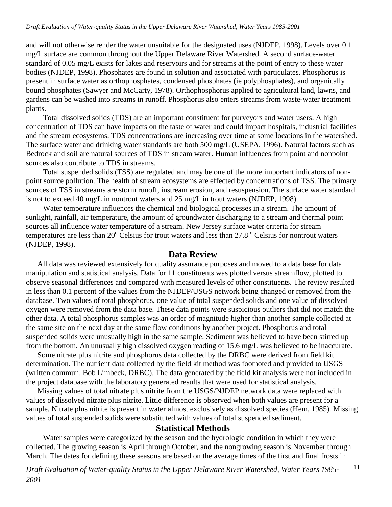<span id="page-19-0"></span>and will not otherwise render the water unsuitable for the designated uses (NJDEP, 1998). Levels over 0.1 mg/L surface are common throughout the Upper Delaware River Watershed. A second surface-water standard of 0.05 mg/L exists for lakes and reservoirs and for streams at the point of entry to these water bodies (NJDEP, 1998). Phosphates are found in solution and associated with particulates. Phosphorus is present in surface water as orthophosphates, condensed phosphates (ie polyphosphates), and organically bound phosphates (Sawyer and McCarty, 1978). Orthophosphorus applied to agricultural land, lawns, and gardens can be washed into streams in runoff. Phosphorus also enters streams from waste-water treatment plants.

Total dissolved solids (TDS) are an important constituent for purveyors and water users. A high concentration of TDS can have impacts on the taste of water and could impact hospitals, industrial facilities and the stream ecosystems. TDS concentrations are increasing over time at some locations in the watershed. The surface water and drinking water standards are both 500 mg/L (USEPA, 1996). Natural factors such as Bedrock and soil are natural sources of TDS in stream water. Human influences from point and nonpoint sources also contribute to TDS in streams.

Total suspended solids (TSS) are regulated and may be one of the more important indicators of nonpoint source pollution. The health of stream ecosystems are effected by concentrations of TSS. The primary sources of TSS in streams are storm runoff, instream erosion, and resuspension. The surface water standard is not to exceed 40 mg/L in nontrout waters and 25 mg/L in trout waters (NJDEP, 1998).

Water temperature influences the chemical and biological processes in a stream. The amount of sunlight, rainfall, air temperature, the amount of groundwater discharging to a stream and thermal point sources all influence water temperature of a stream. New Jersey surface water criteria for stream temperatures are less than  $20^{\circ}$  Celsius for trout waters and less than  $27.8$   $^{\circ}$  Celsius for nontrout waters (NJDEP, 1998).

#### **Data Review**

All data was reviewed extensively for quality assurance purposes and moved to a data base for data manipulation and statistical analysis. Data for 11 constituents was plotted versus streamflow, plotted to observe seasonal differences and compared with measured levels of other constituents. The review resulted in less than 0.1 percent of the values from the NJDEP/USGS network being changed or removed from the database. Two values of total phosphorus, one value of total suspended solids and one value of dissolved oxygen were removed from the data base. These data points were suspicious outliers that did not match the other data. A total phosphorus samples was an order of magnitude higher than another sample collected at the same site on the next day at the same flow conditions by another project. Phosphorus and total suspended solids were unusually high in the same sample. Sediment was believed to have been stirred up from the bottom. An unusually high dissolved oxygen reading of 15.6 mg/L was believed to be inaccurate.

Some nitrate plus nitrite and phosphorus data collected by the DRBC were derived from field kit determination. The nutrient data collected by the field kit method was footnoted and provided to USGS (written commun. Bob Limbeck, DRBC). The data generated by the field kit analysis were not included in the project database with the laboratory generated results that were used for statistical analysis.

Missing values of total nitrate plus nitrite from the USGS/NJDEP network data were replaced with values of dissolved nitrate plus nitrite. Little difference is observed when both values are present for a sample. Nitrate plus nitrite is present in water almost exclusively as dissolved species (Hem, 1985). Missing values of total suspended solids were substituted with values of total suspended sediment.

#### **Statistical Methods**

Water samples were categorized by the season and the hydrologic condition in which they were collected. The growing season is April through October, and the nongrowing season is November through March. The dates for defining these seasons are based on the average times of the first and final frosts in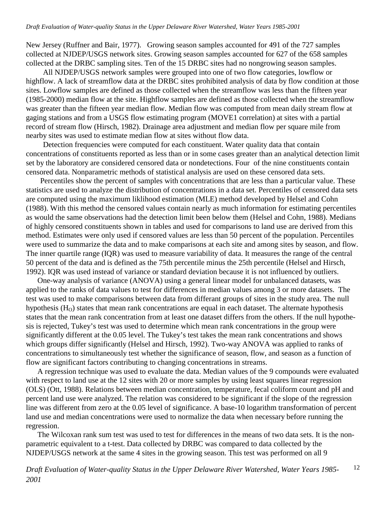New Jersey (Ruffner and Bair, 1977). Growing season samples accounted for 491 of the 727 samples collected at NJDEP/USGS network sites. Growing season samples accounted for 627 of the 658 samples collected at the DRBC sampling sites. Ten of the 15 DRBC sites had no nongrowing season samples.

All NJDEP/USGS network samples were grouped into one of two flow categories, lowflow or highflow. A lack of streamflow data at the DRBC sites prohibited analysis of data by flow condition at those sites. Lowflow samples are defined as those collected when the streamflow was less than the fifteen year (1985-2000) median flow at the site. Highflow samples are defined as those collected when the streamflow was greater than the fifteen year median flow. Median flow was computed from mean daily stream flow at gaging stations and from a USGS flow estimating program (MOVE1 correlation) at sites with a partial record of stream flow (Hirsch, 1982). Drainage area adjustment and median flow per square mile from nearby sites was used to estimate median flow at sites without flow data.

Detection frequencies were computed for each constituent. Water quality data that contain concentrations of constituents reported as less than or in some cases greater than an analytical detection limit set by the laboratory are considered censored data or nondetections. Four of the nine constituents contain censored data. Nonparametric methods of statistical analysis are used on these censored data sets.

Percentiles show the percent of samples with concentrations that are less than a particular value. These statistics are used to analyze the distribution of concentrations in a data set. Percentiles of censored data sets are computed using the maximum liklihood estimation (MLE) method developed by Helsel and Cohn (1988). With this method the censored values contain nearly as much information for estimating percentiles as would the same observations had the detection limit been below them (Helsel and Cohn, 1988). Medians of highly censored constituents shown in tables and used for comparisons to land use are derived from this method. Estimates were only used if censored values are less than 50 percent of the population. Percentiles were used to summarize the data and to make comparisons at each site and among sites by season, and flow. The inner quartile range (IQR) was used to measure variability of data. It measures the range of the central 50 percent of the data and is defined as the 75th percentile minus the 25th percentile (Helsel and Hirsch, 1992). IQR was used instead of variance or standard deviation because it is not influenced by outliers.

One-way analysis of variance (ANOVA) using a general linear model for unbalanced datasets, was applied to the ranks of data values to test for differences in median values among 3 or more datasets. The test was used to make comparisons between data from differant groups of sites in the study area. The null hypothesis  $(H<sub>0</sub>)$  states that mean rank concentrations are equal in each dataset. The alternate hypothesis states that the mean rank concentration from at least one dataset differs from the others. If the null hypothesis is rejected, Tukey's test was used to determine which mean rank concentrations in the group were significantly different at the 0.05 level. The Tukey's test takes the mean rank concentrations and shows which groups differ significantly (Helsel and Hirsch, 1992). Two-way ANOVA was applied to ranks of concentrations to simultaneously test whether the significance of season, flow, and season as a function of flow are significant factors contributing to changing concentrations in streams.

A regression technique was used to evaluate the data. Median values of the 9 compounds were evaluated with respect to land use at the 12 sites with 20 or more samples by using least squares linear regression (OLS) (Ott, 1988). Relations between median concentration, temperature, fecal coliform count and pH and percent land use were analyzed. The relation was considered to be significant if the slope of the regression line was different from zero at the 0.05 level of significance. A base-10 logarithm transformation of percent land use and median concentrations were used to normalize the data when necessary before running the regression.

The Wilcoxan rank sum test was used to test for differences in the means of two data sets. It is the nonparametric equivalent to a t-test. Data collected by DRBC was compared to data collected by the NJDEP/USGS network at the same 4 sites in the growing season. This test was performed on all 9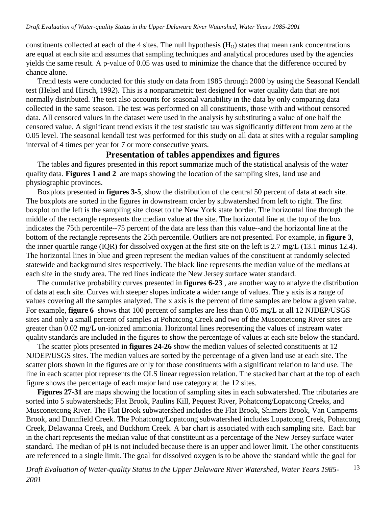<span id="page-21-0"></span>constituents collected at each of the 4 sites. The null hypothesis  $(H<sub>0</sub>)$  states that mean rank concentrations are equal at each site and assumes that sampling techniques and analytical procedures used by the agencies yields the same result. A p-value of 0.05 was used to minimize the chance that the difference occured by chance alone.

Trend tests were conducted for this study on data from 1985 through 2000 by using the Seasonal Kendall test (Helsel and Hirsch, 1992). This is a nonparametric test designed for water quality data that are not normally distributed. The test also accounts for seasonal variability in the data by only comparing data collected in the same season. The test was performed on all constituents, those with and without censored data. All censored values in the dataset were used in the analysis by substituting a value of one half the censored value. A significant trend exists if the test statistic tau was significantly different from zero at the 0.05 level. The seasonal kendall test was performed for this study on all data at sites with a regular sampling interval of 4 times per year for 7 or more consecutive years.

# **Presentation of tables appendixes and figures**

The tables and figures presented in this report summarize much of the statistical analysis of the water quality data. **Figures 1 and 2** are maps showing the location of the sampling sites, land use and physiographic provinces.

Boxplots presented in **figures 3-5**, show the distribution of the central 50 percent of data at each site. The boxplots are sorted in the figures in downstream order by subwatershed from left to right. The first boxplot on the left is the sampling site closet to the New York state border. The horizontal line through the middle of the rectangle represents the median value at the site. The horizontal line at the top of the box indicates the 75th percentile--75 percent of the data are less than this value--and the horizontal line at the bottom of the rectangle represents the 25th percentile. Outliers are not presented. For example, in **figure 3**, the inner quartile range (IQR) for dissolved oxygen at the first site on the left is 2.7 mg/L (13.1 minus 12.4). The horizontal lines in blue and green represent the median values of the constituent at randomly selected statewide and background sites respectively. The black line represents the median value of the medians at each site in the study area. The red lines indicate the New Jersey surface water standard.

The cumulative probability curves presented in **figures 6-23** , are another way to analyze the distribution of data at each site. Curves with steeper slopes indicate a wider range of values. The y axis is a range of values covering all the samples analyzed. The x axis is the percent of time samples are below a given value. For example, **figure 6** shows that 100 percent of samples are less than 0.05 mg/L at all 12 NJDEP/USGS sites and only a small percent of samples at Pohatcong Creek and two of the Musconetcong River sites are greater than 0.02 mg/L un-ionized ammonia. Horizontal lines representing the values of instream water quality standards are included in the figures to show the percentage of values at each site below the standard.

The scatter plots presented in **figures 24-26** show the median values of selected constituents at 12 NJDEP/USGS sites. The median values are sorted by the percentage of a given land use at each site. The scatter plots shown in the figures are only for those constituents with a significant relation to land use. The line in each scatter plot represents the OLS linear regression relation. The stacked bar chart at the top of each figure shows the percentage of each major land use category at the 12 sites.

Figures 27-31 are maps showing the location of sampling sites in each subwatershed. The tributaries are sorted into 5 subwatersheds; Flat Brook, Paulins Kill, Pequest River, Pohatcong/Lopatcong Creeks, and Musconetcong River. The Flat Brook subwatershed includes the Flat Brook, Shimers Brook, Van Camperns Brook, and Dunnfield Creek. The Pohatcong/Lopatcong subwatershed includes Lopatcong Creek, Pohatcong Creek, Delawanna Creek, and Buckhorn Creek. A bar chart is associated with each sampling site. Each bar in the chart represents the median value of that constiteunt as a percentage of the New Jersey surface water standard. The median of pH is not included because there is an upper and lower limit. The other constituents are referenced to a single limit. The goal for dissolved oxygen is to be above the standard while the goal for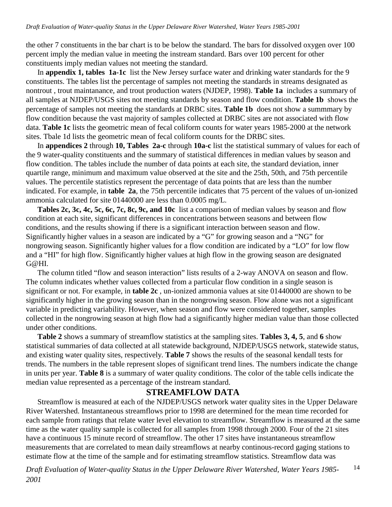<span id="page-22-0"></span>the other 7 constituents in the bar chart is to be below the standard. The bars for dissolved oxygen over 100 percent imply the median value in meeting the instream standard. Bars over 100 percent for other constituents imply median values not meeting the standard.

In **appendix 1, tables 1a-1c** list the New Jersey surface water and drinking water standards for the 9 constituents. The tables list the percentage of samples not meeting the standards in streams designated as nontrout , trout maintanance, and trout production waters (NJDEP, 1998). **Table 1a** includes a summary of all samples at NJDEP/USGS sites not meeting standards by season and flow condition. **Table 1b** shows the percentage of samples not meeting the standards at DRBC sites. **Table 1b** does not show a summmary by flow condition because the vast majority of samples collected at DRBC sites are not associated with flow data. **Table 1c** lists the geometric mean of fecal coliform counts for water years 1985-2000 at the network sites. Tbale 1d lists the geometric mean of fecal coliform counts for the DRBC sites.

In **appendices 2** through **10, Tables 2a-c** through **10a-c** list the statistical summary of values for each of the 9 water-quality constituents and the summary of statistical differences in median values by season and flow condition. The tables include the number of data points at each site, the standard deviation, inner quartile range, minimum and maximum value observed at the site and the 25th, 50th, and 75th percentile values. The percentile statistics represent the percentage of data points that are less than the number indicated. For example, in **table 2a**, the 75th percentile indicates that 75 percent of the values of un-ionized ammonia calculated for site 01440000 are less than 0.0005 mg/L.

**Tables 2c, 3c, 4c, 5c, 6c, 7c, 8c, 9c, and 10c** list a comparison of median values by season and flow condition at each site, significant differences in concentrations between seasons and between flow conditions, and the results showing if there is a significant interaction between season and flow. Significantly higher values in a season are indicated by a "G" for growing season and a "NG" for nongrowing season. Significantly higher values for a flow condition are indicated by a "LO" for low flow and a "HI" for high flow. Significantly higher values at high flow in the growing season are designated G@HI.

The column titled "flow and season interaction" lists results of a 2-way ANOVA on season and flow. The column indicates whether values collected from a particular flow condition in a single season is significant or not. For example, in **table 2c** , un-ionized ammonia values at site 01440000 are shown to be significantly higher in the growing season than in the nongrowing season. Flow alone was not a significant variable in predicting variability. However, when season and flow were considered together, samples collected in the nongrowing season at high flow had a significantly higher median value than those collected under other conditions.

**Table 2** shows a summary of streamflow statistics at the sampling sites. **Tables 3, 4, 5**, and **6** show statistical summaries of data collected at all statewide background, NJDEP/USGS network, statewide status, and existing water quality sites, respectively. **Table 7** shows the results of the seasonal kendall tests for trends. The numbers in the table represent slopes of significant trend lines. The numbers indicate the change in units per year. **Table 8** is a summary of water quality conditions. The color of the table cells indicate the median value represented as a percentage of the instream standard.

# **STREAMFLOW DATA**

Streamflow is measured at each of the NJDEP/USGS network water quality sites in the Upper Delaware River Watershed. Instantaneous streamflows prior to 1998 are determined for the mean time recorded for each sample from ratings that relate water level elevation to streamflow. Streamflow is measured at the same time as the water quality sample is collected for all samples from 1998 through 2000. Four of the 21 sites have a continuous 15 minute record of streamflow. The other 17 sites have instantaneous streamflow measurements that are correlated to mean daily streamflows at nearby continous-record gaging stations to estimate flow at the time of the sample and for estimating streamflow statistics. Streamflow data was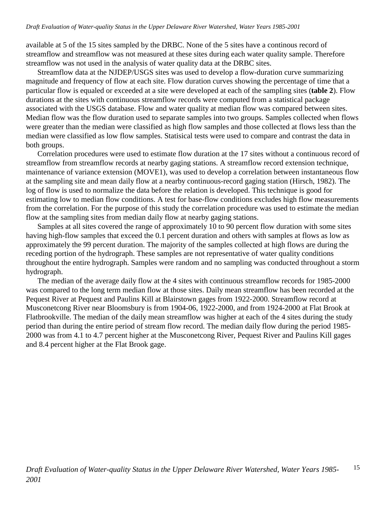available at 5 of the 15 sites sampled by the DRBC. None of the 5 sites have a continous record of streamflow and streamflow was not measured at these sites during each water quality sample. Therefore streamflow was not used in the analysis of water quality data at the DRBC sites.

Streamflow data at the NJDEP/USGS sites was used to develop a flow-duration curve summarizing magnitude and frequency of flow at each site. Flow duration curves showing the percentage of time that a particular flow is equaled or exceeded at a site were developed at each of the sampling sites (**table 2**). Flow durations at the sites with continuous streamflow records were computed from a statistical package associated with the USGS database. Flow and water quality at median flow was compared between sites. Median flow was the flow duration used to separate samples into two groups. Samples collected when flows were greater than the median were classified as high flow samples and those collected at flows less than the median were classified as low flow samples. Statisical tests were used to compare and contrast the data in both groups.

Correlation procedures were used to estimate flow duration at the 17 sites without a continuous record of streamflow from streamflow records at nearby gaging stations. A streamflow record extension technique, maintenance of variance extension (MOVE1), was used to develop a correlation between instantaneous flow at the sampling site and mean daily flow at a nearby continuous-record gaging station (Hirsch, 1982). The log of flow is used to normalize the data before the relation is developed. This technique is good for estimating low to median flow conditions. A test for base-flow conditions excludes high flow measurements from the correlation. For the purpose of this study the correlation procedure was used to estimate the median flow at the sampling sites from median daily flow at nearby gaging stations.

Samples at all sites covered the range of approximately 10 to 90 percent flow duration with some sites having high-flow samples that exceed the 0.1 percent duration and others with samples at flows as low as approximately the 99 percent duration. The majority of the samples collected at high flows are during the receding portion of the hydrograph. These samples are not representative of water quality conditions throughout the entire hydrograph. Samples were random and no sampling was conducted throughout a storm hydrograph.

The median of the average daily flow at the 4 sites with continuous streamflow records for 1985-2000 was compared to the long term median flow at those sites. Daily mean streamflow has been recorded at the Pequest River at Pequest and Paulins Kill at Blairstown gages from 1922-2000. Streamflow record at Musconetcong River near Bloomsbury is from 1904-06, 1922-2000, and from 1924-2000 at Flat Brook at Flatbrookville. The median of the daily mean streamflow was higher at each of the 4 sites during the study period than during the entire period of stream flow record. The median daily flow during the period 1985- 2000 was from 4.1 to 4.7 percent higher at the Musconetcong River, Pequest River and Paulins Kill gages and 8.4 percent higher at the Flat Brook gage.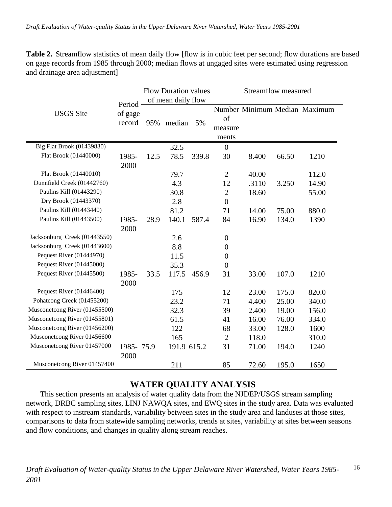<span id="page-24-0"></span>**Table 2.** Streamflow statistics of mean daily flow [flow is in cubic feet per second; flow durations are based on gage records from 1985 through 2000; median flows at ungaged sites were estimated using regression and drainage area adjustment]

|                               |                   |      | <b>Flow Duration values</b> |       | <b>Streamflow measured</b> |       |       |                               |  |  |  |  |  |
|-------------------------------|-------------------|------|-----------------------------|-------|----------------------------|-------|-------|-------------------------------|--|--|--|--|--|
|                               | Period            |      | of mean daily flow          |       |                            |       |       |                               |  |  |  |  |  |
| <b>USGS</b> Site              |                   |      |                             |       |                            |       |       | Number Minimum Median Maximum |  |  |  |  |  |
|                               | of gage<br>record | 95%  |                             |       | of                         |       |       |                               |  |  |  |  |  |
|                               |                   |      | median                      | 5%    | measure                    |       |       |                               |  |  |  |  |  |
|                               |                   |      |                             |       | ments                      |       |       |                               |  |  |  |  |  |
| Big Flat Brook (01439830)     |                   |      | 32.5                        |       | $\boldsymbol{0}$           |       |       |                               |  |  |  |  |  |
| Flat Brook (01440000)         | 1985-             | 12.5 | 78.5                        | 339.8 | 30                         | 8.400 | 66.50 | 1210                          |  |  |  |  |  |
|                               | 2000              |      |                             |       |                            |       |       |                               |  |  |  |  |  |
| Flat Brook (01440010)         |                   |      | 79.7                        |       | $\overline{2}$             | 40.00 |       | 112.0                         |  |  |  |  |  |
| Dunnfield Creek (01442760)    |                   |      | 4.3                         |       | 12                         | .3110 | 3.250 | 14.90                         |  |  |  |  |  |
| Paulins Kill (01443290)       |                   |      | 30.8                        |       | $\mathfrak{2}$             | 18.60 |       | 55.00                         |  |  |  |  |  |
| Dry Brook (01443370)          |                   |      | 2.8                         |       | $\boldsymbol{0}$           |       |       |                               |  |  |  |  |  |
| Paulins Kill (01443440)       |                   |      | 81.2                        |       | 71                         | 14.00 | 75.00 | 880.0                         |  |  |  |  |  |
| Paulins Kill (01443500)       | 1985-             | 28.9 | 140.1                       | 587.4 | 84                         | 16.90 | 134.0 | 1390                          |  |  |  |  |  |
|                               | 2000              |      |                             |       |                            |       |       |                               |  |  |  |  |  |
| Jacksonburg Creek (01443550)  |                   |      | 2.6                         |       | $\boldsymbol{0}$           |       |       |                               |  |  |  |  |  |
| Jacksonburg Creek (01443600)  |                   |      | 8.8                         |       | $\boldsymbol{0}$           |       |       |                               |  |  |  |  |  |
| Pequest River (01444970)      |                   |      | 11.5                        |       | $\boldsymbol{0}$           |       |       |                               |  |  |  |  |  |
| Pequest River (01445000)      |                   |      | 35.3                        |       | $\overline{0}$             |       |       |                               |  |  |  |  |  |
| Pequest River (01445500)      | 1985-             | 33.5 | 117.5                       | 456.9 | 31                         | 33.00 | 107.0 | 1210                          |  |  |  |  |  |
|                               | 2000              |      |                             |       |                            |       |       |                               |  |  |  |  |  |
| Pequest River (01446400)      |                   |      | 175                         |       | 12                         | 23.00 | 175.0 | 820.0                         |  |  |  |  |  |
| Pohatcong Creek (01455200)    |                   |      | 23.2                        |       | 71                         | 4.400 | 25.00 | 340.0                         |  |  |  |  |  |
| Musconetcong River (01455500) |                   |      | 32.3                        |       | 39                         | 2.400 | 19.00 | 156.0                         |  |  |  |  |  |
| Musconetcong River (01455801) |                   |      | 61.5                        |       | 41                         | 16.00 | 76.00 | 334.0                         |  |  |  |  |  |
| Musconetcong River (01456200) |                   |      | 122                         |       | 68                         | 33.00 | 128.0 | 1600                          |  |  |  |  |  |
| Musconetcong River 01456600   |                   |      | 165                         |       | $\overline{2}$             | 118.0 |       | 310.0                         |  |  |  |  |  |
| Musconetcong River 01457000   | 1985-75.9         |      | 191.9 615.2                 |       | 31                         | 71.00 | 194.0 | 1240                          |  |  |  |  |  |
|                               | 2000              |      |                             |       |                            |       |       |                               |  |  |  |  |  |
| Musconetcong River 01457400   |                   |      | 211                         |       | 85                         | 72.60 | 195.0 | 1650                          |  |  |  |  |  |

# **WATER QUALITY ANALYSIS**

This section presents an analysis of water quality data from the NJDEP/USGS stream sampling network, DRBC sampling sites, LINJ NAWQA sites, and EWQ sites in the study area. Data was evaluated with respect to instream standards, variability between sites in the study area and landuses at those sites, comparisons to data from statewide sampling networks, trends at sites, variability at sites between seasons and flow conditions, and changes in quality along stream reaches.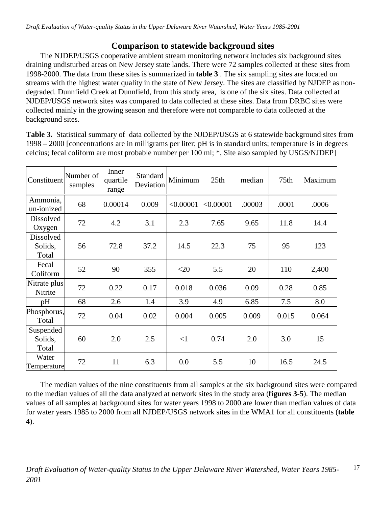# **Comparison to statewide background sites**

<span id="page-25-0"></span>The NJDEP/USGS cooperative ambient stream monitoring network includes six background sites draining undisturbed areas on New Jersey state lands. There were 72 samples collected at these sites from 1998-2000. The data from these sites is summarized in **table 3** . The six sampling sites are located on streams with the highest water quality in the state of New Jersey. The sites are classified by NJDEP as nondegraded. Dunnfield Creek at Dunnfield, from this study area, is one of the six sites. Data collected at NJDEP/USGS network sites was compared to data collected at these sites. Data from DRBC sites were collected mainly in the growing season and therefore were not comparable to data collected at the background sites.

**Table 3.** Statistical summary of data collected by the NJDEP/USGS at 6 statewide background sites from 1998 – 2000 [concentrations are in milligrams per liter; pH is in standard units; temperature is in degrees celcius; fecal coliform are most probable number per 100 ml; \*, Site also sampled by USGS/NJDEP]

| Constituent                   | Number of<br>samples | Inner<br>quartile<br>range | Standard<br>Deviation | Minimum   | 25th      | median | 75th  | <b>Maximum</b> |
|-------------------------------|----------------------|----------------------------|-----------------------|-----------|-----------|--------|-------|----------------|
| Ammonia,<br>un-ionized        | 68                   | 0.00014                    | 0.009                 | < 0.00001 | < 0.00001 | .00003 | .0001 | .0006          |
| Dissolved<br>Oxygen           | 72                   | 4.2                        | 3.1                   | 2.3       | 7.65      | 9.65   | 11.8  | 14.4           |
| Dissolved<br>Solids,<br>Total | 56                   | 72.8                       | 37.2                  | 14.5      | 22.3      | 75     | 95    | 123            |
| Fecal<br>Coliform             | 52                   | 90                         | 355                   | $<$ 20    | 5.5       | 20     | 110   | 2,400          |
| Nitrate plus<br>Nitrite       | 72                   | 0.22                       | 0.17                  | 0.018     | 0.036     | 0.09   | 0.28  | 0.85           |
| pH                            | 68                   | 2.6                        | 1.4                   | 3.9       | 4.9       | 6.85   | 7.5   | 8.0            |
| Phosphorus,<br>Total          | 72                   | 0.04                       | 0.02                  | 0.004     | 0.005     | 0.009  | 0.015 | 0.064          |
| Suspended<br>Solids,<br>Total | 60                   | 2.0                        | 2.5                   | $\leq$ 1  | 0.74      | 2.0    | 3.0   | 15             |
| Water<br>Temperature          | 72                   | 11                         | 6.3                   | 0.0       | 5.5       | 10     | 16.5  | 24.5           |

The median values of the nine constituents from all samples at the six background sites were compared to the median values of all the data analyzed at network sites in the study area (**figures 3-5**). The median values of all samples at background sites for water years 1998 to 2000 are lower than median values of data for water years 1985 to 2000 from all NJDEP/USGS network sites in the WMA1 for all constituents (**table 4**).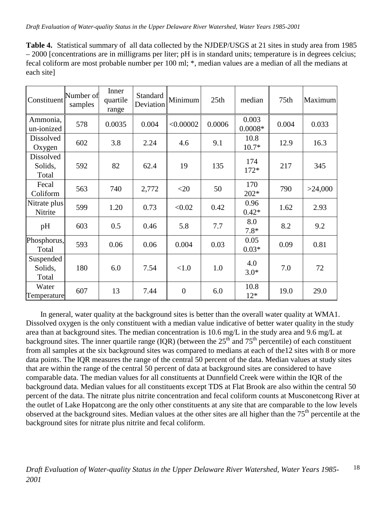| <b>Table 4.</b> Statistical summary of all data collected by the NJDEP/USGS at 21 sites in study area from 1985 |
|-----------------------------------------------------------------------------------------------------------------|
| - 2000 [concentrations are in milligrams per liter; pH is in standard units; temperature is in degrees celcius; |
| fecal coliform are most probable number per 100 ml; *, median values are a median of all the medians at         |
| each sitel                                                                                                      |

| Constituent                   | Number of<br>samples | Inner<br>quartile<br>range | Standard<br>Deviation | Minimum        | 25th   | median             | 75th  | Maximum |
|-------------------------------|----------------------|----------------------------|-----------------------|----------------|--------|--------------------|-------|---------|
| Ammonia,<br>un-ionized        | 578                  | 0.0035                     | 0.004                 | < 0.00002      | 0.0006 | 0.003<br>$0.0008*$ | 0.004 | 0.033   |
| <b>Dissolved</b><br>Oxygen    | 602                  | 3.8                        | 2.24                  | 4.6            | 9.1    | 10.8<br>$10.7*$    | 12.9  | 16.3    |
| Dissolved<br>Solids,<br>Total | 592                  | 82                         | 62.4                  | 19             | 135    | 174<br>$172*$      | 217   | 345     |
| Fecal<br>Coliform             | 563                  | 740                        | 2,772                 | $<$ 20         | 50     | 170<br>$202*$      | 790   | >24,000 |
| Nitrate plus<br>Nitrite       | 599                  | 1.20                       | 0.73                  | < 0.02         | 0.42   | 0.96<br>$0.42*$    | 1.62  | 2.93    |
| pH                            | 603                  | 0.5                        | 0.46                  | 5.8            | 7.7    | 8.0<br>$7.8*$      | 8.2   | 9.2     |
| Phosphorus,<br>Total          | 593                  | 0.06                       | 0.06                  | 0.004          | 0.03   | 0.05<br>$0.03*$    | 0.09  | 0.81    |
| Suspended<br>Solids,<br>Total | 180                  | 6.0                        | 7.54                  | < 1.0          | 1.0    | 4.0<br>$3.0*$      | 7.0   | 72      |
| Water<br>Temperature          | 607                  | 13                         | 7.44                  | $\overline{0}$ | 6.0    | 10.8<br>$12*$      | 19.0  | 29.0    |

In general, water quality at the background sites is better than the overall water quality at WMA1. Dissolved oxygen is the only constituent with a median value indicative of better water quality in the study area than at background sites. The median concentration is 10.6 mg/L in the study area and 9.6 mg/L at background sites. The inner quartile range (IQR) (between the  $25<sup>th</sup>$  and  $75<sup>th</sup>$  percentile) of each constituent from all samples at the six background sites was compared to medians at each of the12 sites with 8 or more data points. The IQR measures the range of the central 50 percent of the data. Median values at study sites that are within the range of the central 50 percent of data at background sites are considered to have comparable data. The median values for all constituents at Dunnfield Creek were within the IQR of the background data. Median values for all constituents except TDS at Flat Brook are also within the central 50 percent of the data. The nitrate plus nitrite concentration and fecal coliform counts at Musconetcong River at the outlet of Lake Hopatcong are the only other constituents at any site that are comparable to the low levels observed at the background sites. Median values at the other sites are all higher than the  $75<sup>th</sup>$  percentile at the background sites for nitrate plus nitrite and fecal coliform.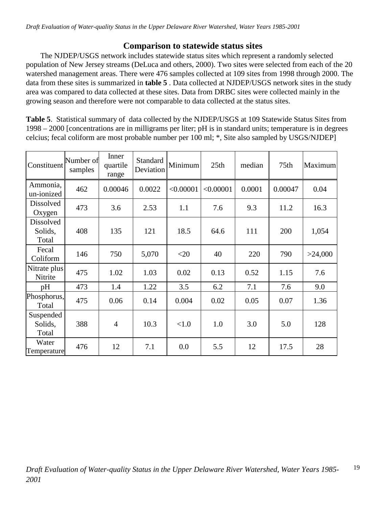# **Comparison to statewide status sites**

<span id="page-27-0"></span>The NJDEP/USGS network includes statewide status sites which represent a randomly selected population of New Jersey streams (DeLuca and others, 2000). Two sites were selected from each of the 20 watershed management areas. There were 476 samples collected at 109 sites from 1998 through 2000. The data from these sites is summarized in **table 5** . Data collected at NJDEP/USGS network sites in the study area was compared to data collected at these sites. Data from DRBC sites were collected mainly in the growing season and therefore were not comparable to data collected at the status sites.

**Table 5**. Statistical summary of data collected by the NJDEP/USGS at 109 Statewide Status Sites from 1998 – 2000 [concentrations are in milligrams per liter; pH is in standard units; temperature is in degrees celcius; fecal coliform are most probable number per 100 ml; \*, Site also sampled by USGS/NJDEP]

| Constituent                   | Number of<br>samples | Inner<br>quartile<br>range | Standard<br>Deviation | Minimum   | 25th      | median | 75th    | Maximum |
|-------------------------------|----------------------|----------------------------|-----------------------|-----------|-----------|--------|---------|---------|
| Ammonia,<br>un-ionized        | 462                  | 0.00046                    | 0.0022                | < 0.00001 | < 0.00001 | 0.0001 | 0.00047 | 0.04    |
| <b>Dissolved</b><br>Oxygen    | 473                  | 3.6                        | 2.53                  | 1.1       | 7.6       | 9.3    | 11.2    | 16.3    |
| Dissolved<br>Solids,<br>Total | 408                  | 135                        | 121                   | 18.5      | 64.6      | 111    | 200     | 1,054   |
| Fecal<br>Coliform             | 146                  | 750                        | 5,070                 | $<$ 20    | 40        | 220    | 790     | >24,000 |
| Nitrate plus<br>Nitrite       | 475                  | 1.02                       | 1.03                  | 0.02      | 0.13      | 0.52   | 1.15    | 7.6     |
| pH                            | 473                  | 1.4                        | 1.22                  | 3.5       | 6.2       | 7.1    | 7.6     | 9.0     |
| Phosphorus,<br>Total          | 475                  | 0.06                       | 0.14                  | 0.004     | 0.02      | 0.05   | 0.07    | 1.36    |
| Suspended<br>Solids,<br>Total | 388                  | $\overline{4}$             | 10.3                  | <1.0      | 1.0       | 3.0    | 5.0     | 128     |
| Water<br>Temperature          | 476                  | 12                         | 7.1                   | 0.0       | 5.5       | 12     | 17.5    | 28      |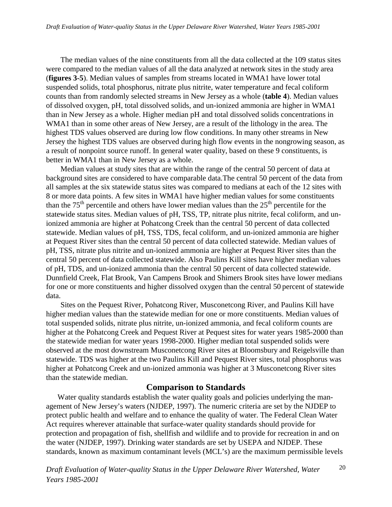<span id="page-28-0"></span>The median values of the nine constituents from all the data collected at the 109 status sites were compared to the median values of all the data analyzed at network sites in the study area (**figures 3-5**). Median values of samples from streams located in WMA1 have lower total suspended solids, total phosphorus, nitrate plus nitrite, water temperature and fecal coliform counts than from randomly selected streams in New Jersey as a whole (**table 4**). Median values of dissolved oxygen, pH, total dissolved solids, and un-ionized ammonia are higher in WMA1 than in New Jersey as a whole. Higher median pH and total dissolved solids concentrations in WMA1 than in some other areas of New Jersey, are a result of the lithology in the area. The highest TDS values observed are during low flow conditions. In many other streams in New Jersey the highest TDS values are observed during high flow events in the nongrowing season, as a result of nonpoint source runoff. In general water quality, based on these 9 constituents, is better in WMA1 than in New Jersey as a whole.

Median values at study sites that are within the range of the central 50 percent of data at background sites are considered to have comparable data.The central 50 percent of the data from all samples at the six statewide status sites was compared to medians at each of the 12 sites with 8 or more data points. A few sites in WMA1 have higher median values for some constituents than the  $75<sup>th</sup>$  percentile and others have lower median values than the  $25<sup>th</sup>$  percentile for the statewide status sites. Median values of pH, TSS, TP, nitrate plus nitrite, fecal coliform, and unionized ammonia are higher at Pohatcong Creek than the central 50 percent of data collected statewide. Median values of pH, TSS, TDS, fecal coliform, and un-ionized ammonia are higher at Pequest River sites than the central 50 percent of data collected statewide. Median values of pH, TSS, nitrate plus nitrite and un-ionized ammonia are higher at Pequest River sites than the central 50 percent of data collected statewide. Also Paulins Kill sites have higher median values of pH, TDS, and un-ionized ammonia than the central 50 percent of data collected statewide. Dunnfield Creek, Flat Brook, Van Campens Brook and Shimers Brook sites have lower medians for one or more constituents and higher dissolved oxygen than the central 50 percent of statewide data.

Sites on the Pequest River, Pohatcong River, Musconetcong River, and Paulins Kill have higher median values than the statewide median for one or more constituents. Median values of total suspended solids, nitrate plus nitrite, un-ionized ammonia, and fecal coliform counts are higher at the Pohatcong Creek and Pequest River at Pequest sites for water years 1985-2000 than the statewide median for water years 1998-2000. Higher median total suspended solids were observed at the most downstream Musconetcong River sites at Bloomsbury and Reigelsville than statewide. TDS was higher at the two Paulins Kill and Pequest River sites, total phosphorus was higher at Pohatcong Creek and un-ionized ammonia was higher at 3 Musconetcong River sites than the statewide median.

#### **Comparison to Standards**

Water quality standards establish the water quality goals and policies underlying the management of New Jersey's waters (NJDEP, 1997). The numeric criteria are set by the NJDEP to protect public health and welfare and to enhance the quality of water. The Federal Clean Water Act requires wherever attainable that surface-water quality standards should provide for protection and propagation of fish, shellfish and wildlife and to provide for recreation in and on the water (NJDEP, 1997). Drinking water standards are set by USEPA and NJDEP. These standards, known as maximum contaminant levels (MCL's) are the maximum permissible levels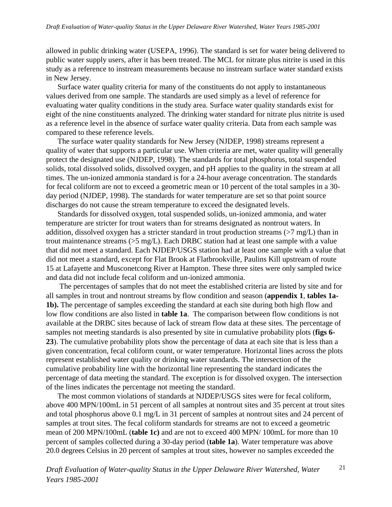allowed in public drinking water (USEPA, 1996). The standard is set for water being delivered to public water supply users, after it has been treated. The MCL for nitrate plus nitrite is used in this study as a reference to instream measurements because no instream surface water standard exists in New Jersey.

Surface water quality criteria for many of the constituents do not apply to instantaneous values derived from one sample. The standards are used simply as a level of reference for evaluating water quality conditions in the study area. Surface water quality standards exist for eight of the nine constituents analyzed. The drinking water standard for nitrate plus nitrite is used as a reference level in the absence of surface water quality criteria. Data from each sample was compared to these reference levels.

The surface water quality standards for New Jersey (NJDEP, 1998) streams represent a quality of water that supports a particular use. When criteria are met, water quality will generally protect the designated use (NJDEP, 1998). The standards for total phosphorus, total suspended solids, total dissolved solids, dissolved oxygen, and pH applies to the quality in the stream at all times. The un-ionized ammonia standard is for a 24-hour average concentration. The standards for fecal coliform are not to exceed a geometric mean or 10 percent of the total samples in a 30 day period (NJDEP, 1998). The standards for water temperature are set so that point source discharges do not cause the stream temperature to exceed the designated levels.

Standards for dissolved oxygen, total suspended solids, un-ionized ammonia, and water temperature are stricter for trout waters than for streams designated as nontrout waters. In addition, dissolved oxygen has a stricter standard in trout production streams  $(>7 \text{ mg/L})$  than in trout maintenance streams (>5 mg/L). Each DRBC station had at least one sample with a value that did not meet a standard. Each NJDEP/USGS station had at least one sample with a value that did not meet a standard, except for Flat Brook at Flatbrookville, Paulins Kill upstream of route 15 at Lafayette and Musconetcong River at Hampton. These three sites were only sampled twice and data did not include fecal coliform and un-ionized ammonia.

 The percentages of samples that do not meet the established criteria are listed by site and for all samples in trout and nontrout streams by flow condition and season (**appendix 1**, **tables 1a-1b).** The percentage of samples exceeding the standard at each site during both high flow and low flow conditions are also listed in **table 1a**. The comparison between flow conditions is not available at the DRBC sites because of lack of stream flow data at these sites. The percentage of samples not meeting standards is also presented by site in cumulative probability plots (**figs 6- 23**). The cumulative probability plots show the percentage of data at each site that is less than a given concentration, fecal coliform count, or water temperature. Horizontal lines across the plots represent established water quality or drinking water standards. The intersection of the cumulative probability line with the horizontal line representing the standard indicates the percentage of data meeting the standard. The exception is for dissolved oxygen. The intersection of the lines indicates the percentage not meeting the standard.

The most common violations of standards at NJDEP/USGS sites were for fecal coliform, above 400 MPN/100mL in 51 percent of all samples at nontrout sites and 35 percent at trout sites and total phosphorus above 0.1 mg/L in 31 percent of samples at nontrout sites and 24 percent of samples at trout sites. The fecal coliform standards for streams are not to exceed a geometric mean of 200 MPN/100mL (**table 1c)** and are not to exceed 400 MPN/ 100mL for more than 10 percent of samples collected during a 30-day period (**table 1a**). Water temperature was above 20.0 degrees Celsius in 20 percent of samples at trout sites, however no samples exceeded the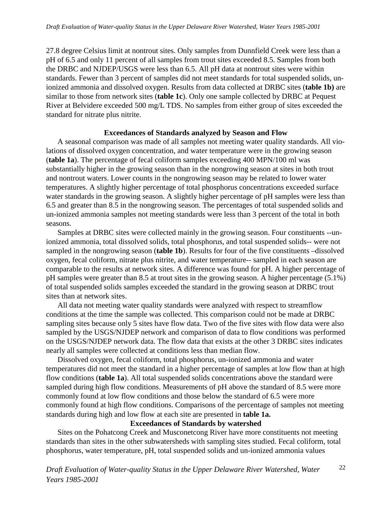<span id="page-30-0"></span>27.8 degree Celsius limit at nontrout sites. Only samples from Dunnfield Creek were less than a pH of 6.5 and only 11 percent of all samples from trout sites exceeded 8.5. Samples from both the DRBC and NJDEP/USGS were less than 6.5. All pH data at nontrout sites were within standards. Fewer than 3 percent of samples did not meet standards for total suspended solids, unionized ammonia and dissolved oxygen. Results from data collected at DRBC sites (**table 1b)** are similar to those from network sites (**table 1c**). Only one sample collected by DRBC at Pequest River at Belvidere exceeded 500 mg/L TDS. No samples from either group of sites exceeded the standard for nitrate plus nitrite.

#### **Exceedances of Standards analyzed by Season and Flow**

A seasonal comparison was made of all samples not meeting water quality standards. All violations of dissolved oxygen concentration, and water temperature were in the growing season (**table 1a**). The percentage of fecal coliform samples exceeding 400 MPN/100 ml was substantially higher in the growing season than in the nongrowing season at sites in both trout and nontrout waters. Lower counts in the nongrowing season may be related to lower water temperatures. A slightly higher percentage of total phosphorus concentrations exceeded surface water standards in the growing season. A slightly higher percentage of pH samples were less than 6.5 and greater than 8.5 in the nongrowing season. The percentages of total suspended solids and un-ionized ammonia samples not meeting standards were less than 3 percent of the total in both seasons.

Samples at DRBC sites were collected mainly in the growing season. Four constituents --unionized ammonia, total dissolved solids, total phosphorus, and total suspended solids-- were not sampled in the nongrowing season (**table 1b**). Results for four of the five constituents –dissolved oxygen, fecal coliform, nitrate plus nitrite, and water temperature-- sampled in each season are comparable to the results at network sites. A difference was found for pH. A higher percentage of pH samples were greater than 8.5 at trout sites in the growing season. A higher percentage (5.1%) of total suspended solids samples exceeded the standard in the growing season at DRBC trout sites than at network sites.

All data not meeting water quality standards were analyzed with respect to streamflow conditions at the time the sample was collected. This comparison could not be made at DRBC sampling sites because only 5 sites have flow data. Two of the five sites with flow data were also sampled by the USGS/NJDEP network and comparison of data to flow conditions was performed on the USGS/NJDEP network data. The flow data that exists at the other 3 DRBC sites indicates nearly all samples were collected at conditions less than median flow.

Dissolved oxygen, fecal coliform, total phosphorus, un-ionized ammonia and water temperatures did not meet the standard in a higher percentage of samples at low flow than at high flow conditions (**table 1a**). All total suspended solids concentrations above the standard were sampled during high flow conditions. Measurements of pH above the standard of 8.5 were more commonly found at low flow conditions and those below the standard of 6.5 were more commonly found at high flow conditions. Comparisons of the percentage of samples not meeting standards during high and low flow at each site are presented in **table 1a.** 

#### **Exceedances of Standards by watershed**

Sites on the Pohatcong Creek and Musconetcong River have more constituents not meeting standards than sites in the other subwatersheds with sampling sites studied. Fecal coliform, total phosphorus, water temperature, pH, total suspended solids and un-ionized ammonia values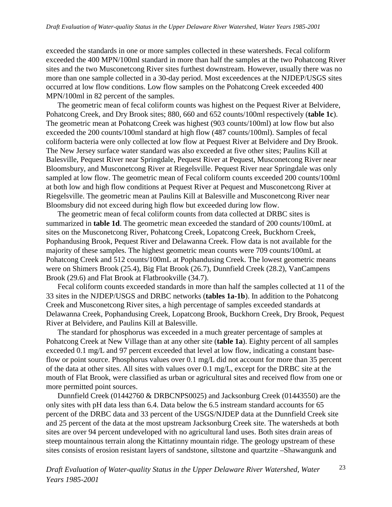exceeded the standards in one or more samples collected in these watersheds. Fecal coliform exceeded the 400 MPN/100ml standard in more than half the samples at the two Pohatcong River sites and the two Musconetcong River sites furthest downstream. However, usually there was no more than one sample collected in a 30-day period. Most exceedences at the NJDEP/USGS sites occurred at low flow conditions. Low flow samples on the Pohatcong Creek exceeded 400 MPN/100ml in 82 percent of the samples.

The geometric mean of fecal coliform counts was highest on the Pequest River at Belvidere, Pohatcong Creek, and Dry Brook sites; 880, 660 and 652 counts/100ml respectively (**table 1c**). The geometric mean at Pohatcong Creek was highest (903 counts/100ml) at low flow but also exceeded the 200 counts/100ml standard at high flow (487 counts/100ml). Samples of fecal coliform bacteria were only collected at low flow at Pequest River at Belvidere and Dry Brook. The New Jersey surface water standard was also exceeded at five other sites; Paulins Kill at Balesville, Pequest River near Springdale, Pequest River at Pequest, Musconetcong River near Bloomsbury, and Musconetcong River at Riegelsville. Pequest River near Springdale was only sampled at low flow. The geometric mean of Fecal coliform counts exceeded 200 counts/100ml at both low and high flow conditions at Pequest River at Pequest and Musconetcong River at Riegelsville. The geometric mean at Paulins Kill at Balesville and Musconetcong River near Bloomsbury did not exceed during high flow but exceeded during low flow.

The geometric mean of fecal coliform counts from data collected at DRBC sites is summarized in **table 1d**. The geometric mean exceeded the standard of 200 counts/100mL at sites on the Musconetcong River, Pohatcong Creek, Lopatcong Creek, Buckhorn Creek, Pophandusing Brook, Pequest River and Delawanna Creek. Flow data is not available for the majority of these samples. The highest geometric mean counts were 709 counts/100mL at Pohatcong Creek and 512 counts/100mL at Pophandusing Creek. The lowest geometric means were on Shimers Brook (25.4), Big Flat Brook (26.7), Dunnfield Creek (28.2), VanCampens Brook (29.6) and Flat Brook at Flatbrookville (34.7).

Fecal coliform counts exceeded standards in more than half the samples collected at 11 of the 33 sites in the NJDEP/USGS and DRBC networks (**tables 1a-1b**). In addition to the Pohatcong Creek and Musconetcong River sites, a high percentage of samples exceeded standards at Delawanna Creek, Pophandusing Creek, Lopatcong Brook, Buckhorn Creek, Dry Brook, Pequest River at Belvidere, and Paulins Kill at Balesville.

The standard for phosphorus was exceeded in a much greater percentage of samples at Pohatcong Creek at New Village than at any other site (**table 1a**). Eighty percent of all samples exceeded 0.1 mg/L and 97 percent exceeded that level at low flow, indicating a constant baseflow or point source. Phosphorus values over 0.1 mg/L did not account for more than 35 percent of the data at other sites. All sites with values over 0.1 mg/L, except for the DRBC site at the mouth of Flat Brook, were classified as urban or agricultural sites and received flow from one or more permitted point sources.

Dunnfield Creek (01442760 & DRBCNPS0025) and Jacksonburg Creek (01443550) are the only sites with pH data less than 6.4. Data below the 6.5 instream standard accounts for 65 percent of the DRBC data and 33 percent of the USGS/NJDEP data at the Dunnfield Creek site and 25 percent of the data at the most upstream Jacksonburg Creek site. The watersheds at both sites are over 94 percent undeveloped with no agricultural land uses. Both sites drain areas of steep mountainous terrain along the Kittatinny mountain ridge. The geology upstream of these sites consists of erosion resistant layers of sandstone, siltstone and quartzite –Shawangunk and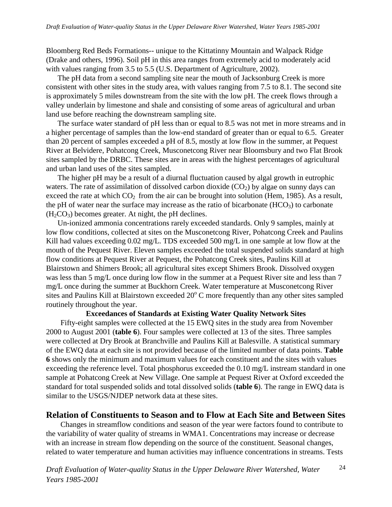<span id="page-32-0"></span>Bloomberg Red Beds Formations-- unique to the Kittatinny Mountain and Walpack Ridge (Drake and others, 1996). Soil pH in this area ranges from extremely acid to moderately acid with values ranging from 3.5 to 5.5 (U.S. Department of Agriculture, 2002).

The pH data from a second sampling site near the mouth of Jacksonburg Creek is more consistent with other sites in the study area, with values ranging from 7.5 to 8.1. The second site is approximately 5 miles downstream from the site with the low pH. The creek flows through a valley underlain by limestone and shale and consisting of some areas of agricultural and urban land use before reaching the downstream sampling site.

The surface water standard of pH less than or equal to 8.5 was not met in more streams and in a higher percentage of samples than the low-end standard of greater than or equal to 6.5. Greater than 20 percent of samples exceeded a pH of 8.5, mostly at low flow in the summer, at Pequest River at Belvidere, Pohatcong Creek, Musconetcong River near Bloomsbury and two Flat Brook sites sampled by the DRBC. These sites are in areas with the highest percentages of agricultural and urban land uses of the sites sampled.

The higher pH may be a result of a diurnal fluctuation caused by algal growth in eutrophic waters. The rate of assimilation of dissolved carbon dioxide  $(CO<sub>2</sub>)$  by algae on sunny days can exceed the rate at which  $CO<sub>2</sub>$  from the air can be brought into solution (Hem, 1985). As a result, the pH of water near the surface may increase as the ratio of bicarbonate  $(HCO<sub>3</sub>)$  to carbonate  $(H<sub>2</sub>CO<sub>3</sub>)$  becomes greater. At night, the pH declines.

Un-ionized ammonia concentrations rarely exceeded standards. Only 9 samples, mainly at low flow conditions, collected at sites on the Musconetcong River, Pohatcong Creek and Paulins Kill had values exceeding 0.02 mg/L. TDS exceeded 500 mg/L in one sample at low flow at the mouth of the Pequest River. Eleven samples exceeded the total suspended solids standard at high flow conditions at Pequest River at Pequest, the Pohatcong Creek sites, Paulins Kill at Blairstown and Shimers Brook; all agricultural sites except Shimers Brook. Dissolved oxygen was less than 5 mg/L once during low flow in the summer at a Pequest River site and less than 7 mg/L once during the summer at Buckhorn Creek. Water temperature at Musconetcong River sites and Paulins Kill at Blairstown exceeded 20° C more frequently than any other sites sampled routinely throughout the year.

#### **Exceedances of Standards at Existing Water Quality Network Sites**

Fifty-eight samples were collected at the 15 EWQ sites in the study area from November 2000 to August 2001 (**table 6**). Four samples were collected at 13 of the sites. Three samples were collected at Dry Brook at Branchville and Paulins Kill at Balesville. A statistical summary of the EWQ data at each site is not provided because of the limited number of data points. **Table 6** shows only the minimum and maximum values for each constituent and the sites with values exceeding the reference level. Total phosphorus exceeded the 0.10 mg/L instream standard in one sample at Pohatcong Creek at New Village. One sample at Pequest River at Oxford exceeded the standard for total suspended solids and total dissolved solids (**table 6**). The range in EWQ data is similar to the USGS/NJDEP network data at these sites.

#### **Relation of Constituents to Season and to Flow at Each Site and Between Sites**

Changes in streamflow conditions and season of the year were factors found to contribute to the variability of water quality of streams in WMA1. Concentrations may increase or decrease with an increase in stream flow depending on the source of the constituent. Seasonal changes, related to water temperature and human activities may influence concentrations in streams. Tests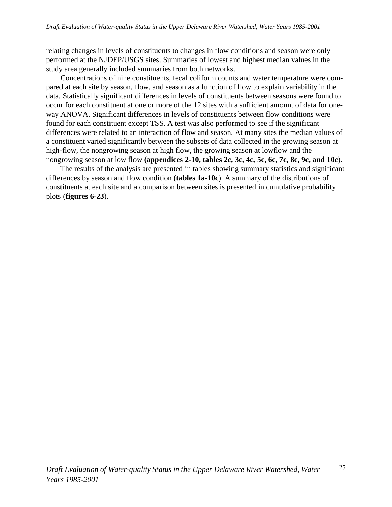relating changes in levels of constituents to changes in flow conditions and season were only performed at the NJDEP/USGS sites. Summaries of lowest and highest median values in the study area generally included summaries from both networks.

Concentrations of nine constituents, fecal coliform counts and water temperature were compared at each site by season, flow, and season as a function of flow to explain variability in the data. Statistically significant differences in levels of constituents between seasons were found to occur for each constituent at one or more of the 12 sites with a sufficient amount of data for oneway ANOVA. Significant differences in levels of constituents between flow conditions were found for each constituent except TSS. A test was also performed to see if the significant differences were related to an interaction of flow and season. At many sites the median values of a constituent varied significantly between the subsets of data collected in the growing season at high-flow, the nongrowing season at high flow, the growing season at lowflow and the nongrowing season at low flow **(appendices 2-10, tables 2c, 3c, 4c, 5c, 6c, 7c, 8c, 9c, and 10c**).

The results of the analysis are presented in tables showing summary statistics and significant differences by season and flow condition (**tables 1a-10c**). A summary of the distributions of constituents at each site and a comparison between sites is presented in cumulative probability plots (**figures 6-23**).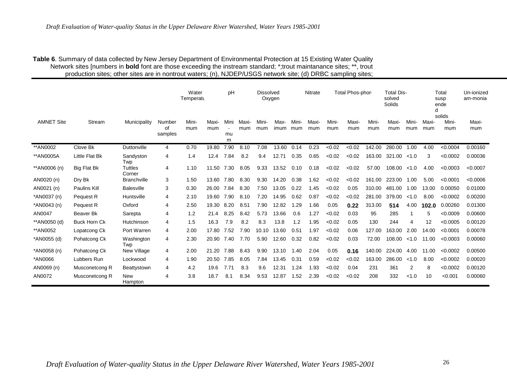#### **Table 6**. Summary of data collected by New Jersey Department of Environmental Protection at 15 Existing Water Quality Network sites [numbers in **bold** font are those exceeding the instream standard; \*;trout maintanance sites; \*\*, trout production sites; other sites are in nontrout waters; (n), NJDEP/USGS network site; (d) DRBC sampling sites;

|                   |                     |                          |                         | Water<br>Temperatu |             | pH              |              | <b>Dissolved</b> | Oxygen       |              | Nitrate                 |              | Total Phos-phori |              | Total Dis-<br>solved<br>Solids |                |              | Total<br>susp<br>ende  | Un-ionized<br>am-monia |
|-------------------|---------------------|--------------------------|-------------------------|--------------------|-------------|-----------------|--------------|------------------|--------------|--------------|-------------------------|--------------|------------------|--------------|--------------------------------|----------------|--------------|------------------------|------------------------|
| <b>AMNET Site</b> | Stream              | Municipality             | Number<br>οf<br>samples | Mini-<br>mum       | Maxi<br>mum | Mini<br>mu<br>m | Maxi-<br>mum | Mini-<br>mum     | Max-<br>imum | Mini-<br>mum | Maxi <sub></sub><br>mum | Mini-<br>mum | Maxi-<br>mum     | Mini-<br>mum | Maxi-<br>mum                   | Mini-<br>mum   | Maxi-<br>mum | solids<br>Mini-<br>mum | Maxi-<br>mum           |
| ** AN 0002        | Clove Bk            | Duttonville              | 4                       | 0.70               | 19.80       | 7.90            | 8.10         | 7.08             | 13.60        | 0.14         | 0.23                    | < 0.02       | < 0.02           | 142.00       | 280.00                         | 1.00           | 4.00         | < 0.0004               | 0.00160                |
| **AN0005A         | Little Flat Bk      | Sandyston<br>Twp         | 4                       | 1.4                | 12.4        | 7.84            | 8.2          | 9.4              | 12.71        | 0.35         | 0.65                    | < 0.02       | < 0.02           | 163.00       | 321.00                         | < 1.0          | 3            | < 0.0002               | 0.00036                |
| **AN0006 (n)      | <b>Big Flat Bk</b>  | <b>Tuttles</b><br>Corner | 4                       | 1.10               | 11.50       | 7.30            | 8.05         | 9.33             | 13.52        | 0.10         | 0.18                    | < 0.02       | < 0.02           | 57.00        | 108.00                         | < 1.0          | 4.00         | < 0.0003               | < 0.0007               |
| AN0020 (n)        | Dry Bk              | <b>Branchville</b>       | 3                       | 1.50               | 13.60       | 7.80            | 8.30         | 9.30             | 14.20        | 0.38         | 1.62                    | < 0.02       | < 0.02           | 161.00       | 223.00                         | 1.00           | 5.00         | < 0.0001               | < 0.0006               |
| AN0021 (n)        | <b>Paulins Kill</b> | <b>Balesville</b>        | 3                       | 0.30               | 26.00       | 7.84            | 8.30         | 7.50             | 13.05        | 0.22         | 1.45                    | < 0.02       | 0.05             | 310.00       | 481<br>00.1                    | 1.00           | 13.00        | 0.00050                | 0.01000                |
| *AN0037 (n)       | Pequest R           | Huntsville               | 4                       | 2.10               | 19.60       | 7.90            | 8.10         | 7.20             | 14.95        | 0.62         | 0.87                    | < 0.02       | < 0.02           | 281.00       | 379.00                         | < 1.0          | 8.00         | < 0.0002               | 0.00200                |
| *AN0043 (n)       | Pequest R           | Oxford                   | 4                       | 2.50               | 19.30       | 8.20            | 8.51         | 7.90             | 12.82        | 1.29         | 1.66                    | 0.05         | 0.22             | 313.00       | 514                            | 4.00           | 102.0        | 0.00260                | 0.01300                |
| AN0047            | Beaver Bk           | Sarepta                  | 4                       | 1.2                | 21.4        | 8.25            | 8.42         | 5.73             | 13.66        | 0.6          | 1.27                    | < 0.02       | 0.03             | 95           | 285                            |                | 5            | < 0.0009               | 0.00600                |
| **AN0050 (d)      | <b>Buck Horn Ck</b> | Hutchinson               | 4                       | 1.5                | 16.3        | 7.9             | 8.2          | 8.3              | 13.8         | 1.2          | 1.95                    | < 0.02       | 0.05             | 130          | 244                            | 4              | 12           | < 0.0005               | 0.00120                |
| **AN0052          | Lopatcong Ck        | Port Warren              | 4                       | 2.00               | 17.80       | 7.52            | 7.90         | 10.10            | 13.60        | 0.51         | 1.97                    | < 0.02       | 0.06             | 127.00       | 163.00                         | 2.00           | 14.00        | < 0.0001               | 0.00078                |
| *AN0055 (d)       | Pohatcong Ck        | Washington<br>Twp        | 4                       | 2.30               | 20.90       | 7.40            | 7.70         | 5.90             | 12.60        | 0.32         | 0.82                    | < 0.02       | 0.03             | 72.00        | 108.00                         | < 1.0          | 11.00        | < 0.0003               | 0.00060                |
| *AN0058 (n)       | Pohatcong Ck        | New Village              | 4                       | 2.00               | 21.20       | 7.88            | 8.43         | 9.90             | 13.10        | 1.40         | 2.04                    | 0.05         | 0.16             | 140.00       | 224.00                         | 4.00           | 11.00        | < 0.0002               | 0.00500                |
| *AN0066           | Lubbers Run         | Lockwood                 | 4                       | 1.90               | 20.50       | 7.85            | 8.05         | 7.84             | 13.45        | 0.31         | 0.59                    | < 0.02       | < 0.02           | 163.00       | 286.00                         | < 1.0          | 8.00         | < 0.0002               | 0.00020                |
| AN0069 (n)        | Musconetcong R      | Beattystown              | 4                       | 4.2                | 19.6        | 7.71            | 8.3          | 9.6              | 12.31        | 1.24         | 1.93                    | < 0.02       | 0.04             | 231          | 361                            | $\overline{2}$ | 8            | < 0.0002               | 0.00120                |
| AN0072            | Musconetcong R      | <b>New</b><br>Hampton    | 4                       | 3.8                | 18.7        | 8.1             | 8.34         | 9.53             | 12.87        | 1.52         | 2.39                    | < 0.02       | < 0.02           | 208          | 332                            | < 1.0          | 10           | < 0.001                | 0.00060                |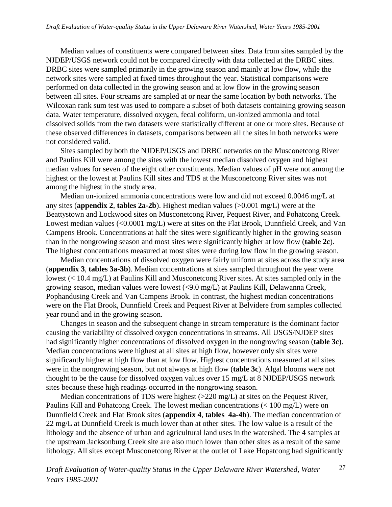Median values of constituents were compared between sites. Data from sites sampled by the NJDEP/USGS network could not be compared directly with data collected at the DRBC sites. DRBC sites were sampled primarily in the growing season and mainly at low flow, while the network sites were sampled at fixed times throughout the year. Statistical comparisons were performed on data collected in the growing season and at low flow in the growing season between all sites. Four streams are sampled at or near the same location by both networks. The Wilcoxan rank sum test was used to compare a subset of both datasets containing growing season data. Water temperature, dissolved oxygen, fecal coliform, un-ionized ammonia and total dissolved solids from the two datasets were statistically different at one or more sites. Because of these observed differences in datasets, comparisons between all the sites in both networks were not considered valid.

Sites sampled by both the NJDEP/USGS and DRBC networks on the Musconetcong River and Paulins Kill were among the sites with the lowest median dissolved oxygen and highest median values for seven of the eight other constituents. Median values of pH were not among the highest or the lowest at Paulins Kill sites and TDS at the Musconetcong River sites was not among the highest in the study area.

Median un-ionized ammonia concentrations were low and did not exceed 0.0046 mg/L at any sites (**appendix 2**, **tables 2a-2b**). Highest median values (>0.001 mg/L) were at the Beattystown and Lockwood sites on Musconetcong River, Pequest River, and Pohatcong Creek. Lowest median values (<0.0001 mg/L) were at sites on the Flat Brook, Dunnfield Creek, and Van Campens Brook. Concentrations at half the sites were significantly higher in the growing season than in the nongrowing season and most sites were significantly higher at low flow (**table 2c**). The highest concentrations measured at most sites were during low flow in the growing season.

Median concentrations of dissolved oxygen were fairly uniform at sites across the study area (**appendix 3**, **tables 3a-3b**). Median concentrations at sites sampled throughout the year were lowest (< 10.4 mg/L) at Paulins Kill and Musconetcong River sites. At sites sampled only in the growing season, median values were lowest (<9.0 mg/L) at Paulins Kill, Delawanna Creek, Pophandusing Creek and Van Campens Brook. In contrast, the highest median concentrations were on the Flat Brook, Dunnfield Creek and Pequest River at Belvidere from samples collected year round and in the growing season.

Changes in season and the subsequent change in stream temperature is the dominant factor causing the variability of dissolved oxygen concentrations in streams. All USGS/NJDEP sites had significantly higher concentrations of dissolved oxygen in the nongrowing season (**table 3c**). Median concentrations were highest at all sites at high flow, however only six sites were significantly higher at high flow than at low flow. Highest concentrations measured at all sites were in the nongrowing season, but not always at high flow (**table 3c**). Algal blooms were not thought to be the cause for dissolved oxygen values over 15 mg/L at 8 NJDEP/USGS network sites because these high readings occurred in the nongrowing season.

Median concentrations of TDS were highest (>220 mg/L) at sites on the Pequest River, Paulins Kill and Pohatcong Creek. The lowest median concentrations (< 100 mg/L) were on Dunnfield Creek and Flat Brook sites (**appendix 4**, **tables 4a-4b**). The median concentration of 22 mg/L at Dunnfield Creek is much lower than at other sites. The low value is a result of the lithology and the absence of urban and agricultural land uses in the watershed. The 4 samples at the upstream Jacksonburg Creek site are also much lower than other sites as a result of the same lithology. All sites except Musconetcong River at the outlet of Lake Hopatcong had significantly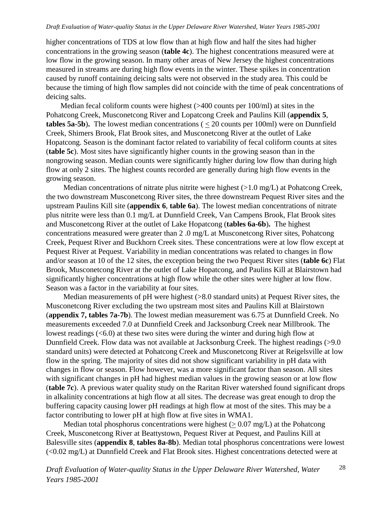higher concentrations of TDS at low flow than at high flow and half the sites had higher concentrations in the growing season (**table 4c**). The highest concentrations measured were at low flow in the growing season. In many other areas of New Jersey the highest concentrations measured in streams are during high flow events in the winter. These spikes in concentration caused by runoff containing deicing salts were not observed in the study area. This could be because the timing of high flow samples did not coincide with the time of peak concentrations of deicing salts.

Median fecal coliform counts were highest (>400 counts per 100/ml) at sites in the Pohatcong Creek, Musconetcong River and Lopatcong Creek and Paulins Kill (**appendix 5**, **tables 5a-5b**)**.** The lowest median concentrations ( < 20 counts per 100ml) were on Dunnfield Creek, Shimers Brook, Flat Brook sites, and Musconetcong River at the outlet of Lake Hopatcong. Season is the dominant factor related to variability of fecal coliform counts at sites (**table 5c**). Most sites have significantly higher counts in the growing season than in the nongrowing season. Median counts were significantly higher during low flow than during high flow at only 2 sites. The highest counts recorded are generally during high flow events in the growing season.

Median concentrations of nitrate plus nitrite were highest (>1.0 mg/L) at Pohatcong Creek, the two downstream Musconetcong River sites, the three downstream Pequest River sites and the upstream Paulins Kill site (**appendix 6**, **table 6a**). The lowest median concentrations of nitrate plus nitrite were less than 0.1 mg/L at Dunnfield Creek, Van Campens Brook, Flat Brook sites and Musconetcong River at the outlet of Lake Hopatcong (**tables 6a-6b**)**.** The highest concentrations measured were greater than 2 .0 mg/L at Musconetcong River sites, Pohatcong Creek, Pequest River and Buckhorn Creek sites. These concentrations were at low flow except at Pequest River at Pequest. Variability in median concentrations was related to changes in flow and/or season at 10 of the 12 sites, the exception being the two Pequest River sites (**table 6c**) Flat Brook, Musconetcong River at the outlet of Lake Hopatcong, and Paulins Kill at Blairstown had significantly higher concentrations at high flow while the other sites were higher at low flow. Season was a factor in the variability at four sites.

Median measurements of pH were highest (>8.0 standard units) at Pequest River sites, the Musconetcong River excluding the two upstream most sites and Paulins Kill at Blairstown (**appendix 7, tables 7a-7b**). The lowest median measurement was 6.75 at Dunnfield Creek. No measurements exceeded 7.0 at Dunnfield Creek and Jacksonburg Creek near Millbrook. The lowest readings (<6.0) at these two sites were during the winter and during high flow at Dunnfield Creek. Flow data was not available at Jacksonburg Creek. The highest readings (>9.0 standard units) were detected at Pohatcong Creek and Musconetcong River at Reigelsville at low flow in the spring. The majority of sites did not show significant variability in pH data with changes in flow or season. Flow however, was a more significant factor than season. All sites with significant changes in pH had highest median values in the growing season or at low flow (**table 7c**). A previous water quality study on the Raritan River watershed found significant drops in alkalinity concentrations at high flow at all sites. The decrease was great enough to drop the buffering capacity causing lower pH readings at high flow at most of the sites. This may be a factor contributing to lower pH at high flow at five sites in WMA1.

Median total phosphorus concentrations were highest  $(> 0.07 \text{ mg/L})$  at the Pohatcong Creek, Musconetcong River at Beattystown, Pequest River at Pequest, and Paulins Kill at Balesville sites (**appendix 8**, **tables 8a-8b**). Median total phosphorus concentrations were lowest (<0.02 mg/L) at Dunnfield Creek and Flat Brook sites. Highest concentrations detected were at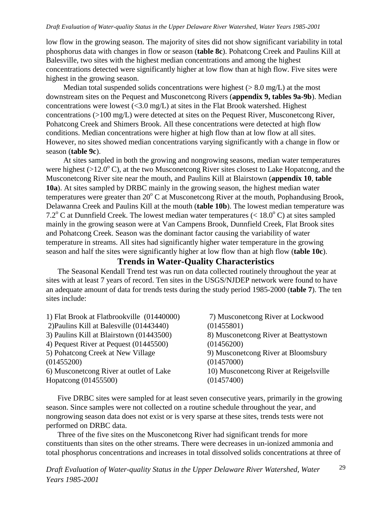low flow in the growing season. The majority of sites did not show significant variability in total phosphorus data with changes in flow or season (**table 8c**). Pohatcong Creek and Paulins Kill at Balesville, two sites with the highest median concentrations and among the highest concentrations detected were significantly higher at low flow than at high flow. Five sites were highest in the growing season.

Median total suspended solids concentrations were highest  $(> 8.0 \text{ mg/L})$  at the most downstream sites on the Pequest and Musconetcong Rivers (**appendix 9, tables 9a-9b**). Median concentrations were lowest  $\langle 3.0 \text{ mg/L} \rangle$  at sites in the Flat Brook watershed. Highest concentrations (>100 mg/L) were detected at sites on the Pequest River, Musconetcong River, Pohatcong Creek and Shimers Brook. All these concentrations were detected at high flow conditions. Median concentrations were higher at high flow than at low flow at all sites. However, no sites showed median concentrations varying significantly with a change in flow or season (**table 9c**).

At sites sampled in both the growing and nongrowing seasons, median water temperatures were highest ( $>12.0^{\circ}$  C), at the two Musconetcong River sites closest to Lake Hopatcong, and the Musconetcong River site near the mouth, and Paulins Kill at Blairstown (**appendix 10**, **table 10a**). At sites sampled by DRBC mainly in the growing season, the highest median water temperatures were greater than 20° C at Musconetcong River at the mouth, Pophandusing Brook, Delawanna Creek and Paulins Kill at the mouth (**table 10b**). The lowest median temperature was 7.2 $^{\circ}$  C at Dunnfield Creek. The lowest median water temperatures (< 18.0 $^{\circ}$  C) at sites sampled mainly in the growing season were at Van Campens Brook, Dunnfield Creek, Flat Brook sites and Pohatcong Creek. Season was the dominant factor causing the variability of water temperature in streams. All sites had significantly higher water temperature in the growing season and half the sites were significantly higher at low flow than at high flow (**table 10c**).

#### **Trends in Water-Quality Characteristics**

The Seasonal Kendall Trend test was run on data collected routinely throughout the year at sites with at least 7 years of record. Ten sites in the USGS/NJDEP network were found to have an adequate amount of data for trends tests during the study period 1985-2000 (**table 7**). The ten sites include:

| 1) Flat Brook at Flatbrookville (01440000) | 7) Musconetcong River at Lockwood      |
|--------------------------------------------|----------------------------------------|
| 2) Paulins Kill at Balesville (01443440)   | (01455801)                             |
| 3) Paulins Kill at Blairstown (01443500)   | 8) Musconetcong River at Beattystown   |
| 4) Pequest River at Pequest (01445500)     | (01456200)                             |
| 5) Pohatcong Creek at New Village          | 9) Musconetcong River at Bloomsbury    |
| (01455200)                                 | (01457000)                             |
| 6) Musconetcong River at outlet of Lake    | 10) Musconetcong River at Reigelsville |
| Hopatcong (01455500)                       | (01457400)                             |
|                                            |                                        |

Five DRBC sites were sampled for at least seven consecutive years, primarily in the growing season. Since samples were not collected on a routine schedule throughout the year, and nongrowing season data does not exist or is very sparse at these sites, trends tests were not performed on DRBC data.

Three of the five sites on the Musconetcong River had significant trends for more constituents than sites on the other streams. There were decreases in un-ionized ammonia and total phosphorus concentrations and increases in total dissolved solids concentrations at three of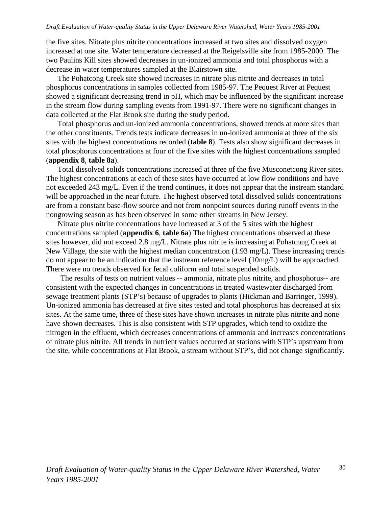the five sites. Nitrate plus nitrite concentrations increased at two sites and dissolved oxygen increased at one site. Water temperature decreased at the Reigelsville site from 1985-2000. The two Paulins Kill sites showed decreases in un-ionized ammonia and total phosphorus with a decrease in water temperatures sampled at the Blairstown site.

The Pohatcong Creek site showed increases in nitrate plus nitrite and decreases in total phosphorus concentrations in samples collected from 1985-97. The Pequest River at Pequest showed a significant decreasing trend in pH, which may be influenced by the significant increase in the stream flow during sampling events from 1991-97. There were no significant changes in data collected at the Flat Brook site during the study period.

Total phosphorus and un-ionized ammonia concentrations, showed trends at more sites than the other constituents. Trends tests indicate decreases in un-ionized ammonia at three of the six sites with the highest concentrations recorded (**table 8**). Tests also show significant decreases in total phosphorus concentrations at four of the five sites with the highest concentrations sampled (**appendix 8**, **table 8a**).

Total dissolved solids concentrations increased at three of the five Musconetcong River sites. The highest concentrations at each of these sites have occurred at low flow conditions and have not exceeded 243 mg/L. Even if the trend continues, it does not appear that the instream standard will be approached in the near future. The highest observed total dissolved solids concentrations are from a constant base-flow source and not from nonpoint sources during runoff events in the nongrowing season as has been observed in some other streams in New Jersey.

Nitrate plus nitrite concentrations have increased at 3 of the 5 sites with the highest concentrations sampled (**appendix 6**, **table 6a**) The highest concentrations observed at these sites however, did not exceed 2.8 mg/L. Nitrate plus nitrite is increasing at Pohatcong Creek at New Village, the site with the highest median concentration (1.93 mg/L). These increasing trends do not appear to be an indication that the instream reference level (10mg/L) will be approached. There were no trends observed for fecal coliform and total suspended solids.

The results of tests on nutrient values -- ammonia, nitrate plus nitrite, and phosphorus-- are consistent with the expected changes in concentrations in treated wastewater discharged from sewage treatment plants (STP's) because of upgrades to plants (Hickman and Barringer, 1999). Un-ionized ammonia has decreased at five sites tested and total phosphorus has decreased at six sites. At the same time, three of these sites have shown increases in nitrate plus nitrite and none have shown decreases. This is also consistent with STP upgrades, which tend to oxidize the nitrogen in the effluent, which decreases concentrations of ammonia and increases concentrations of nitrate plus nitrite. All trends in nutrient values occurred at stations with STP's upstream from the site, while concentrations at Flat Brook, a stream without STP's, did not change significantly.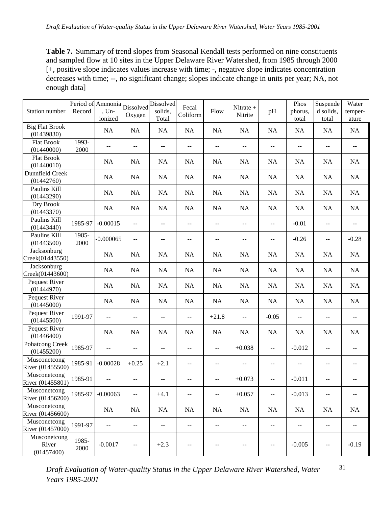**Table 7.** Summary of trend slopes from Seasonal Kendall tests performed on nine constituents and sampled flow at 10 sites in the Upper Delaware River Watershed, from 1985 through 2000 [+, positive slope indicates values increase with time; -, negative slope indicates concentration decreases with time; --, no significant change; slopes indicate change in units per year; NA, not enough data]

| Station number                       | Record        | Period of Ammonia<br>$, Un-$<br>ionized                 | Dissolved<br>Oxygen                           | Dissolved<br>solids,<br>Total         | Fecal<br>Coliform | Flow              | Nitrate +<br>Nitrite | pH                            | Phos<br>phorus,<br>total | Suspende<br>d solids,<br>total | Water<br>temper-<br>ature |
|--------------------------------------|---------------|---------------------------------------------------------|-----------------------------------------------|---------------------------------------|-------------------|-------------------|----------------------|-------------------------------|--------------------------|--------------------------------|---------------------------|
| <b>Big Flat Brook</b><br>(01439830)  |               | NA                                                      | NA                                            | NA                                    | NA                | NA                | NA                   | NA                            | NA                       | NA                             | NA                        |
| <b>Flat Brook</b><br>(01440000)      | 1993-<br>2000 | $-$                                                     | $\mathord{\hspace{1pt}\text{--}\hspace{1pt}}$ | $-$                                   | $-\,-$            | $\qquad \qquad -$ | $-$                  | $-$                           | $- -$                    | $\qquad \qquad -$              | $-$                       |
| <b>Flat Brook</b><br>(01440010)      |               | NA                                                      | NA                                            | NA                                    | NA                | NA                | NA                   | NA                            | NA                       | NA                             | NA                        |
| Dunnfield Creek<br>(01442760)        |               | NA                                                      | NA                                            | NA                                    | NA                | NA                | NA                   | NA                            | NA                       | NA                             | NA                        |
| Paulins Kill<br>(01443290)           |               | NA                                                      | NA                                            | NA                                    | NA                | NA                | NA                   | NA                            | NA                       | NA                             | NA                        |
| Dry Brook<br>(01443370)              |               | NA                                                      | NA                                            | NA                                    | NA                | NA                | NA                   | NA                            | NA                       | NA                             | NA                        |
| Paulins Kill<br>(01443440)           | 1985-97       | $-0.00015$                                              | $\overline{\phantom{m}}$                      | $-$                                   | --                | --                | --                   | --                            | $-0.01$                  | $- -$                          | $-$                       |
| Paulins Kill<br>(01443500)           | 1985-<br>2000 | $-0.000065$                                             | $\overline{\phantom{m}}$                      | $-$                                   | --                | --                | $-$                  | $-$                           | $-0.26$                  | --                             | $-0.28$                   |
| Jacksonburg<br>Creek(01443550)       |               | NA                                                      | <b>NA</b>                                     | NA                                    | NA                | NA                | NA                   | NA                            | NA                       | NA                             | NA                        |
| Jacksonburg<br>Creek(01443600)       |               | NA                                                      | NA                                            | NA                                    | NA                | NA                | NA                   | NA                            | NA                       | NA                             | NA                        |
| Pequest River<br>(01444970)          |               | NA                                                      | NA                                            | NA                                    | NA                | NA                | NA                   | NA                            | NA                       | NA                             | NA                        |
| Pequest River<br>(01445000)          |               | NA                                                      | NA                                            | NA                                    | NA                | NA                | NA                   | NA                            | NA                       | NA                             | NA                        |
| Pequest River<br>(01445500)          | 1991-97       | $\overline{\phantom{a}}$                                | $-$                                           | $-$                                   | $-$               | $+21.8$           | $\overline{a}$       | $-0.05$                       | $\overline{a}$           | --                             | $-$                       |
| Pequest River<br>(01446400)          |               | <b>NA</b>                                               | NA                                            | NA                                    | NA                | NA                | <b>NA</b>            | NA                            | NA                       | NA                             | NA                        |
| <b>Pohatcong Creek</b><br>(01455200) | 1985-97       | --                                                      | $\overline{a}$                                | $-$                                   | $-$               | $-$               | $+0.038$             | $-$                           | $-0.012$                 | --                             | $-$                       |
| Musconetcong<br>River (01455500)     | 1985-91       | $-0.00028$                                              | $+0.25$                                       | $+2.1$                                | $-$               | $\qquad \qquad -$ | $-$                  | $-\,-$                        | $- -$                    | $--$                           | $\qquad \qquad -$         |
| Musconetcong<br>River (01455801)     | 1985-91       | $\overline{\phantom{a}}$                                | $-$                                           | $-$                                   | $-$               | --                | $+0.073$             | $-$                           | $-0.011$                 | $-$                            | --                        |
| Musconetcong<br>River (01456200)     | 1985-97       | $-0.00063$                                              | $\hspace{0.05cm}$ $\hspace{0.05cm}$           | $+4.1$                                | $- \, -$          | $- \, -$          | $+0.057$             | $\hspace{0.05cm} \textbf{--}$ | $-0.013$                 | $\overline{\phantom{a}}$       | --                        |
| Musconetcong<br>River (01456600)     |               | <b>NA</b>                                               | <b>NA</b>                                     | <b>NA</b>                             | NA                | NA                | NA                   | NA                            | <b>NA</b>                | <b>NA</b>                      | NA                        |
| Musconetcong<br>River (01457000)     | 1991-97       | $\hspace{0.05cm} \hspace{0.02cm} \hspace{0.02cm} \dots$ | $- -$                                         | $\hspace{0.05cm}$ – $\hspace{0.05cm}$ | $-\, -$           | $- \, -$          | $- \,$               | $- \, -$                      | $-\, -$                  | $\overline{\phantom{a}}$       | $- -$                     |
| Musconetcong<br>River<br>(01457400)  | 1985-<br>2000 | $-0.0017$                                               | --                                            | $+2.3$                                |                   |                   |                      | $-$                           | $-0.005$                 | --                             | $-0.19$                   |

*Draft Evaluation of Water-quality Status in the Upper Delaware River Watershed, Water Years 1985-2001*  31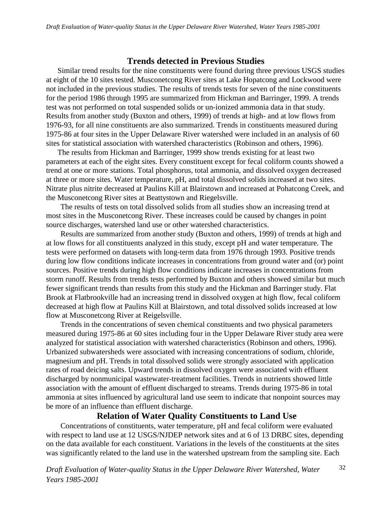### **Trends detected in Previous Studies**

Similar trend results for the nine constituents were found during three previous USGS studies at eight of the 10 sites tested. Musconetcong River sites at Lake Hopatcong and Lockwood were not included in the previous studies. The results of trends tests for seven of the nine constituents for the period 1986 through 1995 are summarized from Hickman and Barringer, 1999. A trends test was not performed on total suspended solids or un-ionized ammonia data in that study. Results from another study (Buxton and others, 1999) of trends at high- and at low flows from 1976-93, for all nine constituents are also summarized. Trends in constituents measured during 1975-86 at four sites in the Upper Delaware River watershed were included in an analysis of 60 sites for statistical association with watershed characteristics (Robinson and others, 1996).

The results from Hickman and Barringer, 1999 show trends existing for at least two parameters at each of the eight sites. Every constituent except for fecal coliform counts showed a trend at one or more stations. Total phosphorus, total ammonia, and dissolved oxygen decreased at three or more sites. Water temperature, pH, and total dissolved solids increased at two sites. Nitrate plus nitrite decreased at Paulins Kill at Blairstown and increased at Pohatcong Creek, and the Musconetcong River sites at Beattystown and Riegelsville.

The results of tests on total dissolved solids from all studies show an increasing trend at most sites in the Musconetcong River. These increases could be caused by changes in point source discharges, watershed land use or other watershed characteristics.

Results are summarized from another study (Buxton and others, 1999) of trends at high and at low flows for all constituents analyzed in this study, except pH and water temperature. The tests were performed on datasets with long-term data from 1976 through 1993. Positive trends during low flow conditions indicate increases in concentrations from ground water and (or) point sources. Positive trends during high flow conditions indicate increases in concentrations from storm runoff. Results from trends tests performed by Buxton and others showed similar but much fewer significant trends than results from this study and the Hickman and Barringer study. Flat Brook at Flatbrookville had an increasing trend in dissolved oxygen at high flow, fecal coliform decreased at high flow at Paulins Kill at Blairstown, and total dissolved solids increased at low flow at Musconetcong River at Reigelsville.

Trends in the concentrations of seven chemical constituents and two physical parameters measured during 1975-86 at 60 sites including four in the Upper Delaware River study area were analyzed for statistical association with watershed characteristics (Robinson and others, 1996). Urbanized subwatersheds were associated with increasing concentrations of sodium, chloride, magnesium and pH. Trends in total dissolved solids were strongly associated with application rates of road deicing salts. Upward trends in dissolved oxygen were associated with effluent discharged by nonmunicipal wastewater-treatment facilities. Trends in nutrients showed little association with the amount of effluent discharged to streams. Trends during 1975-86 in total ammonia at sites influenced by agricultural land use seem to indicate that nonpoint sources may be more of an influence than effluent discharge.

#### **Relation of Water Quality Constituents to Land Use**

Concentrations of constituents, water temperature, pH and fecal coliform were evaluated with respect to land use at 12 USGS/NJDEP network sites and at 6 of 13 DRBC sites, depending on the data available for each constituent. Variations in the levels of the constituents at the sites was significantly related to the land use in the watershed upstream from the sampling site. Each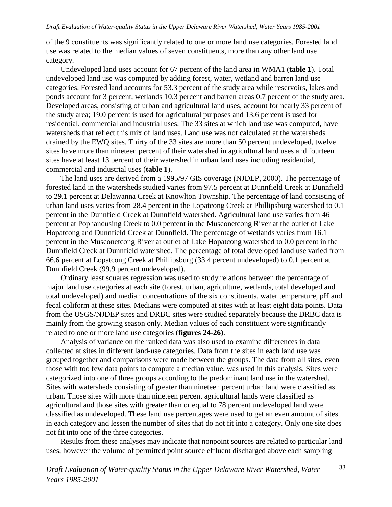of the 9 constituents was significantly related to one or more land use categories. Forested land use was related to the median values of seven constituents, more than any other land use category.

Undeveloped land uses account for 67 percent of the land area in WMA1 (**table 1**). Total undeveloped land use was computed by adding forest, water, wetland and barren land use categories. Forested land accounts for 53.3 percent of the study area while reservoirs, lakes and ponds account for 3 percent, wetlands 10.3 percent and barren areas 0.7 percent of the study area. Developed areas, consisting of urban and agricultural land uses, account for nearly 33 percent of the study area; 19.0 percent is used for agricultural purposes and 13.6 percent is used for residential, commercial and industrial uses. The 33 sites at which land use was computed, have watersheds that reflect this mix of land uses. Land use was not calculated at the watersheds drained by the EWQ sites. Thirty of the 33 sites are more than 50 percent undeveloped, twelve sites have more than nineteen percent of their watershed in agricultural land uses and fourteen sites have at least 13 percent of their watershed in urban land uses including residential, commercial and industrial uses (**table 1**).

The land uses are derived from a 1995/97 GIS coverage (NJDEP, 2000). The percentage of forested land in the watersheds studied varies from 97.5 percent at Dunnfield Creek at Dunnfield to 29.1 percent at Delawanna Creek at Knowlton Township. The percentage of land consisting of urban land uses varies from 28.4 percent in the Lopatcong Creek at Phillipsburg watershed to 0.1 percent in the Dunnfield Creek at Dunnfield watershed. Agricultural land use varies from 46 percent at Pophandusing Creek to 0.0 percent in the Musconetcong River at the outlet of Lake Hopatcong and Dunnfield Creek at Dunnfield. The percentage of wetlands varies from 16.1 percent in the Musconetcong River at outlet of Lake Hopatcong watershed to 0.0 percent in the Dunnfield Creek at Dunnfield watershed. The percentage of total developed land use varied from 66.6 percent at Lopatcong Creek at Phillipsburg (33.4 percent undeveloped) to 0.1 percent at Dunnfield Creek (99.9 percent undeveloped).

Ordinary least squares regression was used to study relations between the percentage of major land use categories at each site (forest, urban, agriculture, wetlands, total developed and total undeveloped) and median concentrations of the six constituents, water temperature, pH and fecal coliform at these sites. Medians were computed at sites with at least eight data points. Data from the USGS/NJDEP sites and DRBC sites were studied separately because the DRBC data is mainly from the growing season only. Median values of each constituent were significantly related to one or more land use categories (**figures 24-26)**.

Analysis of variance on the ranked data was also used to examine differences in data collected at sites in different land-use categories. Data from the sites in each land use was grouped together and comparisons were made between the groups. The data from all sites, even those with too few data points to compute a median value, was used in this analysis. Sites were categorized into one of three groups according to the predominant land use in the watershed. Sites with watersheds consisting of greater than nineteen percent urban land were classified as urban. Those sites with more than nineteen percent agricultural lands were classified as agricultural and those sites with greater than or equal to 78 percent undeveloped land were classified as undeveloped. These land use percentages were used to get an even amount of sites in each category and lessen the number of sites that do not fit into a category. Only one site does not fit into one of the three categories.

Results from these analyses may indicate that nonpoint sources are related to particular land uses, however the volume of permitted point source effluent discharged above each sampling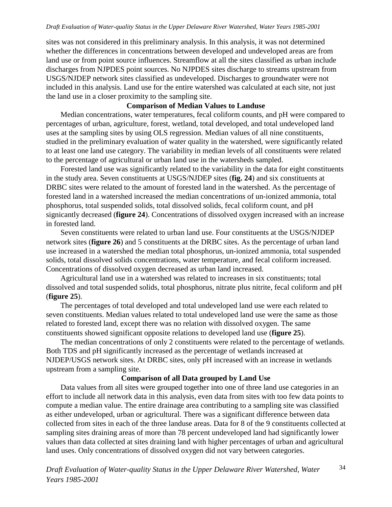sites was not considered in this preliminary analysis. In this analysis, it was not determined whether the differences in concentrations between developed and undeveloped areas are from land use or from point source influences. Streamflow at all the sites classified as urban include discharges from NJPDES point sources. No NJPDES sites discharge to streams upstream from USGS/NJDEP network sites classified as undeveloped. Discharges to groundwater were not included in this analysis. Land use for the entire watershed was calculated at each site, not just the land use in a closer proximity to the sampling site.

#### **Comparison of Median Values to Landuse**

Median concentrations, water temperatures, fecal coliform counts, and pH were compared to percentages of urban, agriculture, forest, wetland, total developed, and total undeveloped land uses at the sampling sites by using OLS regression. Median values of all nine constituents, studied in the preliminary evaluation of water quality in the watershed, were significantly related to at least one land use category. The variability in median levels of all constituents were related to the percentage of agricultural or urban land use in the watersheds sampled.

Forested land use was significantly related to the variability in the data for eight constituents in the study area. Seven constituents at USGS/NJDEP sites (**fig. 24**) and six constituents at DRBC sites were related to the amount of forested land in the watershed. As the percentage of forested land in a watershed increased the median concentrations of un-ionized ammonia, total phosphorus, total suspended solids, total dissolved solids, fecal coliform count, and pH signicantly decreased (**figure 24**). Concentrations of dissolved oxygen increased with an increase in forested land.

Seven constituents were related to urban land use. Four constituents at the USGS/NJDEP network sites (**figure 26**) and 5 constituents at the DRBC sites. As the percentage of urban land use increased in a watershed the median total phosphorus, un-ionized ammonia, total suspended solids, total dissolved solids concentrations, water temperature, and fecal coliform increased. Concentrations of dissolved oxygen decreased as urban land increased.

Agricultural land use in a watershed was related to increases in six constituents; total dissolved and total suspended solids, total phosphorus, nitrate plus nitrite, fecal coliform and pH (**figure 25**).

The percentages of total developed and total undeveloped land use were each related to seven constituents. Median values related to total undeveloped land use were the same as those related to forested land, except there was no relation with dissolved oxygen. The same constituents showed significant opposite relations to developed land use (**figure 25**).

The median concentrations of only 2 constituents were related to the percentage of wetlands. Both TDS and pH significantly increased as the percentage of wetlands increased at NJDEP/USGS network sites. At DRBC sites, only pH increased with an increase in wetlands upstream from a sampling site.

#### **Comparison of all Data grouped by Land Use**

Data values from all sites were grouped together into one of three land use categories in an effort to include all network data in this analysis, even data from sites with too few data points to compute a median value. The entire drainage area contributing to a sampling site was classified as either undeveloped, urban or agricultural. There was a significant difference between data collected from sites in each of the three landuse areas. Data for 8 of the 9 constituents collected at sampling sites draining areas of more than 78 percent undeveloped land had significantly lower values than data collected at sites draining land with higher percentages of urban and agricultural land uses. Only concentrations of dissolved oxygen did not vary between categories.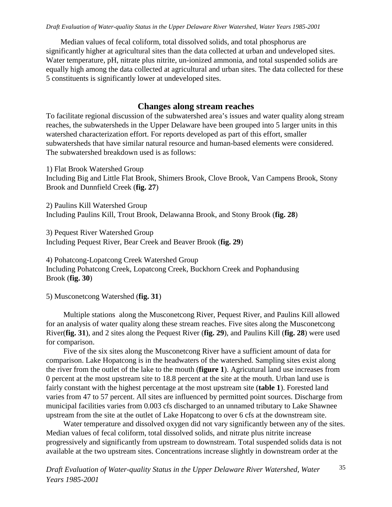Median values of fecal coliform, total dissolved solids, and total phosphorus are significantly higher at agricultural sites than the data collected at urban and undeveloped sites. Water temperature, pH, nitrate plus nitrite, un-ionized ammonia, and total suspended solids are equally high among the data collected at agricultural and urban sites. The data collected for these 5 constituents is significantly lower at undeveloped sites.

#### **Changes along stream reaches**

To facilitate regional discussion of the subwatershed area's issues and water quality along stream reaches, the subwatersheds in the Upper Delaware have been grouped into 5 larger units in this watershed characterization effort. For reports developed as part of this effort, smaller subwatersheds that have similar natural resource and human-based elements were considered. The subwatershed breakdown used is as follows:

1) Flat Brook Watershed Group Including Big and Little Flat Brook, Shimers Brook, Clove Brook, Van Campens Brook, Stony Brook and Dunnfield Creek (**fig. 27**)

2) Paulins Kill Watershed Group Including Paulins Kill, Trout Brook, Delawanna Brook, and Stony Brook (**fig. 28**)

3) Pequest River Watershed Group Including Pequest River, Bear Creek and Beaver Brook (**fig. 29**)

4) Pohatcong-Lopatcong Creek Watershed Group Including Pohatcong Creek, Lopatcong Creek, Buckhorn Creek and Pophandusing Brook (**fig. 30**)

5) Musconetcong Watershed (**fig. 31**)

Multiple stations along the Musconetcong River, Pequest River, and Paulins Kill allowed for an analysis of water quality along these stream reaches. Five sites along the Musconetcong River(**fig. 31**), and 2 sites along the Pequest River (**fig. 29**), and Paulins Kill (**fig. 28**) were used for comparison.

Five of the six sites along the Musconetcong River have a sufficient amount of data for comparison. Lake Hopatcong is in the headwaters of the watershed. Sampling sites exist along the river from the outlet of the lake to the mouth (**figure 1**). Agricutural land use increases from 0 percent at the most upstream site to 18.8 percent at the site at the mouth. Urban land use is fairly constant with the highest percentage at the most upstream site (**table 1**). Forested land varies from 47 to 57 percent. All sites are influenced by permitted point sources. Discharge from municipal facilities varies from 0.003 cfs discharged to an unnamed tributary to Lake Shawnee upstream from the site at the outlet of Lake Hopatcong to over 6 cfs at the downstream site.

Water temperature and dissolved oxygen did not vary significantly between any of the sites. Median values of fecal coliform, total dissolved solids, and nitrate plus nitrite increase progressively and significantly from upstream to downstream. Total suspended solids data is not available at the two upstream sites. Concentrations increase slightly in downstream order at the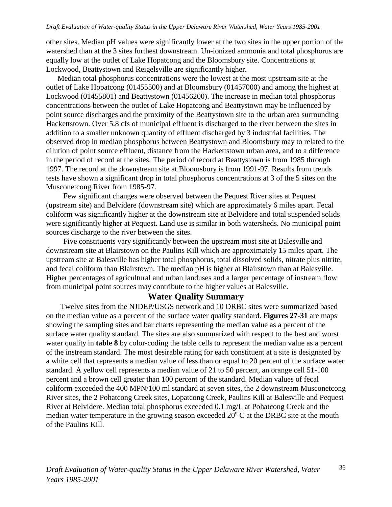other sites. Median pH values were significantly lower at the two sites in the upper portion of the watershed than at the 3 sites furthest downstream. Un-ionized ammonia and total phosphorus are equally low at the outlet of Lake Hopatcong and the Bloomsbury site. Concentrations at Lockwood, Beattystown and Reigelsville are significantly higher.

Median total phosphorus concentrations were the lowest at the most upstream site at the outlet of Lake Hopatcong (01455500) and at Bloomsbury (01457000) and among the highest at Lockwood (01455801) and Beattystown (01456200). The increase in median total phosphorus concentrations between the outlet of Lake Hopatcong and Beattystown may be influenced by point source discharges and the proximity of the Beattystown site to the urban area surrounding Hackettstown. Over 5.8 cfs of municipal effluent is discharged to the river between the sites in addition to a smaller unknown quantity of effluent discharged by 3 industrial facilities. The observed drop in median phosphorus between Beattystown and Bloomsbury may to related to the dilution of point source effluent, distance from the Hackettstown urban area, and to a difference in the period of record at the sites. The period of record at Beattystown is from 1985 through 1997. The record at the downstream site at Bloomsbury is from 1991-97. Results from trends tests have shown a significant drop in total phosphorus concentrations at 3 of the 5 sites on the Musconetcong River from 1985-97.

Few significant changes were observed between the Pequest River sites at Pequest (upstream site) and Belvidere (downstream site) which are approximately 6 miles apart. Fecal coliform was significantly higher at the downstream site at Belvidere and total suspended solids were significantly higher at Pequest. Land use is similar in both watersheds. No municipal point sources discharge to the river between the sites.

Five constituents vary significantly between the upstream most site at Balesville and downstream site at Blairstown on the Paulins Kill which are approximately 15 miles apart. The upstream site at Balesville has higher total phosphorus, total dissolved solids, nitrate plus nitrite, and fecal coliform than Blairstown. The median pH is higher at Blairstown than at Balesville. Higher percentages of agricultural and urban landuses and a larger percentage of instream flow from municipal point sources may contribute to the higher values at Balesville.

### **Water Quality Summary**

Twelve sites from the NJDEP/USGS network and 10 DRBC sites were summarized based on the median value as a percent of the surface water quality standard. **Figures 27-31** are maps showing the sampling sites and bar charts representing the median value as a percent of the surface water quality standard. The sites are also summarized with respect to the best and worst water quality in **table 8** by color-coding the table cells to represent the median value as a percent of the instream standard. The most desirable rating for each constituent at a site is designated by a white cell that represents a median value of less than or equal to 20 percent of the surface water standard. A yellow cell represents a median value of 21 to 50 percent, an orange cell 51-100 percent and a brown cell greater than 100 percent of the standard. Median values of fecal coliform exceeded the 400 MPN/100 ml standard at seven sites, the 2 downstream Musconetcong River sites, the 2 Pohatcong Creek sites, Lopatcong Creek, Paulins Kill at Balesville and Pequest River at Belvidere. Median total phosphorus exceeded 0.1 mg/L at Pohatcong Creek and the median water temperature in the growing season exceeded  $20^{\circ}$  C at the DRBC site at the mouth of the Paulins Kill.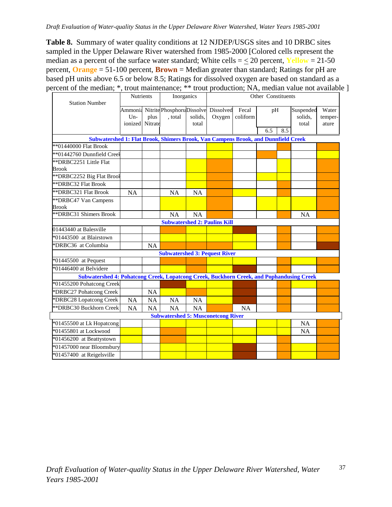**Table 8.** Summary of water quality conditions at 12 NJDEP/USGS sites and 10 DRBC sites sampled in the Upper Delaware River watershed from 1985-2000 [Colored cells represent the median as a percent of the surface water standard; White cells  $=$  < 20 percent, **Yellow** = 21-50 percent, **Orange** = 51-100 percent, **Brown** = Median greater than standard; Ratings for pH are based pH units above 6.5 or below 8.5; Ratings for dissolved oxygen are based on standard as a percent of the median; \*, trout maintenance; \*\* trout production; NA, median value not available ]

| <b>Station Number</b>                                                                    | Nutrients                |           | Inorganics                                              |                  | Other Constituents                  |                   |     |     |                               |                           |
|------------------------------------------------------------------------------------------|--------------------------|-----------|---------------------------------------------------------|------------------|-------------------------------------|-------------------|-----|-----|-------------------------------|---------------------------|
|                                                                                          | $Un-$<br>ionized Nitrate | plus      | Ammonia Nitrite Phosphoru Dissolve Dissolved<br>, total | solids,<br>total | Oxygen                              | Fecal<br>coliform | pH  |     | Suspended<br>solids,<br>total | Water<br>temper-<br>ature |
|                                                                                          |                          |           |                                                         |                  |                                     |                   | 6.5 | 8.5 |                               |                           |
| Subwatershed 1: Flat Brook, Shimers Brook, Van Campens Brook, and Dunnfield Creek        |                          |           |                                                         |                  |                                     |                   |     |     |                               |                           |
| **01440000 Flat Brook                                                                    |                          |           |                                                         |                  |                                     |                   |     |     |                               |                           |
| ** 01442760 Dunnfield Creel                                                              |                          |           |                                                         |                  |                                     |                   |     |     |                               |                           |
| **DRBC2251 Little Flat                                                                   |                          |           |                                                         |                  |                                     |                   |     |     |                               |                           |
| <b>Brook</b>                                                                             |                          |           |                                                         |                  |                                     |                   |     |     |                               |                           |
| ** DRBC2252 Big Flat Brool                                                               |                          |           |                                                         |                  |                                     |                   |     |     |                               |                           |
| **DRBC32 Flat Brook                                                                      |                          |           |                                                         |                  |                                     |                   |     |     |                               |                           |
| **DRBC321 Flat Brook                                                                     | <b>NA</b>                |           | <b>NA</b>                                               | <b>NA</b>        |                                     |                   |     |     |                               |                           |
| **DRBC47 Van Campens<br><b>Brook</b>                                                     |                          |           |                                                         |                  |                                     |                   |     |     |                               |                           |
| **DRBC31 Shimers Brook                                                                   |                          |           | <b>NA</b>                                               | <b>NA</b>        |                                     |                   |     |     | <b>NA</b>                     |                           |
|                                                                                          |                          |           |                                                         |                  | <b>Subwatershed 2: Paulins Kill</b> |                   |     |     |                               |                           |
| 01443440 at Balesville                                                                   |                          |           |                                                         |                  |                                     |                   |     |     |                               |                           |
| *01443500 at Blairstown                                                                  |                          |           |                                                         |                  |                                     |                   |     |     |                               |                           |
| *DRBC36 at Columbia                                                                      |                          | <b>NA</b> |                                                         |                  |                                     |                   |     |     |                               |                           |
|                                                                                          |                          |           | <b>Subwatershed 3: Pequest River</b>                    |                  |                                     |                   |     |     |                               |                           |
| *01445500 at Pequest                                                                     |                          |           |                                                         |                  |                                     |                   |     |     |                               |                           |
| *01446400 at Belvidere                                                                   |                          |           |                                                         |                  |                                     |                   |     |     |                               |                           |
| Subwatershed 4: Pohatcong Creek, Lopatcong Creek, Buckhorn Creek, and Pophandusing Creek |                          |           |                                                         |                  |                                     |                   |     |     |                               |                           |
| *01455200 Pohatcong Creek                                                                |                          |           |                                                         |                  |                                     |                   |     |     |                               |                           |
| *DRBC27 Pohatcong Creek                                                                  |                          | $\rm NA$  |                                                         |                  |                                     |                   |     |     |                               |                           |
| *DRBC28 Lopatcong Creek                                                                  | <b>NA</b>                | <b>NA</b> | <b>NA</b>                                               | <b>NA</b>        |                                     |                   |     |     |                               |                           |
| **DRBC30 Buckhorn Creek                                                                  | <b>NA</b>                | <b>NA</b> | <b>NA</b>                                               | NA               |                                     | <b>NA</b>         |     |     |                               |                           |
|                                                                                          |                          |           | <b>Subwatershed 5: Musconetcong River</b>               |                  |                                     |                   |     |     |                               |                           |
| *01455500 at Lk Hopatcong                                                                |                          |           |                                                         |                  |                                     |                   |     |     | NA                            |                           |
| *01455801 at Lockwood                                                                    |                          |           |                                                         |                  |                                     |                   |     |     | <b>NA</b>                     |                           |
| *01456200 at Beattystown                                                                 |                          |           |                                                         |                  |                                     |                   |     |     |                               |                           |
| *01457000 near Bloomsbury                                                                |                          |           |                                                         |                  |                                     |                   |     |     |                               |                           |
| *01457400 at Reigelsville                                                                |                          |           |                                                         |                  |                                     |                   |     |     |                               |                           |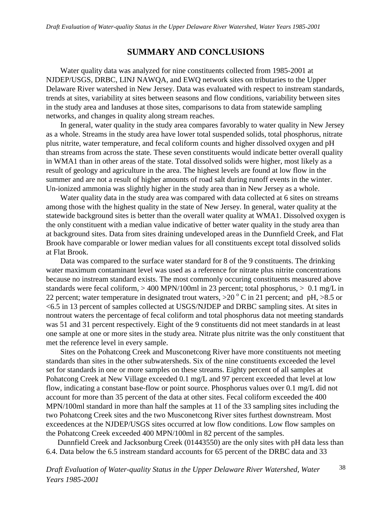### **SUMMARY AND CONCLUSIONS**

Water quality data was analyzed for nine constituents collected from 1985-2001 at NJDEP/USGS, DRBC, LINJ NAWQA, and EWQ network sites on tributaries to the Upper Delaware River watershed in New Jersey. Data was evaluated with respect to instream standards, trends at sites, variability at sites between seasons and flow conditions, variability between sites in the study area and landuses at those sites, comparisons to data from statewide sampling networks, and changes in quality along stream reaches.

In general, water quality in the study area compares favorably to water quality in New Jersey as a whole. Streams in the study area have lower total suspended solids, total phosphorus, nitrate plus nitrite, water temperature, and fecal coliform counts and higher dissolved oxygen and pH than streams from across the state. These seven constituents would indicate better overall quality in WMA1 than in other areas of the state. Total dissolved solids were higher, most likely as a result of geology and agriculture in the area. The highest levels are found at low flow in the summer and are not a result of higher amounts of road salt during runoff events in the winter. Un-ionized ammonia was slightly higher in the study area than in New Jersey as a whole.

Water quality data in the study area was compared with data collected at 6 sites on streams among those with the highest quality in the state of New Jersey. In general, water quality at the statewide background sites is better than the overall water quality at WMA1. Dissolved oxygen is the only constituent with a median value indicative of better water quality in the study area than at background sites. Data from sites draining undeveloped areas in the Dunnfield Creek, and Flat Brook have comparable or lower median values for all constituents except total dissolved solids at Flat Brook.

Data was compared to the surface water standard for 8 of the 9 constituents. The drinking water maximum contaminant level was used as a reference for nitrate plus nitrite concentrations because no instream standard exists. The most commonly occuring constituents measured above standards were fecal coliform,  $> 400$  MPN/100ml in 23 percent; total phosphorus,  $> 0.1$  mg/L in 22 percent; water temperature in designated trout waters,  $>$  20 ° C in 21 percent; and pH,  $>$ 8.5 or <6.5 in 13 percent of samples collected at USGS/NJDEP and DRBC sampling sites. At sites in nontrout waters the percentage of fecal coliform and total phosphorus data not meeting standards was 51 and 31 percent respectively. Eight of the 9 constituents did not meet standards in at least one sample at one or more sites in the study area. Nitrate plus nitrite was the only constituent that met the reference level in every sample.

Sites on the Pohatcong Creek and Musconetcong River have more constituents not meeting standards than sites in the other subwatersheds. Six of the nine constituents exceeded the level set for standards in one or more samples on these streams. Eighty percent of all samples at Pohatcong Creek at New Village exceeded 0.1 mg/L and 97 percent exceeded that level at low flow, indicating a constant base-flow or point source. Phosphorus values over 0.1 mg/L did not account for more than 35 percent of the data at other sites. Fecal coliform exceeded the 400 MPN/100ml standard in more than half the samples at 11 of the 33 sampling sites including the two Pohatcong Creek sites and the two Musconetcong River sites furthest downstream. Most exceedences at the NJDEP/USGS sites occurred at low flow conditions. Low flow samples on the Pohatcong Creek exceeded 400 MPN/100ml in 82 percent of the samples.

Dunnfield Creek and Jacksonburg Creek (01443550) are the only sites with pH data less than 6.4. Data below the 6.5 instream standard accounts for 65 percent of the DRBC data and 33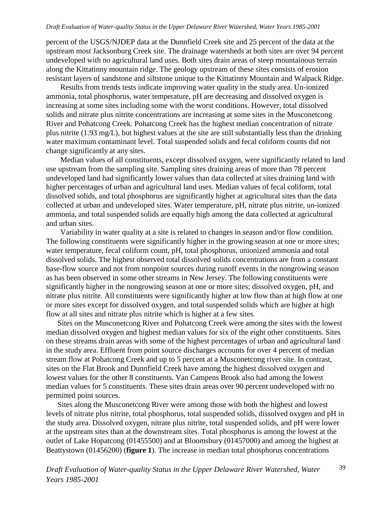percent of the USGS/NJDEP data at the Dunnfield Creek site and 25 percent of the data at the upstream most Jacksonburg Creek site. The drainage watersheds at both sites are over 94 percent undeveloped with no agricultural land uses. Both sites drain areas of steep mountainous terrain along the Kittatinny mountain ridge. The geology upstream of these sites consists of erosion resistant layers of sandstone and siltstone unique to the Kittatinny Mountain and Walpack Ridge.

Results from trends tests indicate improving water quality in the study area. Un-ionized ammonia, total phosphorus, water temperature, pH are decreasing and dissolved oxygen is increasing at some sites including some with the worst conditions. However, total dissolved solids and nitrate plus nitrite concentrations are increasing at some sites in the Musconetcong River and Pohatcong Creek. Pohatcong Creek has the highest median concentration of nitrate plus nitrite (1.93 mg/L), but highest values at the site are still substantially less than the drinking water maximum contaminant level. Total suspended solids and fecal coliform counts did not change significantly at any sites.

Median values of all constituents, except dissolved oxygen, were significantly related to land use upstream from the sampling site. Sampling sites draining areas of more than 78 percent undeveloped land had significantly lower values than data collected at sites draining land with higher percentages of urban and agricultural land uses. Median values of fecal coliform, total dissolved solids, and total phosphorus are significantly higher at agricultural sites than the data collected at urban and undeveloped sites. Water temperature, pH, nitrate plus nitrite, un-ionized ammonia, and total suspended solids are equally high among the data collected at agricultural and urban sites.

Variability in water quality at a site is related to changes in season and/or flow condition. The following constituents were significantly higher in the growing season at one or more sites; water temperature, fecal coliform count, pH, total phosphorus, unionized ammonia and total dissolved solids. The highest observed total dissolved solids concentrations are from a constant base-flow source and not from nonpoint sources during runoff events in the nongrowing season as has been observed in some other streams in New Jersey. The following constituents were significantly higher in the nongrowing season at one or more sites; dissolved oxygen, pH, and nitrate plus nitrite. All constituents were significantly higher at low flow than at high flow at one or more sites except for dissolved oxygen, and total suspended solids which are higher at high flow at all sites and nitrate plus nitrite which is higher at a few sites.

Sites on the Musconetcong River and Pohatcong Creek were among the sites with the lowest median dissolved oxygen and highest median values for six of the eight other constituents. Sites on these streams drain areas with some of the highest percentages of urban and agricultural land in the study area. Effluent from point source discharges accounts for over 4 percent of median stream flow at Pohatcong Creek and up to 5 percent at a Musconetcong river site. In contrast, sites on the Flat Brook and Dunnfield Creek have among the highest dissolved oxygen and lowest values for the other 8 constituents. Van Campens Brook also had among the lowest median values for 5 constituents. These sites drain areas over 90 percent undeveloped with no permitted point sources.

Sites along the Musconetcong River were among those with both the highest and lowest levels of nitrate plus nitrite, total phosphorus, total suspended solids, dissolved oxygen and pH in the study area. Dissolved oxygen, nitrate plus nitrite, total suspended solids, and pH were lower at the upstream sites than at the downstream sites. Total phosphorus is among the lowest at the outlet of Lake Hopatcong (01455500) and at Bloomsbury (01457000) and among the highest at Beattystown (01456200) (**figure 1**). The increase in median total phosphorus concentrations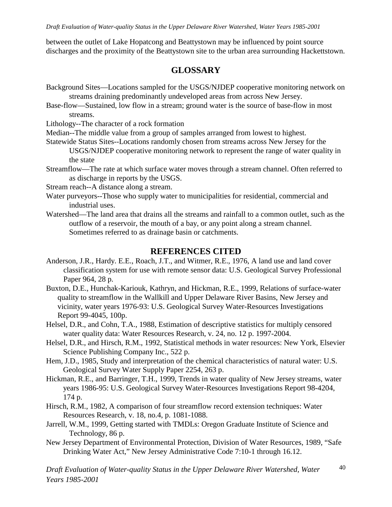*Draft Evaluation of Water-quality Status in the Upper Delaware River Watershed, Water Years 1985-2001* 

between the outlet of Lake Hopatcong and Beattystown may be influenced by point source discharges and the proximity of the Beattystown site to the urban area surrounding Hackettstown.

# **GLOSSARY**

- Background Sites—Locations sampled for the USGS/NJDEP cooperative monitoring network on streams draining predominantly undeveloped areas from across New Jersey.
- Base-flow—Sustained, low flow in a stream; ground water is the source of base-flow in most streams.
- Lithology--The character of a rock formation
- Median--The middle value from a group of samples arranged from lowest to highest.

Statewide Status Sites--Locations randomly chosen from streams across New Jersey for the USGS/NJDEP cooperative monitoring network to represent the range of water quality in the state

Streamflow—The rate at which surface water moves through a stream channel. Often referred to as discharge in reports by the USGS.

Stream reach--A distance along a stream.

- Water purveyors--Those who supply water to municipalities for residential, commercial and industrial uses.
- Watershed—The land area that drains all the streams and rainfall to a common outlet, such as the outflow of a reservoir, the mouth of a bay, or any point along a stream channel. Sometimes referred to as drainage basin or catchments.

### **REFERENCES CITED**

- Anderson, J.R., Hardy. E.E., Roach, J.T., and Witmer, R.E., 1976, A land use and land cover classification system for use with remote sensor data: U.S. Geological Survey Professional Paper 964, 28 p.
- Buxton, D.E., Hunchak-Kariouk, Kathryn, and Hickman, R.E., 1999, Relations of surface-water quality to streamflow in the Wallkill and Upper Delaware River Basins, New Jersey and vicinity, water years 1976-93: U.S. Geological Survey Water-Resources Investigations Report 99-4045, 100p.
- Helsel, D.R., and Cohn, T.A., 1988, Estimation of descriptive statistics for multiply censored water quality data: Water Resources Research, v. 24, no. 12 p. 1997-2004.
- Helsel, D.R., and Hirsch, R.M., 1992, Statistical methods in water resources: New York, Elsevier Science Publishing Company Inc., 522 p.
- Hem, J.D., 1985, Study and interpretation of the chemical characteristics of natural water: U.S. Geological Survey Water Supply Paper 2254, 263 p.
- Hickman, R.E., and Barringer, T.H., 1999, Trends in water quality of New Jersey streams, water years 1986-95: U.S. Geological Survey Water-Resources Investigations Report 98-4204, 174 p.
- Hirsch, R.M., 1982, A comparison of four streamflow record extension techniques: Water Resources Research, v. 18, no.4, p. 1081-1088.
- Jarrell, W.M., 1999, Getting started with TMDLs: Oregon Graduate Institute of Science and Technology, 86 p.
- New Jersey Department of Environmental Protection, Division of Water Resources, 1989, "Safe Drinking Water Act," New Jersey Administrative Code 7:10-1 through 16.12.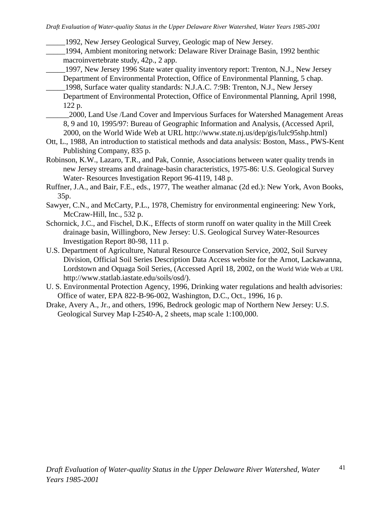\_\_\_\_\_1992, New Jersey Geological Survey, Geologic map of New Jersey.

- \_\_\_\_\_1994, Ambient monitoring network: Delaware River Drainage Basin, 1992 benthic macroinvertebrate study, 42p., 2 app.
	- \_\_\_\_\_1997, New Jersey 1996 State water quality inventory report: Trenton, N.J., New Jersey Department of Environmental Protection, Office of Environmental Planning, 5 chap.

\_\_\_\_\_1998, Surface water quality standards: N.J.A.C. 7:9B: Trenton, N.J., New Jersey Department of Environmental Protection, Office of Environmental Planning, April 1998, 122 p.

- \_\_\_\_\_\_2000, Land Use /Land Cover and Impervious Surfaces for Watershed Management Areas 8, 9 and 10, 1995/97: Bureau of Geographic Information and Analysis, (Accessed April, 2000, on the World Wide Web at URL http://www.state.nj.us/dep/gis/lulc95shp.html)
- Ott, L., 1988, An introduction to statistical methods and data analysis: Boston, Mass., PWS-Kent Publishing Company, 835 p.
- Robinson, K.W., Lazaro, T.R., and Pak, Connie, Associations between water quality trends in new Jersey streams and drainage-basin characteristics, 1975-86: U.S. Geological Survey Water- Resources Investigation Report 96-4119, 148 p.

Ruffner, J.A., and Bair, F.E., eds., 1977, The weather almanac (2d ed.): New York, Avon Books, 35p.

- Sawyer, C.N., and McCarty, P.L., 1978, Chemistry for environmental engineering: New York, McCraw-Hill, Inc., 532 p.
- Schornick, J.C., and Fischel, D.K., Effects of storm runoff on water quality in the Mill Creek drainage basin, Willingboro, New Jersey: U.S. Geological Survey Water-Resources Investigation Report 80-98, 111 p.
- U.S. Department of Agriculture, Natural Resource Conservation Service, 2002, Soil Survey Division, Official Soil Series Description Data Access website for the Arnot, Lackawanna, Lordstown and Oquaga Soil Series, (Accessed April 18, 2002, on the World Wide Web at URL http://www.statlab.iastate.edu/soils/osd/).
- U. S. Environmental Protection Agency, 1996, Drinking water regulations and health advisories: Office of water, EPA 822-B-96-002, Washington, D.C., Oct., 1996, 16 p.
- Drake, Avery A., Jr., and others, 1996, Bedrock geologic map of Northern New Jersey: U.S. Geological Survey Map I-2540-A, 2 sheets, map scale 1:100,000.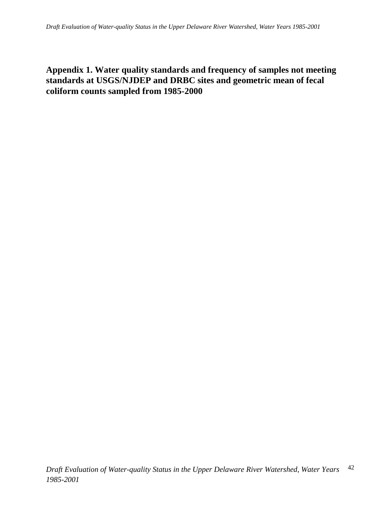## **Appendix 1. Water quality standards and frequency of samples not meeting standards at USGS/NJDEP and DRBC sites and geometric mean of fecal coliform counts sampled from 1985-2000**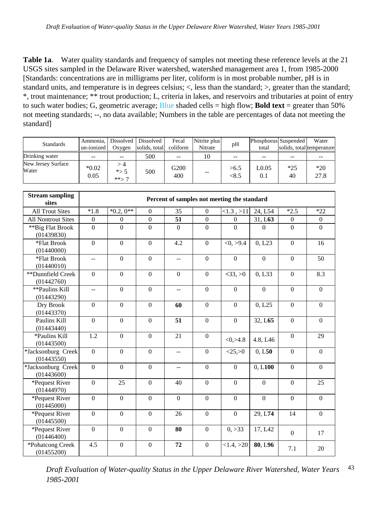**Table 1a**. Water quality standards and frequency of samples not meeting these reference levels at the 21 USGS sites sampled in the Delaware River watershed, watershed management area 1, from 1985-2000 [Standards: concentrations are in milligrams per liter, coliform is in most probable number, pH is in standard units, and temperature is in degrees celsius; <, less than the standard; >, greater than the standard; \*, trout maintenance; \*\* trout production; L, criteria in lakes, and reservoirs and tributaries at point of entry to such water bodies; G, geometric average; Blue shaded cells = high flow; **Bold text** = greater than 50% not meeting standards; --, no data available; Numbers in the table are percentages of data not meeting the standard]

| <b>Standards</b>            | Ammonia.<br>un-ionized | Oxygen                  | Dissolved   Dissolved<br>solids, total | Fecal<br>coliform | Nitrite plus<br>Nitrate | pH            | Phosphorus Suspended<br>total | solids, total temperature | Water         |
|-----------------------------|------------------------|-------------------------|----------------------------------------|-------------------|-------------------------|---------------|-------------------------------|---------------------------|---------------|
| Drinking water              | $- -$                  | $- -$                   | 500                                    | $- -$             | 10                      | $- -$         | $- -$                         | $- -$                     |               |
| New Jersey Surface<br>Water | $*0.02$<br>0.05        | >4<br>$*$ > 5<br>$**$ 7 | 500                                    | G200<br>400       | $- -$                   | >6.5<br>< 8.5 | L0.05<br>0.1                  | $*25$<br>40               | $*20$<br>27.8 |

| <b>Stream sampling</b><br>sites  |                  | Percent of samples not meeting the standard |                  |                |                  |                |                      |                  |                  |  |  |  |  |
|----------------------------------|------------------|---------------------------------------------|------------------|----------------|------------------|----------------|----------------------|------------------|------------------|--|--|--|--|
| <b>All Trout Sites</b>           | $*1.8$           | $*0.2,0**$                                  | $\Omega$         | 35             | $\mathbf{0}$     | $<1.3$ , $>11$ | 24, L54              | $*2.5$           | $*22$            |  |  |  |  |
| <b>All Nontrout Sites</b>        | $\boldsymbol{0}$ | $\boldsymbol{0}$                            | $\boldsymbol{0}$ | 51             | $\mathbf{0}$     | $\overline{0}$ | 31, L63              | $\boldsymbol{0}$ | $\boldsymbol{0}$ |  |  |  |  |
| **Big Flat Brook<br>(01439830)   | $\overline{0}$   | $\overline{0}$                              | $\mathbf{0}$     | $\overline{0}$ | $\overline{0}$   | $\Omega$       | $\overline{0}$       | $\mathbf{0}$     | $\overline{0}$   |  |  |  |  |
| *Flat Brook<br>(01440000)        | $\overline{0}$   | $\overline{0}$                              | $\overline{0}$   | 4.2            | $\overline{0}$   | <0, >9.4       | 0, L23               | $\overline{0}$   | 16               |  |  |  |  |
| *Flat Brook<br>(01440010)        | $\overline{a}$   | $\mathbf{0}$                                | $\mathbf{0}$     | --             | $\theta$         | $\Omega$       | $\overline{0}$       | $\mathbf{0}$     | 50               |  |  |  |  |
| **Dunnfield Creek<br>(01442760)  | $\mathbf{0}$     | $\mathbf{0}$                                | $\overline{0}$   | $\overline{0}$ | $\mathbf{0}$     | $<$ 33, $>0$   | 0, L33               | $\overline{0}$   | 8.3              |  |  |  |  |
| **Paulins Kill<br>(01443290)     | $-$              | $\boldsymbol{0}$                            | $\mathbf{0}$     | --             | $\boldsymbol{0}$ | $\mathbf{0}$   | $\mathbf{0}$         | $\overline{0}$   | $\overline{0}$   |  |  |  |  |
| Dry Brook<br>(01443370)          | $\mathbf{0}$     | $\boldsymbol{0}$                            | $\boldsymbol{0}$ | 60             | $\boldsymbol{0}$ | $\mathbf{0}$   | 0, L25               | $\mathbf{0}$     | $\boldsymbol{0}$ |  |  |  |  |
| Paulins Kill<br>(01443440)       | $\overline{0}$   | $\boldsymbol{0}$                            | $\boldsymbol{0}$ | 51             | $\boldsymbol{0}$ | $\mathbf{0}$   | 32, L65              | $\boldsymbol{0}$ | $\mathbf{0}$     |  |  |  |  |
| *Paulins Kill<br>(01443500)      | 1.2              | $\overline{0}$                              | $\boldsymbol{0}$ | 21             | $\mathbf{0}$     | <0, >4.8       | 4.8, L <sub>46</sub> | $\mathbf{0}$     | 29               |  |  |  |  |
| *Jacksonburg Creek<br>(01443550) | $\overline{0}$   | $\mathbf{0}$                                | $\mathbf{0}$     | --             | $\mathbf{0}$     | <25, >0        | 0, L50               | $\mathbf{0}$     | $\overline{0}$   |  |  |  |  |
| *Jacksonburg Creek<br>(01443600) | $\boldsymbol{0}$ | $\boldsymbol{0}$                            | $\boldsymbol{0}$ | --             | $\boldsymbol{0}$ | $\mathbf{0}$   | 0, L100              | $\boldsymbol{0}$ | $\boldsymbol{0}$ |  |  |  |  |
| *Pequest River<br>(01444970)     | $\overline{0}$   | 25                                          | $\mathbf{0}$     | 40             | $\mathbf{0}$     | $\overline{0}$ | $\mathbf{0}$         | $\overline{0}$   | 25               |  |  |  |  |
| *Pequest River<br>(01445000)     | $\overline{0}$   | $\mathbf{0}$                                | $\boldsymbol{0}$ | $\overline{0}$ | $\theta$         | $\mathbf{0}$   | $\mathbf{0}$         | $\mathbf{0}$     | $\mathbf{0}$     |  |  |  |  |
| *Pequest River<br>(01445500)     | $\boldsymbol{0}$ | $\boldsymbol{0}$                            | $\boldsymbol{0}$ | 26             | $\boldsymbol{0}$ | $\mathbf{0}$   | 29, L74              | 14               | $\mathbf{0}$     |  |  |  |  |
| *Pequest River<br>(01446400)     | $\Omega$         | $\overline{0}$                              | $\overline{0}$   | 80             | $\overline{0}$   | 0, >33         | 17, L42              | $\boldsymbol{0}$ | 17               |  |  |  |  |
| *Pohatcong Creek<br>(01455200)   | 4.5              | $\overline{0}$                              | $\mathbf{0}$     | ${\bf 72}$     | $\overline{0}$   | <1.4, >20      | 80, L96              | 7.1              | 20               |  |  |  |  |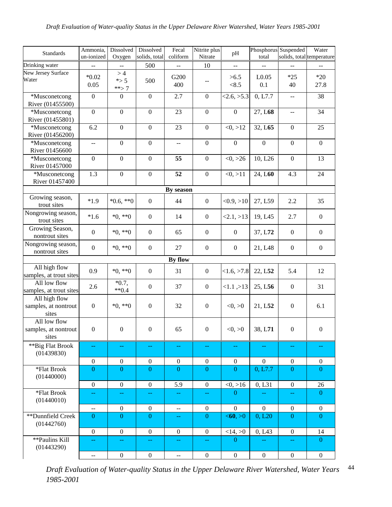| Standards                                      | Ammonia,<br>un-ionized | Dissolved<br>Oxygen                           | Dissolved<br>solids, total | Fecal<br>coliform        | Nitrite plus<br>Nitrate | pH               | total               | Phosphorus Suspended     | Water<br>solids, total temperature |
|------------------------------------------------|------------------------|-----------------------------------------------|----------------------------|--------------------------|-------------------------|------------------|---------------------|--------------------------|------------------------------------|
| Drinking water                                 |                        | $\mathord{\hspace{1pt}\text{--}\hspace{1pt}}$ | 500                        |                          | 10                      |                  |                     |                          |                                    |
| New Jersey Surface                             | $*0.02$                | >4                                            |                            | G200                     |                         |                  | L0.05               | $*25$                    | $*20$                              |
| Water                                          | 0.05                   | $*$ > 5                                       | 500                        | 400                      |                         | >6.5<br>< 8.5    | 0.1                 | 40                       | 27.8                               |
|                                                |                        | $**$ >7                                       |                            |                          |                         |                  |                     |                          |                                    |
| *Musconetcong<br>River (01455500)              | $\overline{0}$         | $\boldsymbol{0}$                              | $\boldsymbol{0}$           | 2.7                      | $\boldsymbol{0}$        | <2.6, >5.3       | 0, L7.7             | $\overline{\phantom{a}}$ | 38                                 |
| *Musconetcong<br>River (01455801)              | $\boldsymbol{0}$       | $\boldsymbol{0}$                              | $\boldsymbol{0}$           | 23                       | $\boldsymbol{0}$        | $\boldsymbol{0}$ | 27, L68             | $\mathrel{{-}-}$         | 34                                 |
| *Musconetcong<br>River (01456200)              | 6.2                    | $\boldsymbol{0}$                              | $\boldsymbol{0}$           | 23                       | $\boldsymbol{0}$        | <0, >12          | 32, L65             | $\boldsymbol{0}$         | 25                                 |
| *Musconetcong<br>River 01456600                | --                     | $\boldsymbol{0}$                              | $\boldsymbol{0}$           | $\overline{\phantom{a}}$ | $\boldsymbol{0}$        | $\mathbf{0}$     | $\boldsymbol{0}$    | $\boldsymbol{0}$         | $\mathbf{0}$                       |
| *Musconetcong<br>River 01457000                | $\boldsymbol{0}$       | $\boldsymbol{0}$                              | $\boldsymbol{0}$           | 55                       | $\boldsymbol{0}$        | <0, >26          | 10, L <sub>26</sub> | $\boldsymbol{0}$         | 13                                 |
| *Musconetcong<br>River 01457400                | 1.3                    | $\boldsymbol{0}$                              | $\boldsymbol{0}$           | 52                       | $\boldsymbol{0}$        | <0, >11          | 24, L60             | 4.3                      | 24                                 |
|                                                |                        |                                               |                            | By season                |                         |                  |                     |                          |                                    |
| Growing season,<br>trout sites                 | $*1.9$                 | $*0.6, **0$                                   | $\boldsymbol{0}$           | 44                       | $\overline{0}$          | $<0.9$ , $>10$   | 27, L59             | 2.2                      | 35                                 |
| Nongrowing season,<br>trout sites              | $*1.6$                 | $*0, **0$                                     | $\boldsymbol{0}$           | 14                       | $\boldsymbol{0}$        | <2.1, >13        | 19, L <sub>45</sub> | 2.7                      | $\boldsymbol{0}$                   |
| Growing Season,<br>nontrout sites              | $\boldsymbol{0}$       | $*0, **0$                                     | $\boldsymbol{0}$           | 65                       | $\boldsymbol{0}$        | $\boldsymbol{0}$ | 37, L72             | $\boldsymbol{0}$         | $\boldsymbol{0}$                   |
| Nongrowing season,<br>nontrout sites           | $\boldsymbol{0}$       | $*0, **0$                                     | $\boldsymbol{0}$           | 27                       | $\boldsymbol{0}$        | $\boldsymbol{0}$ | 21, L48             | $\boldsymbol{0}$         | $\boldsymbol{0}$                   |
|                                                |                        |                                               |                            | By flow                  |                         |                  |                     |                          |                                    |
| All high flow<br>samples, at trout sites       | 0.9                    | $*0, **0$                                     | $\boldsymbol{0}$           | 31                       | $\boldsymbol{0}$        | <1.6, >7.8       | 22, L52             | 5.4                      | 12                                 |
| All low flow<br>samples, at trout sites        | 2.6                    | $*0.7,$<br>$**0.4$                            | $\boldsymbol{0}$           | 37                       | $\boldsymbol{0}$        | <1.1, >13        | 25, L <sub>56</sub> | $\boldsymbol{0}$         | 31                                 |
| All high flow<br>samples, at nontrout<br>sites | $\boldsymbol{0}$       | $*0, **0$                                     | $\boldsymbol{0}$           | 32                       | $\boldsymbol{0}$        | <0, >0           | 21, L52             | $\boldsymbol{0}$         | 6.1                                |
| All low flow<br>samples, at nontrout<br>sites  | $\overline{0}$         | $\boldsymbol{0}$                              | $\boldsymbol{0}$           | 65                       | $\boldsymbol{0}$        | < 0, > 0         | 38, L71             | $\Omega$                 | $\Omega$                           |
| **Big Flat Brook<br>(01439830)                 |                        |                                               |                            |                          |                         |                  |                     |                          |                                    |
|                                                | $\boldsymbol{0}$       | $\boldsymbol{0}$                              | $\boldsymbol{0}$           | $\boldsymbol{0}$         | $\boldsymbol{0}$        | $\boldsymbol{0}$ | $\boldsymbol{0}$    | $\boldsymbol{0}$         | $\boldsymbol{0}$                   |
| *Flat Brook<br>(01440000)                      | $\overline{0}$         | $\overline{0}$                                | $\overline{0}$             | $\overline{0}$           | $\overline{0}$          | $\overline{0}$   | 0, L7.7             | $\overline{0}$           | $\overline{0}$                     |
|                                                | $\boldsymbol{0}$       | $\boldsymbol{0}$                              | $\boldsymbol{0}$           | 5.9                      | $\boldsymbol{0}$        | <0, >16          | 0, L31              | $\boldsymbol{0}$         | 26                                 |
| *Flat Brook<br>(01440010)                      |                        |                                               | 44                         |                          | н.                      | $\overline{0}$   |                     |                          | $\overline{0}$                     |
|                                                | --                     | $\boldsymbol{0}$                              | $\boldsymbol{0}$           | --                       | $\boldsymbol{0}$        | $\boldsymbol{0}$ | $\overline{0}$      | $\boldsymbol{0}$         | $\boldsymbol{0}$                   |
| **Dunnfield Creek<br>(01442760)                | $\overline{0}$         | $\boldsymbol{0}$                              | $\boldsymbol{0}$           | 44                       | $\overline{0}$          | $<$ 60, $>$ 0    | 0, L20              | $\boldsymbol{0}$         | $\overline{0}$                     |
|                                                | $\boldsymbol{0}$       | $\boldsymbol{0}$                              | $\boldsymbol{0}$           | $\boldsymbol{0}$         | $\boldsymbol{0}$        | <14, >0          | 0, L43              | $\boldsymbol{0}$         | 14                                 |
| **Paulins Kill<br>(01443290)                   |                        |                                               | 44                         |                          | --                      | $\overline{0}$   |                     |                          | $\overline{0}$                     |
|                                                | $-$                    | $\boldsymbol{0}$                              | $\boldsymbol{0}$           | --                       | $\boldsymbol{0}$        | $\boldsymbol{0}$ | $\boldsymbol{0}$    | $\boldsymbol{0}$         | $\boldsymbol{0}$                   |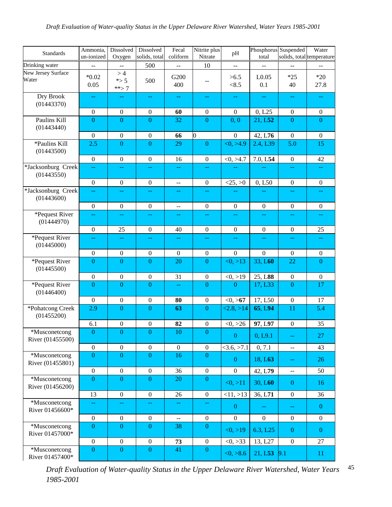| <b>Standards</b>                            | Ammonia,<br>un-ionized | Dissolved<br>Oxygen      | Dissolved<br>solids, total | Fecal<br>coliform        | Nitrite plus<br>Nitrate | pH               | total                    | Phosphorus Suspended      | Water<br>solids, total temperature |
|---------------------------------------------|------------------------|--------------------------|----------------------------|--------------------------|-------------------------|------------------|--------------------------|---------------------------|------------------------------------|
| Drinking water                              | --                     | $\overline{a}$           | 500                        | $\overline{a}$           | 10                      | --               | $\overline{a}$           |                           |                                    |
| New Jersey Surface<br>Water                 | $*0.02$<br>0.05        | >4<br>$*$ > 5<br>$**$ >7 | 500                        | G200<br>400              |                         | >6.5<br>< 8.5    | L <sub>0.05</sub><br>0.1 | $*25$<br>40               | $*20$<br>27.8                      |
| Dry Brook<br>(01443370)                     | 44                     |                          | 44                         | ÷÷                       | --                      |                  | --                       | --                        | 44                                 |
|                                             | $\boldsymbol{0}$       | $\boldsymbol{0}$         | $\boldsymbol{0}$           | 60                       | $\boldsymbol{0}$        | $\mathbf{0}$     | 0, L25                   | $\boldsymbol{0}$          | $\boldsymbol{0}$                   |
| Paulins Kill<br>(01443440)                  | $\overline{0}$         | $\overline{0}$           | $\overline{0}$             | 32                       | $\mathbf{0}$            | 0, 0             | 21, L52                  | $\overline{0}$            | $\overline{0}$                     |
|                                             | $\boldsymbol{0}$       | $\boldsymbol{0}$         | $\boldsymbol{0}$           | 66                       | $\overline{0}$          | $\mathbf{0}$     | 42, L76                  | $\boldsymbol{0}$          | $\boldsymbol{0}$                   |
| *Paulins Kill<br>(01443500)                 | 2.5                    | $\overline{0}$           | $\overline{0}$             | 29                       | $\boldsymbol{0}$        | <0, >4.9         | 2.4, L39                 | 5.0                       | 15                                 |
|                                             | $\boldsymbol{0}$       | $\boldsymbol{0}$         | $\boldsymbol{0}$           | 16                       | $\boldsymbol{0}$        | <0, >4.7         | 7.0, L54                 | $\boldsymbol{0}$          | 42                                 |
| *Jacksonburg Creek<br>(01443550)            | μü                     | 44                       | 44                         | 44                       | $\rightarrow$           |                  |                          | $\rightarrow$             | 44                                 |
|                                             | $\boldsymbol{0}$       | $\boldsymbol{0}$         | $\boldsymbol{0}$           | --                       | $\boldsymbol{0}$        | <25, >0          | 0, L50                   | $\boldsymbol{0}$          | $\boldsymbol{0}$                   |
| *Jacksonburg Creek<br>(01443600)            | 44                     | 44                       | 44                         | 44                       | --                      |                  |                          | $\rightarrow$             | $\rightarrow$                      |
|                                             | $\boldsymbol{0}$       | $\boldsymbol{0}$         | $\boldsymbol{0}$           | $\overline{\phantom{a}}$ | $\boldsymbol{0}$        | $\boldsymbol{0}$ | $\boldsymbol{0}$         | $\boldsymbol{0}$          | $\boldsymbol{0}$                   |
| *Pequest River<br>(01444970)                | μü                     | 44                       | 44                         | 44                       | $\perp$ $\perp$         |                  |                          | $\rightarrow$             | μü                                 |
|                                             | $\boldsymbol{0}$       | $25\,$                   | $\boldsymbol{0}$           | 40                       | $\mathbf{0}$            | $\mathbf{0}$     | $\boldsymbol{0}$         | $\boldsymbol{0}$          | 25                                 |
| *Pequest River<br>(01445000)                | 44                     |                          | --                         | 44                       | $\rightarrow$           |                  |                          | $\rightarrow$             |                                    |
|                                             | $\boldsymbol{0}$       | $\boldsymbol{0}$         | $\boldsymbol{0}$           | $\boldsymbol{0}$         | $\boldsymbol{0}$        | $\mathbf{0}$     | $\boldsymbol{0}$         | $\overline{0}$            | $\boldsymbol{0}$                   |
| *Pequest River<br>(01445500)                | $\overline{0}$         | $\Omega$                 | $\overline{0}$             | 20                       | $\boldsymbol{0}$        | <0, >13          | 33, L60                  | 22                        | $\overline{0}$                     |
|                                             | $\boldsymbol{0}$       | $\boldsymbol{0}$         | $\boldsymbol{0}$           | 31                       | $\boldsymbol{0}$        | <0, >19          | 25, L88                  | $\boldsymbol{0}$          | $\boldsymbol{0}$                   |
| *Pequest River<br>(01446400)                | $\overline{0}$         | $\overline{0}$           | $\overline{0}$             | 44                       | $\overline{0}$          | $\theta$         | 17, L33                  | $\overline{0}$            | 17                                 |
|                                             | $\boldsymbol{0}$       | $\boldsymbol{0}$         | $\boldsymbol{0}$           | 80                       | $\boldsymbol{0}$        | $<$ 0, >67       | 17, L50                  | $\boldsymbol{0}$          | 17                                 |
| *Pohatcong Creek<br>(01455200)              | 2.9                    | $\overline{0}$           | $\overline{0}$             | 63                       | $\overline{0}$          | < 2.8, > 14      | 65, L94                  | 11                        | 5.4                                |
|                                             | 6.1                    | $\boldsymbol{0}$         | $\boldsymbol{0}$           | 82                       | $\boldsymbol{0}$        | <0, >26          | 97, L97                  | $\boldsymbol{0}$          | 35                                 |
| $^*\!{\rm Musconetcon}$<br>River (01455500) | $\bf{0}$               | $\bf{0}$                 | $\bf{0}$                   | 10                       | 0                       | $\mathbf{0}$     | 0, L9.1                  | $\rightarrow$             | 27                                 |
|                                             | $\boldsymbol{0}$       | $\boldsymbol{0}$         | $\boldsymbol{0}$           | $\boldsymbol{0}$         | $\boldsymbol{0}$        | <3.6, >7.1       | 0, 7.1                   | $\overline{\phantom{a}}$  | 43                                 |
| *Musconetcong<br>River (01455801)           | $\overline{0}$         | $\boldsymbol{0}$         | $\boldsymbol{0}$           | 16                       | $\boldsymbol{0}$        | $\overline{0}$   | 18, L63                  | --                        | 26                                 |
|                                             | $\boldsymbol{0}$       | $\boldsymbol{0}$         | $\boldsymbol{0}$           | 36                       | $\boldsymbol{0}$        | $\overline{0}$   | 42, L79                  | $\mathbb{H}^{\mathbb{Z}}$ | 50                                 |
| *Musconetcong<br>River (01456200)           | $\overline{0}$         | $\overline{0}$           | $\overline{0}$             | 20                       | $\boldsymbol{0}$        | <0, >11          | 30, L60                  | $\mathbf{0}$              | 16                                 |
|                                             | 13                     | $\boldsymbol{0}$         | $\boldsymbol{0}$           | 26                       | $\boldsymbol{0}$        | <11, >13         | 36, L71                  | $\boldsymbol{0}$          | 36                                 |
| *Musconetcong<br>River 01456600*            |                        |                          |                            |                          |                         | $\boldsymbol{0}$ |                          |                           | $\overline{0}$                     |
|                                             | $\boldsymbol{0}$       | $\boldsymbol{0}$         | $\boldsymbol{0}$           | $\overline{\phantom{a}}$ | $\boldsymbol{0}$        | $\mathbf{0}$     | $\overline{0}$           | $\boldsymbol{0}$          | $\boldsymbol{0}$                   |
| *Musconetcong<br>River 01457000*            | $\overline{0}$         | $\overline{0}$           | $\overline{0}$             | 38                       | $\boldsymbol{0}$        | <0, >19          | $6.\overline{3}$ , L25   | $\mathbf{0}$              | $\boldsymbol{0}$                   |
|                                             | $\boldsymbol{0}$       | $\boldsymbol{0}$         | $\boldsymbol{0}$           | 73                       | $\boldsymbol{0}$        | <0, >33          | 13, L27                  | $\boldsymbol{0}$          | 27                                 |
| *Musconetcong<br>River 01457400*            | $\overline{0}$         | $\overline{0}$           | $\overline{0}$             | 41                       | $\overline{0}$          | <0, >8.6         | 21, L <sub>53</sub>      | 9.1                       | 11                                 |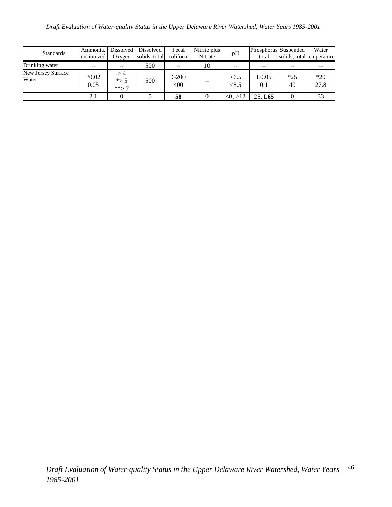| <b>Standards</b>            | Ammonia,<br>un-ionized | <b>Dissolved</b><br>Oxygen | Dissolved<br>solids, total | Fecal<br>coliform | Nitrite plus<br>Nitrate | pH            | Phosphorus Suspended<br>total |             | Water<br>solids, total temperature |
|-----------------------------|------------------------|----------------------------|----------------------------|-------------------|-------------------------|---------------|-------------------------------|-------------|------------------------------------|
| Drinking water              |                        |                            | 500                        | $-$               | 10                      | $-$           | --                            | --          |                                    |
| New Jersey Surface<br>Water | $*0.02$<br>0.05        | >4<br>$*$ 5<br>$**$ >7     | 500                        | G200<br>400       | --                      | >6.5<br>< 8.5 | L0.05<br>0.1                  | $*25$<br>40 | $*20$<br>27.8                      |
|                             | 2.1                    |                            |                            | 58                |                         | $<0.$ >12     | 25. L <sub>65</sub>           |             | 33                                 |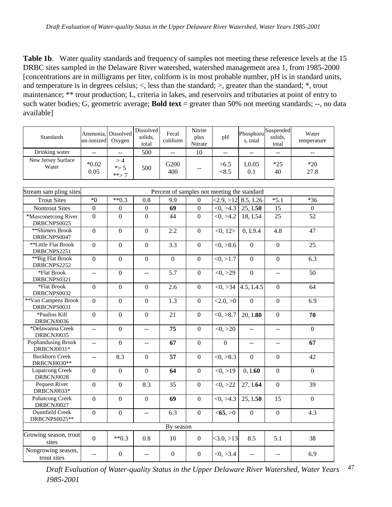Table 1b. Water quality standards and frequency of samples not meeting these reference levels at the 15 DRBC sites sampled in the Delaware River watershed, watershed management area 1, from 1985-2000 [concentrations are in milligrams per liter, coliform is in most probable number, pH is in standard units, and temperature is in degrees celsius; <, less than the standard; >, greater than the standard; \*, trout maintenance; \*\* trout production; L, criteria in lakes, and reservoirs and tributaries at point of entry to such water bodies; G, geometric average; **Bold text** = greater than 50% not meeting standards; --, no data available]

| <b>Standards</b>            | Ammonia, Dissolved<br>un-ionized | Oxygen                   | Dissolved<br>solids.<br>total | Fecal<br>coliform | Nitrite<br>plus<br>Nitrate | pH               | Phosphoru<br>s, total | Suspended<br>solids.<br>total | Water<br>temperature |
|-----------------------------|----------------------------------|--------------------------|-------------------------------|-------------------|----------------------------|------------------|-----------------------|-------------------------------|----------------------|
| Drinking water              | $-$                              | --                       | 500                           | --                | 10                         | $- -$            | $- -$                 | --                            | $- -$                |
| New Jersey Surface<br>Water | $*0.02$<br>0.05                  | >4<br>$*$ > 5<br>$**$ >7 | 500                           | G200<br>400       | --                         | >6.5<br>${<}8.5$ | L0.05<br>0.1          | $*25$<br>40                   | $*20$<br>27.8        |

| Stream sam pling sites                |                  | Percent of samples not meeting the standard |                          |                  |                  |           |                      |                                               |                  |  |  |  |  |  |
|---------------------------------------|------------------|---------------------------------------------|--------------------------|------------------|------------------|-----------|----------------------|-----------------------------------------------|------------------|--|--|--|--|--|
| <b>Trout Sites</b>                    | $*0$             | $**0.3$                                     | 0.8                      | 9.9              | $\Omega$         |           | $<2.9, >12$ 8.5, L26 | $*5.1$                                        | $*36$            |  |  |  |  |  |
| <b>Nontrout Sites</b>                 | $\mathbf{0}$     | $\Omega$                                    | $\Omega$                 | 69               | $\Omega$         | <0, >4.3  | 25, L50              | 15                                            | $\Omega$         |  |  |  |  |  |
| *Musconetcong River<br>DRBCNPS0025    | $\overline{0}$   | $\overline{0}$                              | $\boldsymbol{0}$         | 44               | $\boldsymbol{0}$ | <0, >4.2  | 18, L54              | 25                                            | 52               |  |  |  |  |  |
| **Shimers Brook<br>DRBCNPS0047        | $\overline{0}$   | $\overline{0}$                              | $\overline{0}$           | 2.2              | $\boldsymbol{0}$ | <0, 12>   | 0, L9.4              | 4.8                                           | 47               |  |  |  |  |  |
| **Little Flat Brook<br>DRBCNPS2251    | $\overline{0}$   | $\overline{0}$                              | $\overline{0}$           | 3.3              | $\mathbf{0}$     | <0, >8.6  | $\overline{0}$       | $\mathbf{0}$                                  | 25               |  |  |  |  |  |
| **Big Flat Brook<br>DRBCNPS2252       | $\overline{0}$   | $\mathbf{0}$                                | $\boldsymbol{0}$         | $\boldsymbol{0}$ | $\boldsymbol{0}$ | <0, >1.7  | $\overline{0}$       | $\mathbf{0}$                                  | 6.3              |  |  |  |  |  |
| *Flat Brook<br>DRBCNPS0321            | LL.              | $\overline{0}$                              | $\overline{a}$           | 5.7              | $\mathbf{0}$     | <0, >29   | $\overline{0}$       | $\overline{a}$                                | 50               |  |  |  |  |  |
| *Flat Brook<br>DRBCNPS0032            | $\overline{0}$   | $\mathbf{0}$                                | $\boldsymbol{0}$         | 2.6              | $\boldsymbol{0}$ | <0, >34   | 4.5, L4.5            | $\mathbf{0}$                                  | 64               |  |  |  |  |  |
| **Van Campens Brook<br>DRBCNPS0031    | $\overline{0}$   | $\overline{0}$                              | $\boldsymbol{0}$         | 1.3              | $\boldsymbol{0}$ | <2.0,>0   | $\overline{0}$       | $\mathbf{0}$                                  | 6.9              |  |  |  |  |  |
| *Paulins Kill<br>DRBCNJ0036           | $\overline{0}$   | $\overline{0}$                              | $\overline{0}$           | 21               | $\overline{0}$   | <0, >8.7  | 20, L <sub>80</sub>  | $\overline{0}$                                | 70               |  |  |  |  |  |
| *Delawanna Creek<br>DRBCNJ0035        | --               | $\mathbf{0}$                                | $\overline{a}$           | 75               | $\Omega$         | <0, >20   | $-$                  | $\overline{a}$                                | $\mathbf{0}$     |  |  |  |  |  |
| Pophandusing Brook<br>DRBCNJ0031*     | $\overline{a}$   | $\theta$                                    | $- -$                    | 67               | $\Omega$         | $\Omega$  | --                   | $\mathord{\hspace{1pt}\text{--}\hspace{1pt}}$ | 67               |  |  |  |  |  |
| <b>Buckhorn Creek</b><br>DRBCNJ0030** | $-$              | 8.3                                         | $\overline{0}$           | 57               | $\boldsymbol{0}$ | <0, >8.3  | $\overline{0}$       | $\theta$                                      | 42               |  |  |  |  |  |
| <b>Lopatcong Creek</b><br>DRBCNJ0028  | $\boldsymbol{0}$ | $\mathbf{0}$                                | $\boldsymbol{0}$         | 64               | $\mathbf{0}$     | <0, >19   | 0, L60               | $\mathbf{0}$                                  | $\boldsymbol{0}$ |  |  |  |  |  |
| Pequest River<br>DRBCNJ0033*          | $\overline{0}$   | $\overline{0}$                              | 8.3                      | 35               | $\mathbf{0}$     | <0, >22   | 27, L64              | $\overline{0}$                                | 39               |  |  |  |  |  |
| Pohatcong Creek<br>DRBCNJ0027         | $\overline{0}$   | $\overline{0}$                              | $\boldsymbol{0}$         | 69               | $\mathbf{0}$     | <0, >4.3  | 25, L50              | 15                                            | $\boldsymbol{0}$ |  |  |  |  |  |
| Dunnfield Creek<br>DRBCNPS0025**      | $\mathbf{0}$     | $\boldsymbol{0}$                            | $\overline{\phantom{a}}$ | 6.3              | $\boldsymbol{0}$ | < 65, > 0 | $\boldsymbol{0}$     | $\mathbf{0}$                                  | 4.3              |  |  |  |  |  |
|                                       |                  |                                             |                          | By season        |                  |           |                      |                                               |                  |  |  |  |  |  |
| Growing season, trout<br>sites        | $\overline{0}$   | $**0.3$                                     | 0.8                      | 10               | $\mathbf{0}$     | <3.0, >13 | 8.5                  | 5.1                                           | 38               |  |  |  |  |  |
| Nongrowing season,<br>trout sites     | $\overline{a}$   | $\boldsymbol{0}$                            | $\overline{a}$           | $\boldsymbol{0}$ | $\mathbf{0}$     | <0, >3.4  | $\overline{a}$       | $-$                                           | 6.9              |  |  |  |  |  |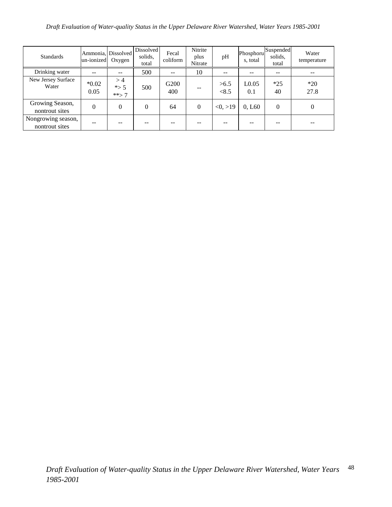| <b>Standards</b>                     | Ammonia, Dissolved<br>un-ionized | Oxygen                   | <b>Dissolved</b><br>solids,<br>total | Fecal<br>coliform | Nitrite<br>plus<br>Nitrate | pH            | Phosphoru<br>s, total    | Suspended<br>solids,<br>total | Water<br>temperature |
|--------------------------------------|----------------------------------|--------------------------|--------------------------------------|-------------------|----------------------------|---------------|--------------------------|-------------------------------|----------------------|
| Drinking water                       |                                  | --                       | 500                                  |                   | 10                         |               | $- -$                    | $- -$                         |                      |
| New Jersey Surface<br>Water          | $*0.02$<br>0.05                  | >4<br>$*$ > 5<br>$**$ >7 | 500                                  | G200<br>400       |                            | >6.5<br>< 8.5 | L <sub>0.05</sub><br>0.1 | $*25$<br>40                   | $*20$<br>27.8        |
| Growing Season,<br>nontrout sites    | $\overline{0}$                   | $\overline{0}$           | $\overline{0}$                       | 64                | $\theta$                   | <0, >19       | 0, L60                   | $\theta$                      | $\Omega$             |
| Nongrowing season,<br>nontrout sites |                                  |                          | --                                   |                   |                            |               | --                       | --                            |                      |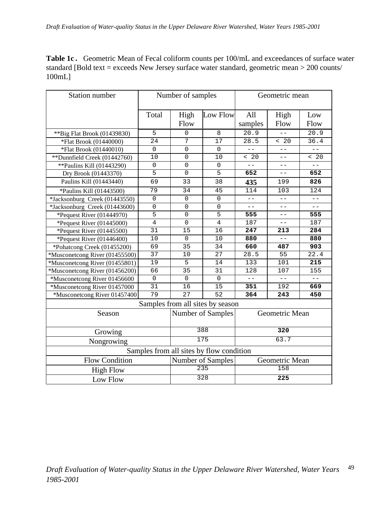**Table 1c.** Geometric Mean of Fecal coliform counts per 100/mL and exceedances of surface water standard [Bold text = exceeds New Jersey surface water standard, geometric mean > 200 counts/ 100mL]

| <b>Station number</b>          |                | Number of samples |                                          |                   | Geometric mean |             |
|--------------------------------|----------------|-------------------|------------------------------------------|-------------------|----------------|-------------|
|                                | Total          | High<br>Flow      | Low Flow                                 | All<br>samples    | High<br>Flow   | Low<br>Flow |
| ** Big Flat Brook (01439830)   | 5              | 0                 | 8                                        | 20.9              |                | 20.9        |
| *Flat Brook (01440000)         | 24             | 7                 | 17                                       | 28.5              | < 20           | 36.4        |
| *Flat Brook (01440010)         | $\mathbf 0$    | $\mathbf 0$       | $\overline{0}$                           | $- -$             | $ -$           | $- -$       |
| **Dunnfield Creek (01442760)   | 10             | $\mathbf 0$       | 10                                       | < 20              |                | < 20        |
| ** Paulins Kill (01443290)     | $\mathbf 0$    | $\mathbf 0$       | $\overline{0}$                           | $- -$             | $ -$           | $=$ $-$     |
| Dry Brook (01443370)           | $\overline{5}$ | $\Omega$          | $\overline{5}$                           | 652               | $- -$          | 652         |
| Paulins Kill (01443440)        | 69             | 33                | 38                                       | 435               | 199            | 826         |
| *Paulins Kill (01443500)       | 79             | 34                | 45                                       | $\overline{114}$  | 103            | 124         |
| *Jacksonburg Creek (01443550)  | $\mathbf 0$    | $\Omega$          | $\Omega$                                 | $-1$              | $=$ $-$        | $- -$       |
| *Jacksonburg Creek (01443600)  | $\mathbf 0$    | $\Omega$          | $\Omega$                                 | $=$ $-$           | $-$            | $- -$       |
| *Pequest River (01444970)      | 5              | $\Omega$          | 5                                        | 555               |                | 555         |
| *Pequest River (01445000)      | $\overline{4}$ | $\Omega$          | $\overline{4}$                           | 187               | $-$            | 187         |
| *Pequest River (01445500)      | 31             | 15                | 16                                       | 247               | 213            | 284         |
| *Pequest River (01446400)      | 10             | 0                 | 10                                       | 880               | $-$            | 880         |
| *Pohatcong Creek (01455200)    | 69             | 35                | 34                                       | 660               | 487            | 903         |
| *Musconetcong River (01455500) | 37             | 10                | 27                                       | $\overline{2}8.5$ | 55             | 22.4        |
| *Musconetcong River (01455801) | 19             | 5                 | 14                                       | 133               | 101            | 215         |
| *Musconetcong River (01456200) | 66             | $\overline{35}$   | 31                                       | 128               | 107            | 155         |
| *Musconetcong River 01456600   | $\mathbf 0$    | $\mathbf 0$       | $\mathbf 0$                              | $-$               | $ -$           | $- -$       |
| *Musconetcong River 01457000   | 31             | 16                | 15                                       | 351               | 192            | 669         |
| *Musconetcong River 01457400   | 79             | 27                | 52                                       | 364               | 243            | 450         |
|                                |                |                   | Samples from all sites by season         |                   |                |             |
| Season                         |                |                   | Number of Samples                        |                   | Geometric Mean |             |
| Growing                        |                |                   | 388                                      |                   | 320            |             |
| Nongrowing                     |                |                   | 175                                      |                   | 63.7           |             |
|                                |                |                   | Samples from all sites by flow condition |                   |                |             |
| <b>Flow Condition</b>          |                | Number of Samples | Geometric Mean                           |                   |                |             |
| <b>High Flow</b>               |                | 235               | 158                                      |                   |                |             |
| Low Flow                       |                |                   | 328                                      | 225               |                |             |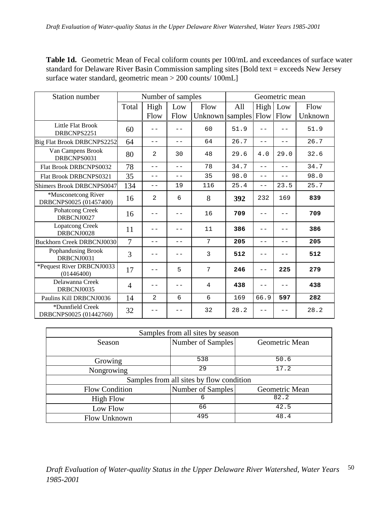**Table 1d.** Geometric Mean of Fecal coliform counts per 100/mL and exceedances of surface water standard for Delaware River Basin Commission sampling sites [Bold text = exceeds New Jersey surface water standard, geometric mean > 200 counts/ 100mL]

| <b>Station number</b>                         |                | Number of samples |      |                 | Geometric mean |       |       |         |  |
|-----------------------------------------------|----------------|-------------------|------|-----------------|----------------|-------|-------|---------|--|
|                                               | Total          | High              | Low  | Flow            | All            | High  | Low   | Flow    |  |
|                                               |                | Flow              | Flow | Unknown samples |                | Flow  | Flow  | Unknown |  |
| Little Flat Brook<br>DRBCNPS2251              | 60             |                   |      | 60              | 51.9           |       |       | 51.9    |  |
| Big Flat Brook DRBCNPS2252                    | 64             | $- -$             | $ -$ | 64              | 26.7           | $ -$  | $ -$  | 26.7    |  |
| Van Campens Brook<br>DRBCNPS0031              | 80             | $\overline{2}$    | 30   | 48              | 29.6           | 4.0   | 29.0  | 32.6    |  |
| Flat Brook DRBCNPS0032                        | 78             | $- -$             | $ -$ | 78              | 34.7           | $ -$  | $- -$ | 34.7    |  |
| Flat Brook DRBCNPS0321                        | 35             | $ -$              | $ -$ | 35              | 98.0           | $-$   | $ -$  | 98.0    |  |
| <b>Shimers Brook DRBCNPS0047</b>              | 134            | $- -$             | 19   | 116             | 25.4           | $- -$ | 23.5  | 25.7    |  |
| *Musconetcong River<br>DRBCNPS0025 (01457400) | 16             | $\overline{2}$    | 6    | 8               | 392            | 232   | 169   | 839     |  |
| Pohatcong Creek<br>DRBCNJ0027                 | 16             |                   |      | 16              | 709            | $- -$ |       | 709     |  |
| <b>Lopatcong Creek</b><br>DRBCNJ0028          | 11             | $ -$              | $ -$ | 11              | 386            | $ -$  |       | 386     |  |
| <b>Buckhorn Creek DRBCNJ0030</b>              | $\overline{7}$ | $=$ $-$           | $ -$ | 7               | 205            | $-$   | $-$   | 205     |  |
| Pophandusing Brook<br>DRBCNJ0031              | 3              | - -               | - -  | 3               | 512            | $ -$  |       | 512     |  |
| *Pequest River DRBCNJ0033<br>(01446400)       | 17             |                   | 5    | 7               | 246            | $ -$  | 225   | 279     |  |
| Delawanna Creek<br>DRBCNJ0035                 | $\overline{4}$ |                   |      | $\overline{4}$  | 438            |       |       | 438     |  |
| Paulins Kill DRBCNJ0036                       | 14             | $\overline{2}$    | 6    | 6               | 169            | 66.9  | 597   | 282     |  |
| *Dunnfield Creek<br>DRBCNPS0025 (01442760)    | 32             |                   |      | 32              | 28.2           |       |       | 28.2    |  |

| Samples from all sites by season |                                          |                |  |  |  |  |  |  |  |  |
|----------------------------------|------------------------------------------|----------------|--|--|--|--|--|--|--|--|
| Season                           | Number of Samples                        | Geometric Mean |  |  |  |  |  |  |  |  |
| Growing                          | 538                                      | 50.6           |  |  |  |  |  |  |  |  |
| Nongrowing                       | 29                                       | 17.2           |  |  |  |  |  |  |  |  |
|                                  | Samples from all sites by flow condition |                |  |  |  |  |  |  |  |  |
| <b>Flow Condition</b>            | Number of Samples                        | Geometric Mean |  |  |  |  |  |  |  |  |
| <b>High Flow</b>                 | 6                                        | 82.2           |  |  |  |  |  |  |  |  |
| Low Flow                         | 66                                       | 42.5           |  |  |  |  |  |  |  |  |
| Flow Unknown                     | 495                                      | 48.4           |  |  |  |  |  |  |  |  |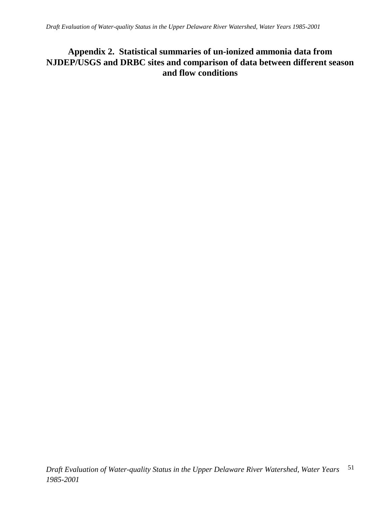# **Appendix 2. Statistical summaries of un-ionized ammonia data from NJDEP/USGS and DRBC sites and comparison of data between different season and flow conditions**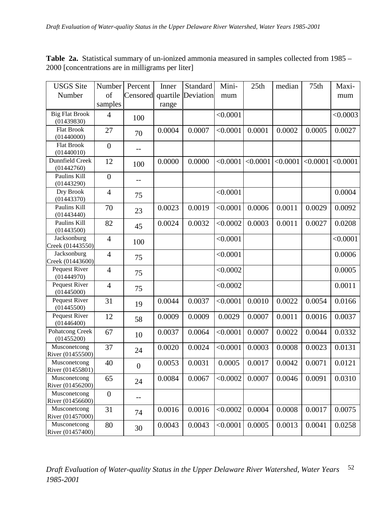| <b>USGS</b> Site                    | Number           | Percent          | Inner    | Standard  | Mini-    | 25th     | median   | 75th     | Maxi-    |
|-------------------------------------|------------------|------------------|----------|-----------|----------|----------|----------|----------|----------|
| Number                              | of               | Censored         | quartile | Deviation | mum      |          |          |          | mum      |
|                                     | samples          |                  | range    |           |          |          |          |          |          |
| <b>Big Flat Brook</b><br>(01439830) | $\overline{4}$   | 100              |          |           | < 0.0001 |          |          |          | < 0.0003 |
| <b>Flat Brook</b><br>(01440000)     | 27               | 70               | 0.0004   | 0.0007    | < 0.0001 | 0.0001   | 0.0002   | 0.0005   | 0.0027   |
| <b>Flat Brook</b><br>(01440010)     | $\overline{0}$   | $-$              |          |           |          |          |          |          |          |
| Dunnfield Creek<br>(01442760)       | 12               | 100              | 0.0000   | 0.0000    | < 0.0001 | < 0.0001 | < 0.0001 | < 0.0001 | < 0.0001 |
| Paulins Kill<br>(01443290)          | $\boldsymbol{0}$ | $-$              |          |           |          |          |          |          |          |
| Dry Brook<br>(01443370)             | $\overline{4}$   | 75               |          |           | < 0.0001 |          |          |          | 0.0004   |
| Paulins Kill<br>(01443440)          | 70               | 23               | 0.0023   | 0.0019    | < 0.0001 | 0.0006   | 0.0011   | 0.0029   | 0.0092   |
| Paulins Kill<br>(01443500)          | 82               | 45               | 0.0024   | 0.0032    | < 0.0002 | 0.0003   | 0.0011   | 0.0027   | 0.0208   |
| Jacksonburg<br>Creek (01443550)     | $\overline{4}$   | 100              |          |           | < 0.0001 |          |          |          | < 0.0001 |
| Jacksonburg<br>Creek (01443600)     | $\overline{4}$   | 75               |          |           | < 0.0001 |          |          |          | 0.0006   |
| Pequest River<br>(01444970)         | $\overline{4}$   | 75               |          |           | < 0.0002 |          |          |          | 0.0005   |
| Pequest River<br>(01445000)         | $\overline{4}$   | 75               |          |           | < 0.0002 |          |          |          | 0.0011   |
| Pequest River<br>(01445500)         | 31               | 19               | 0.0044   | 0.0037    | < 0.0001 | 0.0010   | 0.0022   | 0.0054   | 0.0166   |
| Pequest River<br>(01446400)         | 12               | 58               | 0.0009   | 0.0009    | 0.0029   | 0.0007   | 0.0011   | 0.0016   | 0.0037   |
| Pohatcong Creek<br>(01455200)       | 67               | 10               | 0.0037   | 0.0064    | < 0.0001 | 0.0007   | 0.0022   | 0.0044   | 0.0332   |
| Musconetcong<br>River (01455500)    | 37               | 24               | 0.0020   | 0.0024    | < 0.0001 | 0.0003   | 0.0008   | 0.0023   | 0.0131   |
| Musconetcong<br>River (01455801)    | 40               | $\boldsymbol{0}$ | 0.0053   | 0.0031    | 0.0005   | 0.0017   | 0.0042   | 0.0071   | 0.0121   |
| Musconetcong<br>River (01456200)    | 65               | 24               | 0.0084   | 0.0067    | < 0.0002 | 0.0007   | 0.0046   | 0.0091   | 0.0310   |
| Musconetcong<br>River (01456600)    | $\boldsymbol{0}$ |                  |          |           |          |          |          |          |          |
| Musconetcong<br>River (01457000)    | 31               | 74               | 0.0016   | 0.0016    | < 0.0002 | 0.0004   | 0.0008   | 0.0017   | 0.0075   |
| Musconetcong<br>River (01457400)    | 80               | 30               | 0.0043   | 0.0043    | < 0.0001 | 0.0005   | 0.0013   | 0.0041   | 0.0258   |

Table 2a. Statistical summary of un-ionized ammonia measured in samples collected from 1985 – 2000 [concentrations are in milligrams per liter]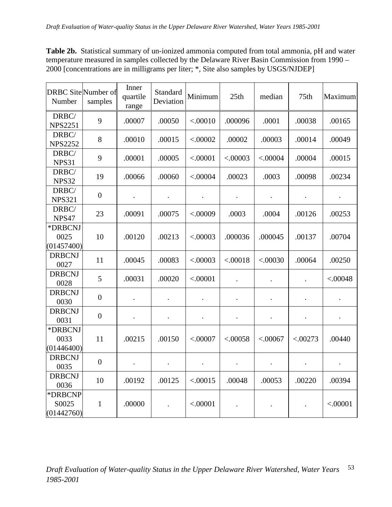| Table 2b. Statistical summary of un-ionized ammonia computed from total ammonia, pH and water |
|-----------------------------------------------------------------------------------------------|
| temperature measured in samples collected by the Delaware River Basin Commission from 1990 –  |
| 2000 [concentrations are in milligrams per liter; *, Site also samples by USGS/NJDEP]         |

| DRBC Site Number of<br>Number  | samples          | Inner<br>quartile<br>range | Standard<br>Deviation | Minimum   | 25th      | median               | 75th                 | Maximum   |
|--------------------------------|------------------|----------------------------|-----------------------|-----------|-----------|----------------------|----------------------|-----------|
| DRBC/<br><b>NPS2251</b>        | 9                | .00007                     | .00050                | < .00010  | .000096   | .0001                | .00038               | .00165    |
| DRBC/<br><b>NPS2252</b>        | 8                | .00010                     | .00015                | < .00002  | .00002    | .00003               | .00014               | .00049    |
| DRBC/<br>NPS31                 | 9                | .00001                     | .00005                | < .00001  | < .00003  | < .00004             | .00004               | .00015    |
| DRBC/<br>NPS32                 | 19               | .00066                     | .00060                | < .00004  | .00023    | .0003                | .00098               | .00234    |
| DRBC/<br><b>NPS321</b>         | $\boldsymbol{0}$ | $\bullet$                  |                       | $\bullet$ | $\bullet$ | $\bullet$            | $\ddot{\phantom{0}}$ |           |
| DRBC/<br>NPS47                 | 23               | .00091                     | .00075                | < .00009  | .0003     | .0004                | .00126               | .00253    |
| *DRBCNJ<br>0025<br>(01457400)  | 10               | .00120                     | .00213                | < .00003  | .000036   | .000045              | .00137               | .00704    |
| <b>DRBCNJ</b><br>0027          | 11               | .00045                     | .00083                | < .00003  | < .00018  | < .00030             | .00064               | .00250    |
| <b>DRBCNJ</b><br>0028          | 5                | .00031                     | .00020                | < .00001  |           |                      |                      | < .00048  |
| <b>DRBCNJ</b><br>0030          | $\boldsymbol{0}$ | $\bullet$                  |                       |           |           | $\ddot{\phantom{0}}$ | $\bullet$            |           |
| <b>DRBCNJ</b><br>0031          | $\overline{0}$   | $\ddot{\phantom{0}}$       | $\ddot{\phantom{0}}$  |           |           |                      |                      | $\bullet$ |
| *DRBCNJ<br>0033<br>(01446400)  | 11               | .00215                     | .00150                | < .00007  | < .00058  | < .00067             | < .00273             | .00440    |
| <b>DRBCNJ</b><br>0035          | $\boldsymbol{0}$ |                            |                       |           |           |                      |                      |           |
| <b>DRBCNJ</b><br>0036          | 10               | .00192                     | .00125                | < .00015  | .00048    | .00053               | .00220               | .00394    |
| *DRBCNP<br>S0025<br>(01442760) | $\mathbf{1}$     | .00000                     |                       | < .00001  |           |                      |                      | < .00001  |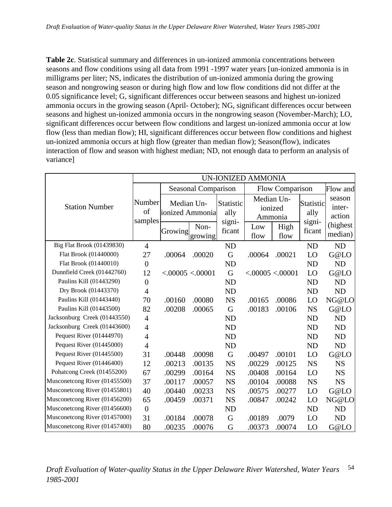**Table 2c**. Statistical summary and differences in un-ionized ammonia concentrations between seasons and flow conditions using all data from 1991 -1997 water years [un-ionized ammonia is in milligrams per liter; NS, indicates the distribution of un-ionized ammonia during the growing season and nongrowing season or during high flow and low flow conditions did not differ at the 0.05 significance level; G, significant differences occur between seasons and highest un-ionized ammonia occurs in the growing season (April- October); NG, significant differences occur between seasons and highest un-ionized ammonia occurs in the nongrowing season (November-March); LO, significant differences occur between flow conditions and largest un-ionized ammonia occur at low flow (less than median flow); HI, significant differences occur between flow conditions and highest un-ionized ammonia occurs at high flow (greater than median flow); Season(flow), indicates interaction of flow and season with highest median; ND, not enough data to perform an analysis of variance]

|                               |                         |                               |                            |                   | <b>UN-IONIZED AMMONIA</b> |                                  |                   |                            |
|-------------------------------|-------------------------|-------------------------------|----------------------------|-------------------|---------------------------|----------------------------------|-------------------|----------------------------|
|                               |                         |                               | <b>Seasonal Comparison</b> |                   |                           | Flow Comparison                  |                   | Flow and                   |
| <b>Station Number</b>         | Number<br>of<br>samples | Median Un-<br>ionized Ammonia |                            | Statistic<br>ally |                           | Median Un-<br>ionized<br>Ammonia | Statistic<br>ally | season<br>inter-<br>action |
|                               |                         | Growing                       | Non-<br>growing            | signi-<br>ficant  | Low<br>flow               | High<br>flow                     | signi-<br>ficant  | (highest<br>median)        |
| Big Flat Brook (01439830)     | $\overline{4}$          |                               |                            | <b>ND</b>         |                           |                                  | <b>ND</b>         | <b>ND</b>                  |
| Flat Brook (01440000)         | 27                      | .00064                        | .00020                     | G                 | .00064                    | .00021                           | LO                | G@LO                       |
| Flat Brook (01440010)         | $\overline{0}$          |                               |                            | <b>ND</b>         |                           |                                  | <b>ND</b>         | <b>ND</b>                  |
| Dunnfield Creek (01442760)    | 12                      | < .00005 < .00001             |                            | G                 | < .00005 < .00001         |                                  | LO                | G@LO                       |
| Paulins Kill (01443290)       | $\overline{0}$          |                               |                            | <b>ND</b>         |                           |                                  | <b>ND</b>         | <b>ND</b>                  |
| Dry Brook (01443370)          | $\overline{4}$          |                               |                            | <b>ND</b>         |                           |                                  | <b>ND</b>         | <b>ND</b>                  |
| Paulins Kill (01443440)       | 70                      | .00160                        | .00080                     | <b>NS</b>         | .00165                    | .00086                           | LO                | NG@LO                      |
| Paulins Kill (01443500)       | 82                      | .00208                        | .00065                     | G                 | .00183                    | .00106                           | <b>NS</b>         | G@LO                       |
| Jacksonburg Creek (01443550)  | $\overline{4}$          |                               |                            | <b>ND</b>         |                           |                                  | ND                | <b>ND</b>                  |
| Jacksonburg Creek (01443600)  | $\overline{4}$          |                               |                            | <b>ND</b>         |                           |                                  | <b>ND</b>         | <b>ND</b>                  |
| Pequest River (01444970)      | $\overline{4}$          |                               |                            | <b>ND</b>         |                           |                                  | <b>ND</b>         | <b>ND</b>                  |
| Pequest River (01445000)      | $\overline{4}$          |                               |                            | <b>ND</b>         |                           |                                  | <b>ND</b>         | <b>ND</b>                  |
| Pequest River (01445500)      | 31                      | .00448                        | .00098                     | G                 | .00497                    | .00101                           | LO                | G@LO                       |
| Pequest River (01446400)      | 12                      | .00213                        | .00135                     | <b>NS</b>         | .00229                    | .00125                           | <b>NS</b>         | <b>NS</b>                  |
| Pohatcong Creek (01455200)    | 67                      | .00299                        | .00164                     | $_{\rm NS}$       | .00408                    | .00164                           | LO                | <b>NS</b>                  |
| Musconetcong River (01455500) | 37                      | .00117                        | .00057                     | <b>NS</b>         | .00104                    | .00088                           | <b>NS</b>         | <b>NS</b>                  |
| Musconetcong River (01455801) | 40                      | .00440                        | .00233                     | <b>NS</b>         | .00575                    | .00277                           | LO                | G@LO                       |
| Musconetcong River (01456200) | 65                      | .00459                        | .00371                     | <b>NS</b>         | .00847                    | .00242                           | LO                | NG@LO                      |
| Musconetcong River (01456600) | $\boldsymbol{0}$        |                               |                            | <b>ND</b>         |                           |                                  | <b>ND</b>         | <b>ND</b>                  |
| Musconetcong River (01457000) | 31                      | .00184                        | .00078                     | G                 | .00189                    | .0079                            | LO                | <b>ND</b>                  |
| Musconetcong River (01457400) | 80                      | .00235                        | .00076                     | G                 | .00373                    | .00074                           | LO                | G@LO                       |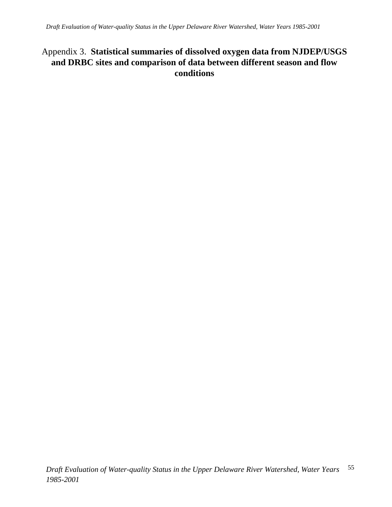## Appendix 3. **Statistical summaries of dissolved oxygen data from NJDEP/USGS and DRBC sites and comparison of data between different season and flow conditions**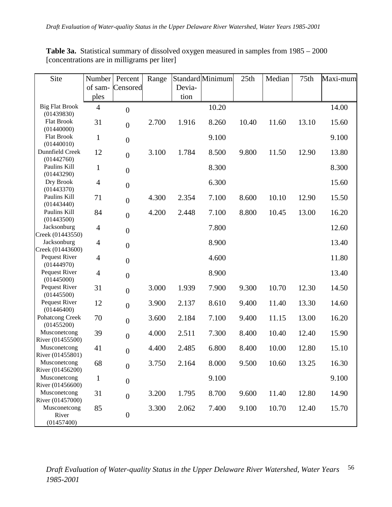| Site                             | Number         | Percent          | Range |        | Standard Minimum | 25th  | Median | 75th  | Maxi-mum |
|----------------------------------|----------------|------------------|-------|--------|------------------|-------|--------|-------|----------|
|                                  | of sam-        | Censored         |       | Devia- |                  |       |        |       |          |
|                                  | ples           |                  |       | tion   |                  |       |        |       |          |
| <b>Big Flat Brook</b>            | $\overline{4}$ | $\boldsymbol{0}$ |       |        | 10.20            |       |        |       | 14.00    |
| (01439830)                       |                |                  |       |        |                  |       |        |       |          |
| <b>Flat Brook</b>                | 31             | $\overline{0}$   | 2.700 | 1.916  | 8.260            | 10.40 | 11.60  | 13.10 | 15.60    |
| (01440000)<br><b>Flat Brook</b>  |                |                  |       |        |                  |       |        |       |          |
| (01440010)                       | $\mathbf{1}$   | $\boldsymbol{0}$ |       |        | 9.100            |       |        |       | 9.100    |
| Dunnfield Creek                  | 12             | $\boldsymbol{0}$ | 3.100 | 1.784  | 8.500            | 9.800 | 11.50  | 12.90 | 13.80    |
| (01442760)                       |                |                  |       |        |                  |       |        |       |          |
| Paulins Kill                     | $\mathbf{1}$   | $\boldsymbol{0}$ |       |        | 8.300            |       |        |       | 8.300    |
| (01443290)<br>Dry Brook          | $\overline{4}$ |                  |       |        | 6.300            |       |        |       |          |
| (01443370)                       |                | $\boldsymbol{0}$ |       |        |                  |       |        |       | 15.60    |
| Paulins Kill                     | 71             | $\boldsymbol{0}$ | 4.300 | 2.354  | 7.100            | 8.600 | 10.10  | 12.90 | 15.50    |
| (01443440)                       |                |                  |       |        |                  |       |        |       |          |
| Paulins Kill                     | 84             | $\boldsymbol{0}$ | 4.200 | 2.448  | 7.100            | 8.800 | 10.45  | 13.00 | 16.20    |
| (01443500)<br>Jacksonburg        |                |                  |       |        |                  |       |        |       | 12.60    |
| Creek (01443550)                 | $\overline{4}$ | $\boldsymbol{0}$ |       |        | 7.800            |       |        |       |          |
| Jacksonburg                      | $\overline{4}$ |                  |       |        | 8.900            |       |        |       | 13.40    |
| Creek (01443600)                 |                | $\boldsymbol{0}$ |       |        |                  |       |        |       |          |
| Pequest River                    | $\overline{4}$ | $\boldsymbol{0}$ |       |        | 4.600            |       |        |       | 11.80    |
| (01444970)<br>Pequest River      | $\overline{4}$ |                  |       |        | 8.900            |       |        |       | 13.40    |
| (01445000)                       |                | $\boldsymbol{0}$ |       |        |                  |       |        |       |          |
| Pequest River                    | 31             | $\boldsymbol{0}$ | 3.000 | 1.939  | 7.900            | 9.300 | 10.70  | 12.30 | 14.50    |
| (01445500)                       |                |                  |       |        |                  |       |        |       |          |
| Pequest River                    | 12             | $\overline{0}$   | 3.900 | 2.137  | 8.610            | 9.400 | 11.40  | 13.30 | 14.60    |
| (01446400)<br>Pohatcong Creek    | 70             |                  | 3.600 | 2.184  | 7.100            | 9.400 | 11.15  | 13.00 | 16.20    |
| (01455200)                       |                | $\boldsymbol{0}$ |       |        |                  |       |        |       |          |
| Musconetcong                     | 39             | $\boldsymbol{0}$ | 4.000 | 2.511  | 7.300            | 8.400 | 10.40  | 12.40 | 15.90    |
| River (01455500)                 |                |                  |       |        |                  |       |        |       |          |
| Musconetcong                     | 41             | $\boldsymbol{0}$ | 4.400 | 2.485  | 6.800            | 8.400 | 10.00  | 12.80 | 15.10    |
| River (01455801)<br>Musconetcong |                |                  |       |        |                  |       |        |       |          |
| River (01456200)                 | 68             | $\boldsymbol{0}$ | 3.750 | 2.164  | 8.000            | 9.500 | 10.60  | 13.25 | 16.30    |
| Musconetcong                     | $\mathbf{1}$   |                  |       |        | 9.100            |       |        |       | 9.100    |
| River (01456600)                 |                | $\boldsymbol{0}$ |       |        |                  |       |        |       |          |
| Musconetcong                     | 31             | $\boldsymbol{0}$ | 3.200 | 1.795  | 8.700            | 9.600 | 11.40  | 12.80 | 14.90    |
| River (01457000)<br>Musconetcong |                |                  |       |        |                  |       |        |       |          |
| River                            | 85             | $\boldsymbol{0}$ | 3.300 | 2.062  | 7.400            | 9.100 | 10.70  | 12.40 | 15.70    |
| (01457400)                       |                |                  |       |        |                  |       |        |       |          |

**Table 3a.** Statistical summary of dissolved oxygen measured in samples from 1985 – 2000 [concentrations are in milligrams per liter]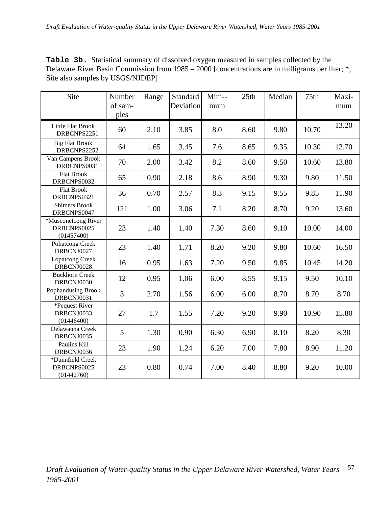**Table 3b.** Statistical summary of dissolved oxygen measured in samples collected by the Delaware River Basin Commission from 1985 – 2000 [concentrations are in milligrams per liter; \*, Site also samples by USGS/NJDEP]

| Site                                             | Number<br>of sam-<br>ples | Range | Standard<br>Deviation | Mini--<br>mum | 25th | Median | 75th  | Maxi-<br>mum |
|--------------------------------------------------|---------------------------|-------|-----------------------|---------------|------|--------|-------|--------------|
| Little Flat Brook<br>DRBCNPS2251                 | 60                        | 2.10  | 3.85                  | 8.0           | 8.60 | 9.80   | 10.70 | 13.20        |
| <b>Big Flat Brook</b><br>DRBCNPS2252             | 64                        | 1.65  | 3.45                  | 7.6           | 8.65 | 9.35   | 10.30 | 13.70        |
| Van Campens Brook<br>DRBCNPS0031                 | 70                        | 2.00  | 3.42                  | 8.2           | 8.60 | 9.50   | 10.60 | 13.80        |
| <b>Flat Brook</b><br>DRBCNPS0032                 | 65                        | 0.90  | 2.18                  | 8.6           | 8.90 | 9.30   | 9.80  | 11.50        |
| <b>Flat Brook</b><br>DRBCNPS0321                 | 36                        | 0.70  | 2.57                  | 8.3           | 9.15 | 9.55   | 9.85  | 11.90        |
| <b>Shimers Brook</b><br>DRBCNPS0047              | 121                       | 1.00  | 3.06                  | 7.1           | 8.20 | 8.70   | 9.20  | 13.60        |
| *Musconetcong River<br>DRBCNPS0025<br>(01457400) | 23                        | 1.40  | 1.40                  | 7.30          | 8.60 | 9.10   | 10.00 | 14.00        |
| Pohatcong Creek<br>DRBCNJ0027                    | 23                        | 1.40  | 1.71                  | 8.20          | 9.20 | 9.80   | 10.60 | 16.50        |
| <b>Lopatcong Creek</b><br>DRBCNJ0028             | 16                        | 0.95  | 1.63                  | 7.20          | 9.50 | 9.85   | 10.45 | 14.20        |
| <b>Buckhorn Creek</b><br>DRBCNJ0030              | 12                        | 0.95  | 1.06                  | 6.00          | 8.55 | 9.15   | 9.50  | 10.10        |
| Pophandusing Brook<br>DRBCNJ0031                 | 3                         | 2.70  | 1.56                  | 6.00          | 6.00 | 8.70   | 8.70  | 8.70         |
| *Pequest River<br>DRBCNJ0033<br>(01446400)       | 27                        | 1.7   | 1.55                  | 7.20          | 9.20 | 9.90   | 10.90 | 15.80        |
| Delawanna Creek<br>DRBCNJ0035                    | 5                         | 1.30  | 0.90                  | 6.30          | 6.90 | 8.10   | 8.20  | 8.30         |
| Paulins Kill<br>DRBCNJ0036                       | 23                        | 1.90  | 1.24                  | 6.20          | 7.00 | 7.80   | 8.90  | 11.20        |
| *Dunnfield Creek<br>DRBCNPS0025<br>(01442760)    | 23                        | 0.80  | 0.74                  | 7.00          | 8.40 | 8.80   | 9.20  | 10.00        |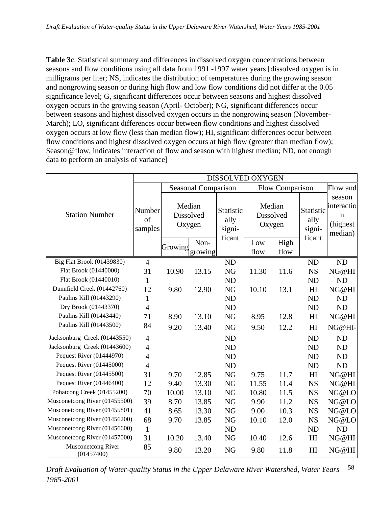**Table 3c**. Statistical summary and differences in dissolved oxygen concentrations between seasons and flow conditions using all data from 1991 -1997 water years [dissolved oxygen is in milligrams per liter; NS, indicates the distribution of temperatures during the growing season and nongrowing season or during high flow and low flow conditions did not differ at the 0.05 significance level; G, significant differences occur between seasons and highest dissolved oxygen occurs in the growing season (April- October); NG, significant differences occur between seasons and highest dissolved oxygen occurs in the nongrowing season (November-March); LO, significant differences occur between flow conditions and highest dissolved oxygen occurs at low flow (less than median flow); HI, significant differences occur between flow conditions and highest dissolved oxygen occurs at high flow (greater than median flow); Season@flow, indicates interaction of flow and season with highest median; ND, not enough data to perform an analysis of variance]

|                                  |                         |                               |                            | <b>DISSOLVED OXYGEN</b>               |                               |                 |                                       |                                                  |
|----------------------------------|-------------------------|-------------------------------|----------------------------|---------------------------------------|-------------------------------|-----------------|---------------------------------------|--------------------------------------------------|
|                                  |                         |                               | <b>Seasonal Comparison</b> |                                       |                               | Flow Comparison |                                       | Flow and                                         |
| <b>Station Number</b>            | Number<br>of<br>samples | Median<br>Dissolved<br>Oxygen |                            | Statistic<br>ally<br>signi-<br>ficant | Median<br>Dissolved<br>Oxygen |                 | Statistic<br>ally<br>signi-<br>ficant | season<br>interactio<br>n<br>(highest<br>median) |
|                                  |                         | Growing                       | Non-<br>growing            |                                       | Low<br>flow                   | High<br>flow    |                                       |                                                  |
| Big Flat Brook (01439830)        | $\overline{4}$          |                               |                            | <b>ND</b>                             |                               |                 | <b>ND</b>                             | <b>ND</b>                                        |
| Flat Brook (01440000)            | 31                      | 10.90                         | 13.15                      | NG                                    | 11.30                         | 11.6            | <b>NS</b>                             | NG@HI                                            |
| Flat Brook (01440010)            | 1                       |                               |                            | <b>ND</b>                             |                               |                 | <b>ND</b>                             | <b>ND</b>                                        |
| Dunnfield Creek (01442760)       | 12                      | 9.80                          | 12.90                      | <b>NG</b>                             | 10.10                         | 13.1            | H1                                    | NG@HI                                            |
| Paulins Kill (01443290)          | $\mathbf{1}$            |                               |                            | <b>ND</b>                             |                               |                 | <b>ND</b>                             | <b>ND</b>                                        |
| Dry Brook (01443370)             | $\overline{4}$          |                               |                            | <b>ND</b>                             |                               |                 | <b>ND</b>                             | <b>ND</b>                                        |
| Paulins Kill (01443440)          | 71                      | 8.90                          | 13.10                      | <b>NG</b>                             | 8.95                          | 12.8            | H1                                    | NG@HI                                            |
| Paulins Kill (01443500)          | 84                      | 9.20                          | 13.40                      | <b>NG</b>                             | 9.50                          | 12.2            | H <sub>I</sub>                        | NG@HI-                                           |
| Jacksonburg Creek (01443550)     | $\overline{4}$          |                               |                            | <b>ND</b>                             |                               |                 | <b>ND</b>                             | <b>ND</b>                                        |
| Jacksonburg Creek (01443600)     | $\overline{4}$          |                               |                            | <b>ND</b>                             |                               |                 | <b>ND</b>                             | <b>ND</b>                                        |
| Pequest River (01444970)         | $\overline{4}$          |                               |                            | <b>ND</b>                             |                               |                 | <b>ND</b>                             | <b>ND</b>                                        |
| Pequest River (01445000)         | $\overline{4}$          |                               |                            | <b>ND</b>                             |                               |                 | <b>ND</b>                             | <b>ND</b>                                        |
| Pequest River (01445500)         | 31                      | 9.70                          | 12.85                      | <b>NG</b>                             | 9.75                          | 11.7            | H1                                    | NG@HI                                            |
| Pequest River (01446400)         | 12                      | 9.40                          | 13.30                      | <b>NG</b>                             | 11.55                         | 11.4            | <b>NS</b>                             | NG@HI                                            |
| Pohatcong Creek (01455200)       | 70                      | 10.00                         | 13.10                      | NG                                    | 10.80                         | 11.5            | <b>NS</b>                             | NG@LO                                            |
| Musconetcong River (01455500)    | 39                      | 8.70                          | 13.85                      | <b>NG</b>                             | 9.90                          | 11.2            | <b>NS</b>                             | NG@LO                                            |
| Musconetcong River (01455801)    | 41                      | 8.65                          | 13.30                      | <b>NG</b>                             | 9.00                          | 10.3            | <b>NS</b>                             | NG@LO                                            |
| Musconetcong River (01456200)    | 68                      | 9.70                          | 13.85                      | <b>NG</b>                             | 10.10                         | 12.0            | <b>NS</b>                             | NG@LO                                            |
| Musconetcong River (01456600)    | $\mathbf{1}$            |                               |                            | <b>ND</b>                             |                               |                 | <b>ND</b>                             | <b>ND</b>                                        |
| Musconetcong River (01457000)    | 31                      | 10.20                         | 13.40                      | NG                                    | 10.40                         | 12.6            | H <sub>I</sub>                        | NG@HI                                            |
| Musconetcong River<br>(01457400) | 85                      | 9.80                          | 13.20                      | NG                                    | 9.80                          | 11.8            | H <sub>I</sub>                        | NG@HI                                            |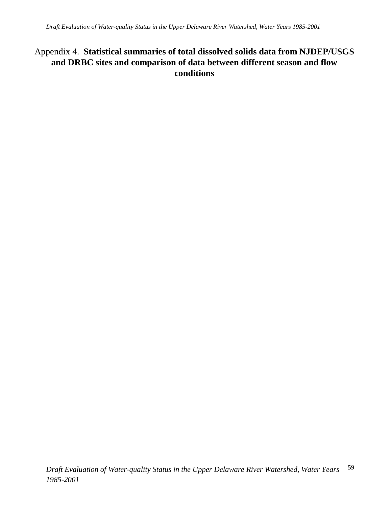## Appendix 4. **Statistical summaries of total dissolved solids data from NJDEP/USGS and DRBC sites and comparison of data between different season and flow conditions**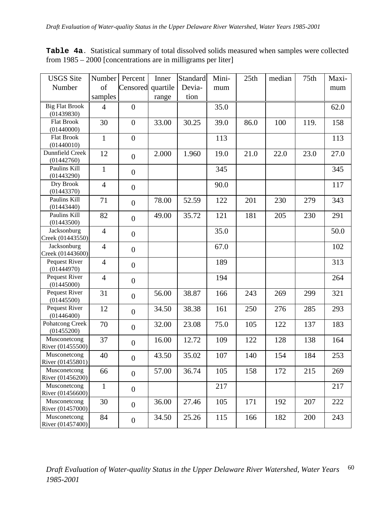| <b>USGS</b> Site                    | Number         | Percent          | Inner    | Standard | Mini- | 25th | median | 75th | Maxi- |
|-------------------------------------|----------------|------------------|----------|----------|-------|------|--------|------|-------|
| Number                              | of             | Censored         | quartile | Devia-   | mum   |      |        |      | mum   |
|                                     | samples        |                  | range    | tion     |       |      |        |      |       |
| <b>Big Flat Brook</b><br>(01439830) | $\overline{4}$ | $\overline{0}$   |          |          | 35.0  |      |        |      | 62.0  |
| <b>Flat Brook</b><br>(01440000)     | 30             | $\overline{0}$   | 33.00    | 30.25    | 39.0  | 86.0 | 100    | 119. | 158   |
| <b>Flat Brook</b><br>(01440010)     | $\mathbf{1}$   | $\overline{0}$   |          |          | 113   |      |        |      | 113   |
| Dunnfield Creek<br>(01442760)       | 12             | $\overline{0}$   | 2.000    | 1.960    | 19.0  | 21.0 | 22.0   | 23.0 | 27.0  |
| Paulins Kill<br>(01443290)          | $\mathbf{1}$   | $\boldsymbol{0}$ |          |          | 345   |      |        |      | 345   |
| Dry Brook<br>(01443370)             | $\overline{4}$ | $\boldsymbol{0}$ |          |          | 90.0  |      |        |      | 117   |
| Paulins Kill<br>(01443440)          | 71             | $\boldsymbol{0}$ | 78.00    | 52.59    | 122   | 201  | 230    | 279  | 343   |
| Paulins Kill<br>(01443500)          | 82             | $\boldsymbol{0}$ | 49.00    | 35.72    | 121   | 181  | 205    | 230  | 291   |
| Jacksonburg<br>Creek (01443550)     | $\overline{4}$ | $\boldsymbol{0}$ |          |          | 35.0  |      |        |      | 50.0  |
| Jacksonburg<br>Creek (01443600)     | $\overline{4}$ | $\overline{0}$   |          |          | 67.0  |      |        |      | 102   |
| Pequest River<br>(01444970)         | $\overline{4}$ | $\boldsymbol{0}$ |          |          | 189   |      |        |      | 313   |
| Pequest River<br>(01445000)         | $\overline{4}$ | $\boldsymbol{0}$ |          |          | 194   |      |        |      | 264   |
| Pequest River<br>(01445500)         | 31             | $\boldsymbol{0}$ | 56.00    | 38.87    | 166   | 243  | 269    | 299  | 321   |
| Pequest River<br>(01446400)         | 12             | $\overline{0}$   | 34.50    | 38.38    | 161   | 250  | 276    | 285  | 293   |
| Pohatcong Creek<br>(01455200)       | 70             | $\overline{0}$   | 32.00    | 23.08    | 75.0  | 105  | 122    | 137  | 183   |
| Musconetcong<br>River (01455500)    | 37             | $\boldsymbol{0}$ | 16.00    | 12.72    | 109   | 122  | 128    | 138  | 164   |
| Musconetcong<br>River (01455801)    | 40             | $\overline{0}$   | 43.50    | 35.02    | 107   | 140  | 154    | 184  | 253   |
| Musconetcong<br>River (01456200)    | 66             | $\boldsymbol{0}$ | 57.00    | 36.74    | 105   | 158  | 172    | 215  | 269   |
| Musconetcong<br>River (01456600)    | $\mathbf{1}$   | $\boldsymbol{0}$ |          |          | 217   |      |        |      | 217   |
| Musconetcong<br>River (01457000)    | 30             | $\boldsymbol{0}$ | 36.00    | 27.46    | 105   | 171  | 192    | 207  | 222   |
| Musconetcong<br>River (01457400)    | 84             | $\boldsymbol{0}$ | 34.50    | 25.26    | 115   | 166  | 182    | 200  | 243   |

**Table 4a**. Statistical summary of total dissolved solids measured when samples were collected from 1985 – 2000 [concentrations are in milligrams per liter]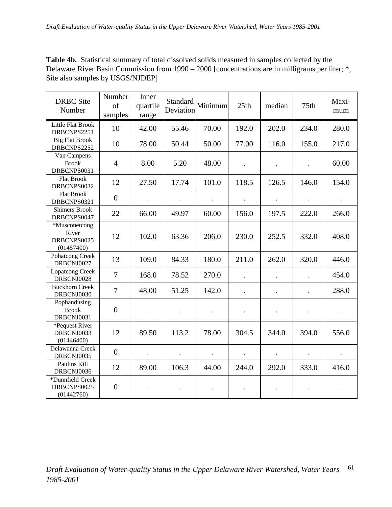**Table 4b.** Statistical summary of total dissolved solids measured in samples collected by the Delaware River Basin Commission from 1990 – 2000 [concentrations are in milligrams per liter; \*, Site also samples by USGS/NJDEP]

| <b>DRBC</b> Site<br>Number                          | Number<br>of<br>samples | Inner<br>quartile<br>range | Standard<br>Deviation | Minimum | 25th  | median | 75th                 | Maxi-<br>mum |
|-----------------------------------------------------|-------------------------|----------------------------|-----------------------|---------|-------|--------|----------------------|--------------|
| <b>Little Flat Brook</b><br>DRBCNPS2251             | 10                      | 42.00                      | 55.46                 | 70.00   | 192.0 | 202.0  | 234.0                | 280.0        |
| <b>Big Flat Brook</b><br>DRBCNPS2252                | 10                      | 78.00                      | 50.44                 | 50.00   | 77.00 | 116.0  | 155.0                | 217.0        |
| Van Campens<br><b>Brook</b><br>DRBCNPS0031          | $\overline{4}$          | 8.00                       | 5.20                  | 48.00   |       |        |                      | 60.00        |
| <b>Flat Brook</b><br>DRBCNPS0032                    | 12                      | 27.50                      | 17.74                 | 101.0   | 118.5 | 126.5  | 146.0                | 154.0        |
| <b>Flat Brook</b><br>DRBCNPS0321                    | $\overline{0}$          | $\bullet$                  | $\bullet$             |         |       |        | $\bullet$            | $\bullet$    |
| <b>Shimers Brook</b><br>DRBCNPS0047                 | 22                      | 66.00                      | 49.97                 | 60.00   | 156.0 | 197.5  | 222.0                | 266.0        |
| *Musconetcong<br>River<br>DRBCNPS0025<br>(01457400) | 12                      | 102.0                      | 63.36                 | 206.0   | 230.0 | 252.5  | 332.0                | 408.0        |
| Pohatcong Creek<br>DRBCNJ0027                       | 13                      | 109.0                      | 84.33                 | 180.0   | 211.0 | 262.0  | 320.0                | 446.0        |
| <b>Lopatcong Creek</b><br>DRBCNJ0028                | $\overline{7}$          | 168.0                      | 78.52                 | 270.0   |       |        | $\ddot{\phantom{a}}$ | 454.0        |
| <b>Buckhorn Creek</b><br>DRBCNJ0030                 | $\overline{7}$          | 48.00                      | 51.25                 | 142.0   |       |        | $\ddot{\phantom{0}}$ | 288.0        |
| Pophandusing<br><b>Brook</b><br>DRBCNJ0031          | $\overline{0}$          |                            |                       |         |       |        |                      |              |
| *Pequest River<br>DRBCNJ0033<br>(01446400)          | 12                      | 89.50                      | 113.2                 | 78.00   | 304.5 | 344.0  | 394.0                | 556.0        |
| Delawanna Creek<br>DRBCNJ0035                       | $\boldsymbol{0}$        |                            |                       |         |       |        | $\bullet$            | $\bullet$    |
| Paulins Kill<br>DRBCNJ0036                          | 12                      | 89.00                      | 106.3                 | 44.00   | 244.0 | 292.0  | 333.0                | 416.0        |
| *Dunnfield Creek<br>DRBCNPS0025<br>(01442760)       | $\overline{0}$          |                            |                       |         |       |        |                      |              |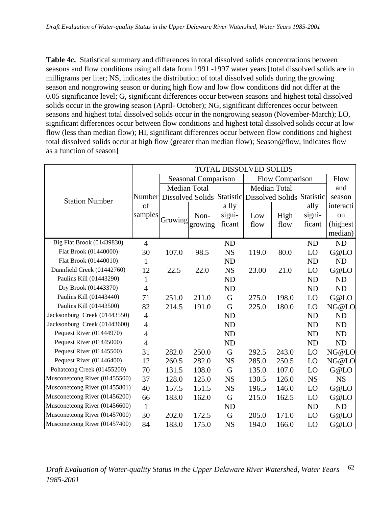**Table 4c.** Statistical summary and differences in total dissolved solids concentrations between seasons and flow conditions using all data from 1991 -1997 water years [total dissolved solids are in milligrams per liter; NS, indicates the distribution of total dissolved solids during the growing season and nongrowing season or during high flow and low flow conditions did not differ at the 0.05 significance level; G, significant differences occur between seasons and highest total dissolved solids occur in the growing season (April- October); NG, significant differences occur between seasons and highest total dissolved solids occur in the nongrowing season (November-March); LO, significant differences occur between flow conditions and highest total dissolved solids occur at low flow (less than median flow); HI, significant differences occur between flow conditions and highest total dissolved solids occur at high flow (greater than median flow); Season@flow, indicates flow as a function of season]

|                               | <b>TOTAL DISSOLVED SOLIDS</b> |                     |                     |           |                                                              |                 |           |           |  |  |
|-------------------------------|-------------------------------|---------------------|---------------------|-----------|--------------------------------------------------------------|-----------------|-----------|-----------|--|--|
|                               |                               |                     | Seasonal Comparison |           |                                                              | Flow Comparison | Flow      |           |  |  |
|                               |                               | <b>Median Total</b> |                     |           | <b>Median Total</b>                                          |                 |           | and       |  |  |
| <b>Station Number</b>         |                               |                     |                     |           | Number Dissolved Solids Statistic Dissolved Solids Statistic |                 |           | season    |  |  |
|                               | of                            |                     |                     | a lly     |                                                              |                 | ally      | interacti |  |  |
|                               | samples                       |                     | Non-                | signi-    | Low                                                          | High            | signi-    | on        |  |  |
|                               |                               | Growing             | growing             | ficant    | flow                                                         | flow            | ficant    | (highest) |  |  |
|                               |                               |                     |                     |           |                                                              |                 |           | median)   |  |  |
| Big Flat Brook (01439830)     | $\overline{4}$                |                     |                     | <b>ND</b> |                                                              |                 | <b>ND</b> | <b>ND</b> |  |  |
| Flat Brook (01440000)         | 30                            | 107.0               | 98.5                | <b>NS</b> | 119.0                                                        | 80.0            | LO        | G@LO      |  |  |
| Flat Brook (01440010)         | 1                             |                     |                     | <b>ND</b> |                                                              |                 | <b>ND</b> | <b>ND</b> |  |  |
| Dunnfield Creek (01442760)    | 12                            | 22.5                | 22.0                | <b>NS</b> | 23.00                                                        | 21.0            | LO        | G@LO      |  |  |
| Paulins Kill (01443290)       | $\mathbf{1}$                  |                     |                     | <b>ND</b> |                                                              |                 | <b>ND</b> | <b>ND</b> |  |  |
| Dry Brook (01443370)          | $\overline{4}$                |                     |                     | <b>ND</b> |                                                              |                 | <b>ND</b> | <b>ND</b> |  |  |
| Paulins Kill (01443440)       | 71                            | 251.0               | 211.0               | G         | 275.0                                                        | 198.0           | LO        | G@LO      |  |  |
| Paulins Kill (01443500)       | 82                            | 214.5               | 191.0               | G         | 225.0                                                        | 180.0           | LO        | NG@LO     |  |  |
| Jacksonburg Creek (01443550)  | $\overline{4}$                |                     |                     | <b>ND</b> |                                                              |                 | <b>ND</b> | <b>ND</b> |  |  |
| Jacksonburg Creek (01443600)  | $\overline{4}$                |                     |                     | <b>ND</b> |                                                              |                 | <b>ND</b> | <b>ND</b> |  |  |
| Pequest River (01444970)      | $\overline{4}$                |                     |                     | <b>ND</b> |                                                              |                 | <b>ND</b> | ND        |  |  |
| Pequest River (01445000)      | $\overline{4}$                |                     |                     | <b>ND</b> |                                                              |                 | <b>ND</b> | <b>ND</b> |  |  |
| Pequest River (01445500)      | 31                            | 282.0               | 250.0               | G         | 292.5                                                        | 243.0           | LO        | NG@LO     |  |  |
| Pequest River (01446400)      | 12                            | 260.5               | 282.0               | <b>NS</b> | 285.0                                                        | 250.5           | LO        | NG@LO     |  |  |
| Pohatcong Creek (01455200)    | 70                            | 131.5               | 108.0               | G         | 135.0                                                        | 107.0           | LO        | G@LO      |  |  |
| Musconetcong River (01455500) | 37                            | 128.0               | 125.0               | <b>NS</b> | 130.5                                                        | 126.0           | <b>NS</b> | <b>NS</b> |  |  |
| Musconetcong River (01455801) | 40                            | 157.5               | 151.5               | <b>NS</b> | 196.5                                                        | 146.0           | LO        | G@LO      |  |  |
| Musconetcong River (01456200) | 66                            | 183.0               | 162.0               | G         | 215.0                                                        | 162.5           | LO        | G@LO      |  |  |
| Musconetcong River (01456600) | $\mathbf{1}$                  |                     |                     | <b>ND</b> |                                                              |                 | <b>ND</b> | <b>ND</b> |  |  |
| Musconetcong River (01457000) | 30                            | 202.0               | 172.5               | G         | 205.0                                                        | 171.0           | LO        | G@LO      |  |  |
| Musconetcong River (01457400) | 84                            | 183.0               | 175.0               | <b>NS</b> | 194.0                                                        | 166.0           | LO        | G@LO      |  |  |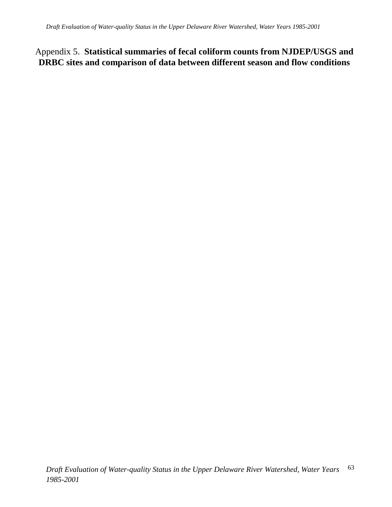# Appendix 5. **Statistical summaries of fecal coliform counts from NJDEP/USGS and DRBC sites and comparison of data between different season and flow conditions**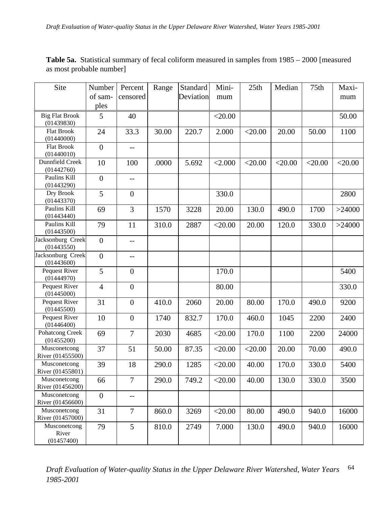| <b>Table 5a.</b> Statistical summary of fecal coliform measured in samples from 1985 – 2000 [measured] |  |  |  |
|--------------------------------------------------------------------------------------------------------|--|--|--|
| as most probable number]                                                                               |  |  |  |

| Site                                | Number           | Percent          | Range | Standard  | Mini-     | 25th      | Median    | 75th      | Maxi-     |
|-------------------------------------|------------------|------------------|-------|-----------|-----------|-----------|-----------|-----------|-----------|
|                                     | of sam-          | censored         |       | Deviation | mum       |           |           |           | mum       |
|                                     | ples             |                  |       |           |           |           |           |           |           |
| <b>Big Flat Brook</b><br>(01439830) | 5                | 40               |       |           | $<$ 20.00 |           |           |           | 50.00     |
| Flat Brook<br>(01440000)            | 24               | 33.3             | 30.00 | 220.7     | 2.000     | $<$ 20.00 | 20.00     | 50.00     | 1100      |
| <b>Flat Brook</b><br>(01440010)     | $\overline{0}$   | $-$              |       |           |           |           |           |           |           |
| Dunnfield Creek<br>(01442760)       | 10               | 100              | .0000 | 5.692     | < 2.000   | $<$ 20.00 | $<$ 20.00 | $<$ 20.00 | $<$ 20.00 |
| Paulins Kill<br>(01443290)          | $\overline{0}$   | $-$              |       |           |           |           |           |           |           |
| Dry Brook<br>(01443370)             | 5                | $\overline{0}$   |       |           | 330.0     |           |           |           | 2800      |
| Paulins Kill<br>(01443440)          | 69               | 3                | 1570  | 3228      | 20.00     | 130.0     | 490.0     | 1700      | >24000    |
| Paulins Kill<br>(01443500)          | 79               | 11               | 310.0 | 2887      | $<$ 20.00 | 20.00     | 120.0     | 330.0     | >24000    |
| Jacksonburg Creek<br>(01443550)     | $\overline{0}$   | --               |       |           |           |           |           |           |           |
| Jacksonburg Creek<br>(01443600)     | $\overline{0}$   | --               |       |           |           |           |           |           |           |
| Pequest River<br>(01444970)         | 5                | $\boldsymbol{0}$ |       |           | 170.0     |           |           |           | 5400      |
| Pequest River<br>(01445000)         | $\overline{4}$   | $\overline{0}$   |       |           | 80.00     |           |           |           | 330.0     |
| Pequest River<br>(01445500)         | 31               | $\boldsymbol{0}$ | 410.0 | 2060      | 20.00     | 80.00     | 170.0     | 490.0     | 9200      |
| Pequest River<br>(01446400)         | 10               | $\boldsymbol{0}$ | 1740  | 832.7     | 170.0     | 460.0     | 1045      | 2200      | 2400      |
| Pohatcong Creek<br>(01455200)       | 69               | $\overline{7}$   | 2030  | 4685      | $<$ 20.00 | 170.0     | 1100      | 2200      | 24000     |
| Musconetcong<br>River (01455500)    | 37               | 51               | 50.00 | 87.35     | $<$ 20.00 | $<$ 20.00 | 20.00     | 70.00     | 490.0     |
| Musconetcong<br>River (01455801)    | 39               | 18               | 290.0 | 1285      | $<$ 20.00 | 40.00     | 170.0     | 330.0     | 5400      |
| Musconetcong<br>River (01456200)    | 66               | $\overline{7}$   | 290.0 | 749.2     | $<$ 20.00 | 40.00     | 130.0     | 330.0     | 3500      |
| Musconetcong<br>River (01456600)    | $\boldsymbol{0}$ | $-\, -$          |       |           |           |           |           |           |           |
| Musconetcong<br>River (01457000)    | 31               | 7                | 860.0 | 3269      | $<$ 20.00 | 80.00     | 490.0     | 940.0     | 16000     |
| Musconetcong<br>River<br>(01457400) | 79               | 5                | 810.0 | 2749      | 7.000     | 130.0     | 490.0     | 940.0     | 16000     |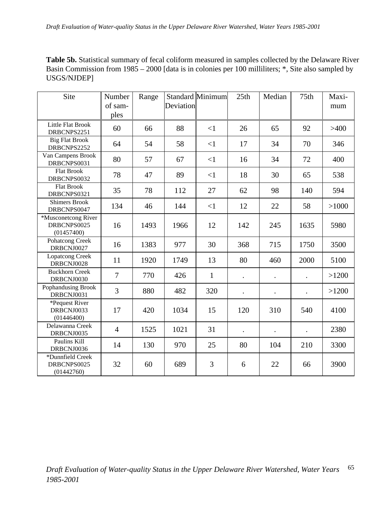**Table 5b.** Statistical summary of fecal coliform measured in samples collected by the Delaware River Basin Commission from 1985 – 2000 [data is in colonies per 100 milliliters; \*, Site also sampled by USGS/NJDEP]

| Site                                             | Number<br>of sam-<br>ples | Range | Deviation | <b>Standard Minimum</b> | 25th                 | Median | 75th                 | Maxi-<br>mum |
|--------------------------------------------------|---------------------------|-------|-----------|-------------------------|----------------------|--------|----------------------|--------------|
| Little Flat Brook<br>DRBCNPS2251                 | 60                        | 66    | 88        | $\leq$ 1                | 26                   | 65     | 92                   | >400         |
| <b>Big Flat Brook</b><br>DRBCNPS2252             | 64                        | 54    | 58        | $\leq$ 1                | 17                   | 34     | 70                   | 346          |
| Van Campens Brook<br>DRBCNPS0031                 | 80                        | 57    | 67        | $\leq$ 1                | 16                   | 34     | 72                   | 400          |
| <b>Flat Brook</b><br>DRBCNPS0032                 | 78                        | 47    | 89        | $\leq$ 1                | 18                   | 30     | 65                   | 538          |
| <b>Flat Brook</b><br>DRBCNPS0321                 | 35                        | 78    | 112       | 27                      | 62                   | 98     | 140                  | 594          |
| <b>Shimers Brook</b><br>DRBCNPS0047              | 134                       | 46    | 144       | $\leq$ 1                | 12                   | 22     | 58                   | >1000        |
| *Musconetcong River<br>DRBCNPS0025<br>(01457400) | 16                        | 1493  | 1966      | 12                      | 142                  | 245    | 1635                 | 5980         |
| Pohatcong Creek<br>DRBCNJ0027                    | 16                        | 1383  | 977       | 30                      | 368                  | 715    | 1750                 | 3500         |
| <b>Lopatcong Creek</b><br>DRBCNJ0028             | 11                        | 1920  | 1749      | 13                      | 80                   | 460    | 2000                 | 5100         |
| <b>Buckhorn Creek</b><br>DRBCNJ0030              | $\tau$                    | 770   | 426       | $\mathbf{1}$            | $\ddot{\phantom{0}}$ |        | $\ddot{\phantom{0}}$ | >1200        |
| Pophandusing Brook<br>DRBCNJ0031                 | 3                         | 880   | 482       | 320                     | $\ddot{\phantom{0}}$ |        | $\ddot{\phantom{a}}$ | >1200        |
| *Pequest River<br>DRBCNJ0033<br>(01446400)       | 17                        | 420   | 1034      | 15                      | 120                  | 310    | 540                  | 4100         |
| Delawanna Creek<br>DRBCNJ0035                    | $\overline{4}$            | 1525  | 1021      | 31                      |                      |        |                      | 2380         |
| Paulins Kill<br>DRBCNJ0036                       | 14                        | 130   | 970       | 25                      | 80                   | 104    | 210                  | 3300         |
| *Dunnfield Creek<br>DRBCNPS0025<br>(01442760)    | 32                        | 60    | 689       | 3                       | 6                    | 22     | 66                   | 3900         |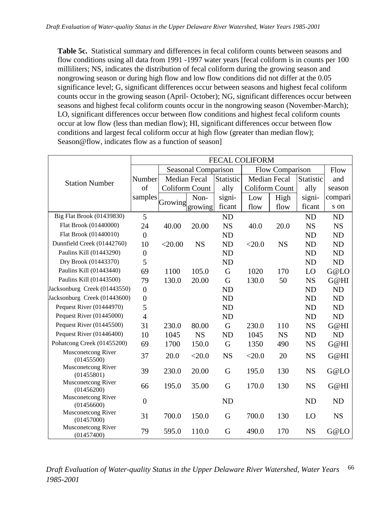**Table 5c.** Statistical summary and differences in fecal coliform counts between seasons and flow conditions using all data from 1991 -1997 water years [fecal coliform is in counts per 100 milliliters; NS, indicates the distribution of fecal coliform during the growing season and nongrowing season or during high flow and low flow conditions did not differ at the 0.05 significance level; G, significant differences occur between seasons and highest fecal coliform counts occur in the growing season (April- October); NG, significant differences occur between seasons and highest fecal coliform counts occur in the nongrowing season (November-March); LO, significant differences occur between flow conditions and highest fecal coliform counts occur at low flow (less than median flow); HI, significant differences occur between flow conditions and largest fecal coliform occur at high flow (greater than median flow); Season@flow, indicates flow as a function of season]

|                                         | <b>FECAL COLIFORM</b> |           |                            |                  |                     |                 |                  |           |  |  |
|-----------------------------------------|-----------------------|-----------|----------------------------|------------------|---------------------|-----------------|------------------|-----------|--|--|
|                                         |                       |           | <b>Seasonal Comparison</b> |                  |                     | Flow Comparison |                  | Flow      |  |  |
| <b>Station Number</b>                   | Number                |           | <b>Median Fecal</b>        | <b>Statistic</b> | <b>Median Fecal</b> |                 | <b>Statistic</b> | and       |  |  |
|                                         | of                    |           | Coliform Count             | ally             | Coliform Count      |                 | ally             | season    |  |  |
|                                         | samples               |           | Non-                       | signi-           | Low                 | High            | signi-           | compari   |  |  |
|                                         |                       | Growing   | growing                    | ficant           | flow                | flow            | ficant           | s on      |  |  |
| Big Flat Brook (01439830)               | 5                     |           |                            | ND               |                     |                 | <b>ND</b>        | ND        |  |  |
| Flat Brook (01440000)                   | 24                    | 40.00     | 20.00                      | <b>NS</b>        | 40.0                | 20.0            | <b>NS</b>        | <b>NS</b> |  |  |
| Flat Brook (01440010)                   | $\overline{0}$        |           |                            | <b>ND</b>        |                     |                 | <b>ND</b>        | ND        |  |  |
| Dunnfield Creek (01442760)              | 10                    | $<$ 20.00 | <b>NS</b>                  | ND               | $<$ 20.0            | <b>NS</b>       | <b>ND</b>        | ND        |  |  |
| Paulins Kill (01443290)                 | $\boldsymbol{0}$      |           |                            | ND               |                     |                 | <b>ND</b>        | ND        |  |  |
| Dry Brook (01443370)                    | 5                     |           |                            | <b>ND</b>        |                     |                 | <b>ND</b>        | <b>ND</b> |  |  |
| Paulins Kill (01443440)                 | 69                    | 1100      | 105.0                      | G                | 1020                | 170             | LO               | G@LO      |  |  |
| Paulins Kill (01443500)                 | 79                    | 130.0     | 20.00                      | G                | 130.0               | 50              | <b>NS</b>        | G@HI      |  |  |
| Jacksonburg Creek (01443550)            | $\boldsymbol{0}$      |           |                            | <b>ND</b>        |                     |                 | <b>ND</b>        | ND        |  |  |
| Jacksonburg Creek (01443600)            | $\boldsymbol{0}$      |           |                            | <b>ND</b>        |                     |                 | <b>ND</b>        | ND        |  |  |
| Pequest River (01444970)                | 5                     |           |                            | <b>ND</b>        |                     |                 | <b>ND</b>        | ND        |  |  |
| Pequest River (01445000)                | $\overline{4}$        |           |                            | <b>ND</b>        |                     |                 | <b>ND</b>        | ND        |  |  |
| Pequest River (01445500)                | 31                    | 230.0     | 80.00                      | G                | 230.0               | 110             | <b>NS</b>        | G@HI      |  |  |
| Pequest River (01446400)                | 10                    | 1045      | <b>NS</b>                  | <b>ND</b>        | 1045                | <b>NS</b>       | <b>ND</b>        | <b>ND</b> |  |  |
| Pohatcong Creek (01455200)              | 69                    | 1700      | 150.0                      | G                | 1350                | 490             | <b>NS</b>        | G@HI      |  |  |
| Musconetcong River<br>(01455500)        | 37                    | 20.0      | $<$ 20.0                   | <b>NS</b>        | $<$ 20.0            | 20              | <b>NS</b>        | G@HI      |  |  |
| <b>Musconetcong River</b><br>(01455801) | 39                    | 230.0     | 20.00                      | G                | 195.0               | 130             | <b>NS</b>        | G@LO      |  |  |
| Musconetcong River<br>(01456200)        | 66                    | 195.0     | 35.00                      | G                | 170.0               | 130             | <b>NS</b>        | G@HI      |  |  |
| Musconetcong River<br>(01456600)        | $\overline{0}$        |           |                            | <b>ND</b>        |                     |                 | <b>ND</b>        | <b>ND</b> |  |  |
| Musconetcong River<br>(01457000)        | 31                    | 700.0     | 150.0                      | G                | 700.0               | 130             | LO               | <b>NS</b> |  |  |
| Musconetcong River<br>(01457400)        | 79                    | 595.0     | 110.0                      | G                | 490.0               | 170             | <b>NS</b>        | G@LO      |  |  |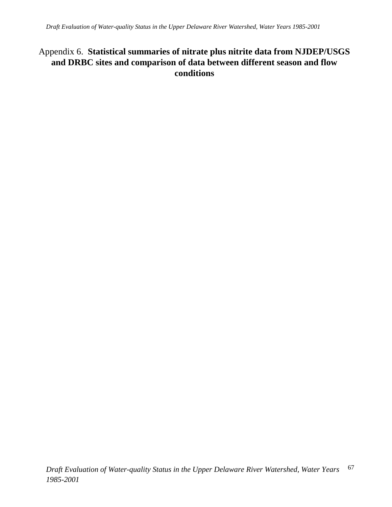## Appendix 6. **Statistical summaries of nitrate plus nitrite data from NJDEP/USGS and DRBC sites and comparison of data between different season and flow conditions**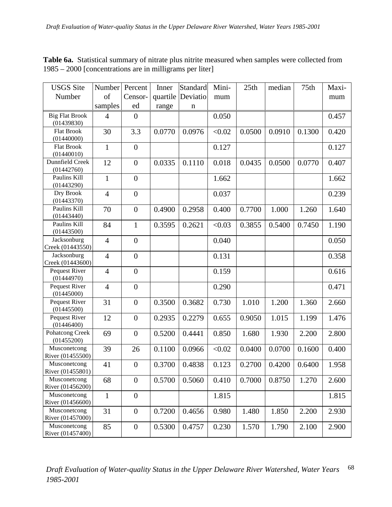| <b>USGS</b> Site                    | Number         | Percent          | Inner  | Standard          | Mini-  | 25th   | median | 75th   | Maxi- |
|-------------------------------------|----------------|------------------|--------|-------------------|--------|--------|--------|--------|-------|
| Number                              | of             | Censor-          |        | quartile Deviatio | mum    |        |        |        | mum   |
|                                     | samples        | ed               | range  | $\mathbf n$       |        |        |        |        |       |
| <b>Big Flat Brook</b><br>(01439830) | $\overline{4}$ | $\overline{0}$   |        |                   | 0.050  |        |        |        | 0.457 |
| <b>Flat Brook</b><br>(01440000)     | 30             | 3.3              | 0.0770 | 0.0976            | < 0.02 | 0.0500 | 0.0910 | 0.1300 | 0.420 |
| <b>Flat Brook</b><br>(01440010)     | $\mathbf{1}$   | $\boldsymbol{0}$ |        |                   | 0.127  |        |        |        | 0.127 |
| Dunnfield Creek<br>(01442760)       | 12             | $\overline{0}$   | 0.0335 | 0.1110            | 0.018  | 0.0435 | 0.0500 | 0.0770 | 0.407 |
| Paulins Kill<br>(01443290)          | $\mathbf{1}$   | $\overline{0}$   |        |                   | 1.662  |        |        |        | 1.662 |
| Dry Brook<br>(01443370)             | $\overline{4}$ | $\overline{0}$   |        |                   | 0.037  |        |        |        | 0.239 |
| Paulins Kill<br>(01443440)          | 70             | $\overline{0}$   | 0.4900 | 0.2958            | 0.400  | 0.7700 | 1.000  | 1.260  | 1.640 |
| Paulins Kill<br>(01443500)          | 84             | $\mathbf{1}$     | 0.3595 | 0.2621            | < 0.03 | 0.3855 | 0.5400 | 0.7450 | 1.190 |
| Jacksonburg<br>Creek (01443550)     | $\overline{4}$ | $\overline{0}$   |        |                   | 0.040  |        |        |        | 0.050 |
| Jacksonburg<br>Creek (01443600)     | $\overline{4}$ | $\overline{0}$   |        |                   | 0.131  |        |        |        | 0.358 |
| Pequest River<br>(01444970)         | $\overline{4}$ | $\overline{0}$   |        |                   | 0.159  |        |        |        | 0.616 |
| Pequest River<br>(01445000)         | $\overline{4}$ | $\overline{0}$   |        |                   | 0.290  |        |        |        | 0.471 |
| Pequest River<br>(01445500)         | 31             | $\overline{0}$   | 0.3500 | 0.3682            | 0.730  | 1.010  | 1.200  | 1.360  | 2.660 |
| Pequest River<br>(01446400)         | 12             | $\overline{0}$   | 0.2935 | 0.2279            | 0.655  | 0.9050 | 1.015  | 1.199  | 1.476 |
| Pohatcong Creek<br>(01455200)       | 69             | $\overline{0}$   | 0.5200 | 0.4441            | 0.850  | 1.680  | 1.930  | 2.200  | 2.800 |
| Musconetcong<br>River (01455500)    | 39             | 26               | 0.1100 | 0.0966            | < 0.02 | 0.0400 | 0.0700 | 0.1600 | 0.400 |
| Musconetcong<br>River (01455801)    | 41             | $\boldsymbol{0}$ | 0.3700 | 0.4838            | 0.123  | 0.2700 | 0.4200 | 0.6400 | 1.958 |
| Musconetcong<br>River (01456200)    | 68             | $\overline{0}$   | 0.5700 | 0.5060            | 0.410  | 0.7000 | 0.8750 | 1.270  | 2.600 |
| Musconetcong<br>River (01456600)    | $\mathbf{1}$   | $\boldsymbol{0}$ |        |                   | 1.815  |        |        |        | 1.815 |
| Musconetcong<br>River (01457000)    | 31             | $\boldsymbol{0}$ | 0.7200 | 0.4656            | 0.980  | 1.480  | 1.850  | 2.200  | 2.930 |
| Musconetcong<br>River (01457400)    | 85             | $\boldsymbol{0}$ | 0.5300 | 0.4757            | 0.230  | 1.570  | 1.790  | 2.100  | 2.900 |

**Table 6a.** Statistical summary of nitrate plus nitrite measured when samples were collected from 1985 – 2000 [concentrations are in milligrams per liter]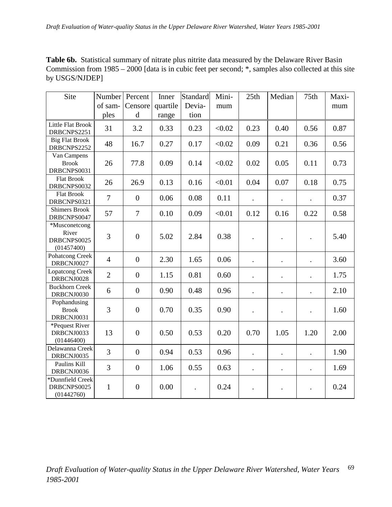**Table 6b.** Statistical summary of nitrate plus nitrite data measured by the Delaware River Basin Commission from 1985 – 2000 [data is in cubic feet per second; \*, samples also collected at this site by USGS/NJDEP]

| Site                                                | Number         | Percent          | Inner    | Standard | Mini-  | 25th                 | Median               | 75th                 | Maxi- |
|-----------------------------------------------------|----------------|------------------|----------|----------|--------|----------------------|----------------------|----------------------|-------|
|                                                     | of sam-        | Censore          | quartile | Devia-   | mum    |                      |                      |                      | mum   |
|                                                     | ples           | d                | range    | tion     |        |                      |                      |                      |       |
| <b>Little Flat Brook</b><br>DRBCNPS2251             | 31             | 3.2              | 0.33     | 0.23     | < 0.02 | 0.23                 | 0.40                 | 0.56                 | 0.87  |
| <b>Big Flat Brook</b><br>DRBCNPS2252                | 48             | 16.7             | 0.27     | 0.17     | < 0.02 | 0.09                 | 0.21                 | 0.36                 | 0.56  |
| Van Campens<br><b>Brook</b><br>DRBCNPS0031          | 26             | 77.8             | 0.09     | 0.14     | < 0.02 | 0.02                 | 0.05                 | 0.11                 | 0.73  |
| <b>Flat Brook</b><br>DRBCNPS0032                    | 26             | 26.9             | 0.13     | 0.16     | < 0.01 | 0.04                 | 0.07                 | 0.18                 | 0.75  |
| <b>Flat Brook</b><br>DRBCNPS0321                    | $\overline{7}$ | $\mathbf{0}$     | 0.06     | 0.08     | 0.11   | $\cdot$              | $\cdot$              |                      | 0.37  |
| <b>Shimers Brook</b><br>DRBCNPS0047                 | 57             | $\overline{7}$   | 0.10     | 0.09     | < 0.01 | 0.12                 | 0.16                 | 0.22                 | 0.58  |
| *Musconetcong<br>River<br>DRBCNPS0025<br>(01457400) | 3              | $\boldsymbol{0}$ | 5.02     | 2.84     | 0.38   |                      |                      |                      | 5.40  |
| Pohatcong Creek<br>DRBCNJ0027                       | $\overline{4}$ | $\overline{0}$   | 2.30     | 1.65     | 0.06   | $\ddot{\phantom{0}}$ |                      | $\ddot{\phantom{0}}$ | 3.60  |
| <b>Lopatcong Creek</b><br>DRBCNJ0028                | $\overline{2}$ | $\boldsymbol{0}$ | 1.15     | 0.81     | 0.60   | $\ddot{\phantom{0}}$ | $\ddot{\phantom{0}}$ | $\ddot{\phantom{0}}$ | 1.75  |
| <b>Buckhorn Creek</b><br>DRBCNJ0030                 | 6              | $\overline{0}$   | 0.90     | 0.48     | 0.96   | $\bullet$            |                      | $\ddot{\phantom{0}}$ | 2.10  |
| Pophandusing<br><b>Brook</b><br>DRBCNJ0031          | 3              | $\boldsymbol{0}$ | 0.70     | 0.35     | 0.90   | $\ddot{\phantom{0}}$ |                      |                      | 1.60  |
| *Pequest River<br>DRBCNJ0033<br>(01446400)          | 13             | $\boldsymbol{0}$ | 0.50     | 0.53     | 0.20   | 0.70                 | 1.05                 | 1.20                 | 2.00  |
| Delawanna Creek<br>DRBCNJ0035                       | 3              | $\boldsymbol{0}$ | 0.94     | 0.53     | 0.96   | $\cdot$              | $\bullet$            | $\ddot{\phantom{a}}$ | 1.90  |
| Paulins Kill<br>DRBCNJ0036                          | 3              | $\boldsymbol{0}$ | 1.06     | 0.55     | 0.63   | $\ddot{\phantom{0}}$ |                      |                      | 1.69  |
| *Dunnfield Creek<br>DRBCNPS0025<br>(01442760)       | $\mathbf{1}$   | $\overline{0}$   | 0.00     |          | 0.24   |                      |                      |                      | 0.24  |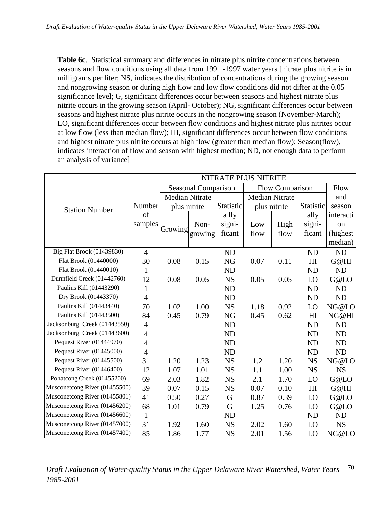**Table 6c**. Statistical summary and differences in nitrate plus nitrite concentrations between seasons and flow conditions using all data from 1991 -1997 water years [nitrate plus nitrite is in milligrams per liter; NS, indicates the distribution of concentrations during the growing season and nongrowing season or during high flow and low flow conditions did not differ at the 0.05 significance level; G, significant differences occur between seasons and highest nitrate plus nitrite occurs in the growing season (April- October); NG, significant differences occur between seasons and highest nitrate plus nitrite occurs in the nongrowing season (November-March); LO, significant differences occur between flow conditions and highest nitrate plus nitrites occur at low flow (less than median flow); HI, significant differences occur between flow conditions and highest nitrate plus nitrite occurs at high flow (greater than median flow); Season(flow), indicates interaction of flow and season with highest median; ND, not enough data to perform an analysis of variance]

|                               | NITRATE PLUS NITRITE |                       |                     |           |                       |                 |                |           |
|-------------------------------|----------------------|-----------------------|---------------------|-----------|-----------------------|-----------------|----------------|-----------|
|                               |                      |                       | Seasonal Comparison |           |                       | Flow Comparison |                | Flow      |
|                               |                      | <b>Median Nitrate</b> |                     |           | <b>Median Nitrate</b> |                 |                | and       |
| <b>Station Number</b>         | Number               | plus nitrite          |                     | Statistic | plus nitrite          |                 | Statistic      | season    |
|                               | of                   |                       |                     | a lly     |                       |                 | ally           | interacti |
|                               | samples              |                       | Non-                | signi-    | Low                   | High            | signi-         | on        |
|                               |                      | Growing               | growing             | ficant    | flow                  | flow            | ficant         | (highest) |
|                               |                      |                       |                     |           |                       |                 |                | median)   |
| Big Flat Brook (01439830)     | $\overline{4}$       |                       |                     | <b>ND</b> |                       |                 | <b>ND</b>      | <b>ND</b> |
| Flat Brook (01440000)         | 30                   | 0.08                  | 0.15                | NG        | 0.07                  | 0.11            | H <sub>I</sub> | G@HI      |
| Flat Brook (01440010)         | 1                    |                       |                     | <b>ND</b> |                       |                 | <b>ND</b>      | <b>ND</b> |
| Dunnfield Creek (01442760)    | 12                   | 0.08                  | 0.05                | <b>NS</b> | 0.05                  | 0.05            | LO             | G@LO      |
| Paulins Kill (01443290)       | $\mathbf{1}$         |                       |                     | <b>ND</b> |                       |                 | <b>ND</b>      | <b>ND</b> |
| Dry Brook (01443370)          | $\overline{4}$       |                       |                     | <b>ND</b> |                       |                 | <b>ND</b>      | <b>ND</b> |
| Paulins Kill (01443440)       | 70                   | 1.02                  | 1.00                | <b>NS</b> | 1.18                  | 0.92            | LO             | NG@LO     |
| Paulins Kill (01443500)       | 84                   | 0.45                  | 0.79                | NG        | 0.45                  | 0.62            | H <sub>I</sub> | NG@HI     |
| Jacksonburg Creek (01443550)  | $\overline{4}$       |                       |                     | <b>ND</b> |                       |                 | <b>ND</b>      | <b>ND</b> |
| Jacksonburg Creek (01443600)  | $\overline{4}$       |                       |                     | <b>ND</b> |                       |                 | <b>ND</b>      | <b>ND</b> |
| Pequest River (01444970)      | $\overline{4}$       |                       |                     | <b>ND</b> |                       |                 | <b>ND</b>      | <b>ND</b> |
| Pequest River (01445000)      | $\overline{4}$       |                       |                     | <b>ND</b> |                       |                 | <b>ND</b>      | <b>ND</b> |
| Pequest River (01445500)      | 31                   | 1.20                  | 1.23                | <b>NS</b> | 1.2                   | 1.20            | <b>NS</b>      | NG@LO     |
| Pequest River (01446400)      | 12                   | 1.07                  | 1.01                | <b>NS</b> | 1.1                   | 1.00            | <b>NS</b>      | <b>NS</b> |
| Pohatcong Creek (01455200)    | 69                   | 2.03                  | 1.82                | <b>NS</b> | 2.1                   | 1.70            | LO             | G@LO      |
| Musconetcong River (01455500) | 39                   | 0.07                  | 0.15                | <b>NS</b> | 0.07                  | 0.10            | H <sub>I</sub> | G@HI      |
| Musconetcong River (01455801) | 41                   | 0.50                  | 0.27                | G         | 0.87                  | 0.39            | LO             | G@LO      |
| Musconetcong River (01456200) | 68                   | 1.01                  | 0.79                | G         | 1.25                  | 0.76            | LO             | G@LO      |
| Musconetcong River (01456600) | $\mathbf{1}$         |                       |                     | <b>ND</b> |                       |                 | <b>ND</b>      | <b>ND</b> |
| Musconetcong River (01457000) | 31                   | 1.92                  | 1.60                | <b>NS</b> | 2.02                  | 1.60            | LO             | <b>NS</b> |
| Musconetcong River (01457400) | 85                   | 1.86                  | 1.77                | <b>NS</b> | 2.01                  | 1.56            | LO             | NG@LO     |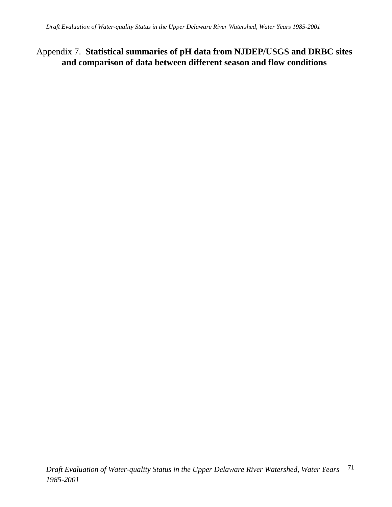# Appendix 7. **Statistical summaries of pH data from NJDEP/USGS and DRBC sites and comparison of data between different season and flow conditions**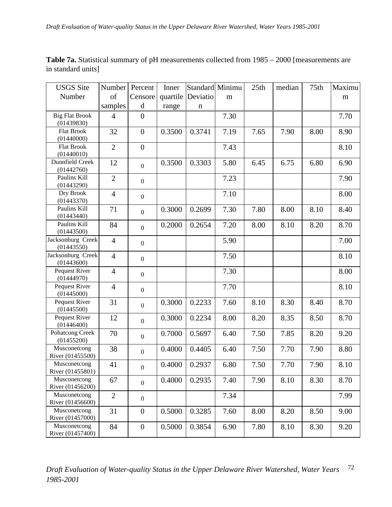**Table 7a.** Statistical summary of pH measurements collected from 1985 – 2000 [measurements are in standard units]

| <b>USGS</b> Site                    | Number         | Percent          | Inner    |             | <b>Standard Minimu</b> | 25th | median | 75th | Maximu |
|-------------------------------------|----------------|------------------|----------|-------------|------------------------|------|--------|------|--------|
| Number                              | of             | Censore          | quartile | Deviatio    | m                      |      |        |      | m      |
|                                     | samples        | d                | range    | $\mathbf n$ |                        |      |        |      |        |
| <b>Big Flat Brook</b><br>(01439830) | $\overline{4}$ | $\overline{0}$   |          |             | 7.30                   |      |        |      | 7.70   |
| <b>Flat Brook</b><br>(01440000)     | 32             | $\boldsymbol{0}$ | 0.3500   | 0.3741      | 7.19                   | 7.65 | 7.90   | 8.00 | 8.90   |
| <b>Flat Brook</b><br>(01440010)     | $\overline{2}$ | $\boldsymbol{0}$ |          |             | 7.43                   |      |        |      | 8.10   |
| Dunnfield Creek<br>(01442760)       | 12             | $\overline{0}$   | 0.3500   | 0.3303      | 5.80                   | 6.45 | 6.75   | 6.80 | 6.90   |
| Paulins Kill<br>(01443290)          | $\overline{2}$ | $\boldsymbol{0}$ |          |             | 7.23                   |      |        |      | 7.90   |
| Dry Brook<br>(01443370)             | $\overline{4}$ | $\boldsymbol{0}$ |          |             | 7.10                   |      |        |      | 8.00   |
| Paulins Kill<br>(01443440)          | 71             | $\boldsymbol{0}$ | 0.3000   | 0.2699      | 7.30                   | 7.80 | 8.00   | 8.10 | 8.40   |
| Paulins Kill<br>(01443500)          | 84             | $\boldsymbol{0}$ | 0.2000   | 0.2654      | 7.20                   | 8.00 | 8.10   | 8.20 | 8.70   |
| Jacksonburg Creek<br>(01443550)     | $\overline{4}$ | $\boldsymbol{0}$ |          |             | 5.90                   |      |        |      | 7.00   |
| Jacksonburg Creek<br>(01443600)     | $\overline{4}$ | $\boldsymbol{0}$ |          |             | 7.50                   |      |        |      | 8.10   |
| Pequest River<br>(01444970)         | $\overline{4}$ | $\boldsymbol{0}$ |          |             | 7.30                   |      |        |      | 8.00   |
| Pequest River<br>(01445000)         | $\overline{4}$ | $\boldsymbol{0}$ |          |             | 7.70                   |      |        |      | 8.10   |
| Pequest River<br>(01445500)         | 31             | $\boldsymbol{0}$ | 0.3000   | 0.2233      | 7.60                   | 8.10 | 8.30   | 8.40 | 8.70   |
| Pequest River<br>(01446400)         | 12             | $\boldsymbol{0}$ | 0.3000   | 0.2234      | 8.00                   | 8.20 | 8.35   | 8.50 | 8.70   |
| Pohatcong Creek<br>(01455200)       | 70             | $\overline{0}$   | 0.7000   | 0.5697      | 6.40                   | 7.50 | 7.85   | 8.20 | 9.20   |
| Musconetcong<br>River (01455500)    | 38             | $\overline{0}$   | 0.4000   | 0.4405      | 6.40                   | 7.50 | 7.70   | 7.90 | 8.80   |
| Musconetcong<br>River (01455801)    | 41             | $\overline{0}$   | 0.4000   | 0.2937      | 6.80                   | 7.50 | 7.70   | 7.90 | 8.10   |
| Musconetcong<br>River (01456200)    | 67             | $\overline{0}$   | 0.4000   | 0.2935      | 7.40                   | 7.90 | 8.10   | 8.30 | 8.70   |
| Musconetcong<br>River (01456600)    | $\mathbf{2}$   | $\boldsymbol{0}$ |          |             | 7.34                   |      |        |      | 7.99   |
| Musconetcong<br>River (01457000)    | 31             | $\boldsymbol{0}$ | 0.5000   | 0.3285      | 7.60                   | 8.00 | 8.20   | 8.50 | 9.00   |
| Musconetcong<br>River (01457400)    | 84             | $\boldsymbol{0}$ | 0.5000   | 0.3854      | 6.90                   | 7.80 | 8.10   | 8.30 | 9.20   |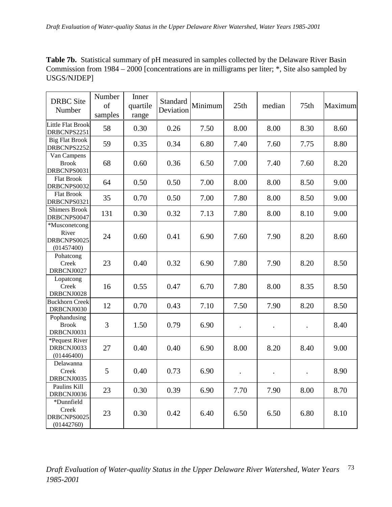**Table 7b.** Statistical summary of pH measured in samples collected by the Delaware River Basin Commission from 1984 – 2000 [concentrations are in milligrams per liter; \*, Site also sampled by USGS/NJDEP]

| <b>DRBC</b> Site<br>Number                          | Number<br>of<br>samples | Inner<br>quartile<br>range | Standard<br>Deviation | Minimum | 25th      | median | 75th      | Maximum |
|-----------------------------------------------------|-------------------------|----------------------------|-----------------------|---------|-----------|--------|-----------|---------|
| <b>Little Flat Brook</b><br>DRBCNPS2251             | 58                      | 0.30                       | 0.26                  | 7.50    | 8.00      | 8.00   | 8.30      | 8.60    |
| <b>Big Flat Brook</b><br>DRBCNPS2252                | 59                      | 0.35                       | 0.34                  | 6.80    | 7.40      | 7.60   | 7.75      | 8.80    |
| Van Campens<br><b>Brook</b><br>DRBCNPS0031          | 68                      | 0.60                       | 0.36                  | 6.50    | 7.00      | 7.40   | 7.60      | 8.20    |
| <b>Flat Brook</b><br>DRBCNPS0032                    | 64                      | 0.50                       | 0.50                  | 7.00    | 8.00      | 8.00   | 8.50      | 9.00    |
| <b>Flat Brook</b><br>DRBCNPS0321                    | 35                      | 0.70                       | 0.50                  | 7.00    | 7.80      | 8.00   | 8.50      | 9.00    |
| <b>Shimers Brook</b><br>DRBCNPS0047                 | 131                     | 0.30                       | 0.32                  | 7.13    | 7.80      | 8.00   | 8.10      | 9.00    |
| *Musconetcong<br>River<br>DRBCNPS0025<br>(01457400) | 24                      | 0.60                       | 0.41                  | 6.90    | 7.60      | 7.90   | 8.20      | 8.60    |
| Pohatcong<br>Creek<br>DRBCNJ0027                    | 23                      | 0.40                       | 0.32                  | 6.90    | 7.80      | 7.90   | 8.20      | 8.50    |
| Lopatcong<br>Creek<br>DRBCNJ0028                    | 16                      | 0.55                       | 0.47                  | 6.70    | 7.80      | 8.00   | 8.35      | 8.50    |
| <b>Buckhorn Creek</b><br>DRBCNJ0030                 | 12                      | 0.70                       | 0.43                  | 7.10    | 7.50      | 7.90   | 8.20      | 8.50    |
| Pophandusing<br><b>Brook</b><br>DRBCNJ0031          | 3                       | 1.50                       | 0.79                  | 6.90    | $\bullet$ |        | $\bullet$ | 8.40    |
| *Pequest River<br>DRBCNJ0033<br>(01446400)          | 27                      | 0.40                       | 0.40                  | 6.90    | 8.00      | 8.20   | 8.40      | 9.00    |
| Delawanna<br>Creek<br>DRBCNJ0035                    | 5                       | 0.40                       | 0.73                  | 6.90    | $\bullet$ |        | $\bullet$ | 8.90    |
| Paulins Kill<br>DRBCNJ0036                          | 23                      | 0.30                       | 0.39                  | 6.90    | 7.70      | 7.90   | 8.00      | 8.70    |
| *Dunnfield<br>Creek<br>DRBCNPS0025<br>(01442760)    | 23                      | 0.30                       | 0.42                  | 6.40    | 6.50      | 6.50   | 6.80      | 8.10    |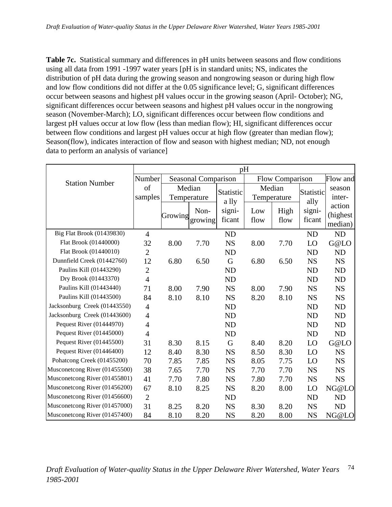**Table 7c.** Statistical summary and differences in pH units between seasons and flow conditions using all data from 1991 -1997 water years [pH is in standard units; NS, indicates the distribution of pH data during the growing season and nongrowing season or during high flow and low flow conditions did not differ at the 0.05 significance level; G, significant differences occur between seasons and highest pH values occur in the growing season (April- October); NG, significant differences occur between seasons and highest pH values occur in the nongrowing season (November-March); LO, significant differences occur between flow conditions and largest pH values occur at low flow (less than median flow); HI, significant differences occur between flow conditions and largest pH values occur at high flow (greater than median flow); Season(flow), indicates interaction of flow and season with highest median; ND, not enough data to perform an analysis of variance]

|                               | pH             |         |                            |           |      |                 |           |           |
|-------------------------------|----------------|---------|----------------------------|-----------|------|-----------------|-----------|-----------|
| <b>Station Number</b>         | Number         |         | <b>Seasonal Comparison</b> |           |      | Flow Comparison |           | Flow and  |
|                               | of             |         | Median                     | Statistic |      | Median          | Statistic | season    |
|                               | samples        |         | Temperature                | a lly     |      | Temperature     | ally      | inter-    |
|                               |                |         | Non-                       | signi-    | Low  | High            | signi-    | action    |
|                               |                | Growing | growing                    | ficant    | flow | flow            | ficant    | (highest) |
|                               |                |         |                            |           |      |                 |           | median)   |
| Big Flat Brook (01439830)     | $\overline{4}$ |         |                            | <b>ND</b> |      |                 | <b>ND</b> | <b>ND</b> |
| Flat Brook (01440000)         | 32             | 8.00    | 7.70                       | <b>NS</b> | 8.00 | 7.70            | LO        | G@LO      |
| Flat Brook (01440010)         | $\overline{2}$ |         |                            | ND        |      |                 | <b>ND</b> | ND        |
| Dunnfield Creek (01442760)    | 12             | 6.80    | 6.50                       | G         | 6.80 | 6.50            | <b>NS</b> | <b>NS</b> |
| Paulins Kill (01443290)       | $\mathbf{2}$   |         |                            | <b>ND</b> |      |                 | <b>ND</b> | ND        |
| Dry Brook (01443370)          | 4              |         |                            | ND        |      |                 | <b>ND</b> | ND        |
| Paulins Kill (01443440)       | 71             | 8.00    | 7.90                       | <b>NS</b> | 8.00 | 7.90            | <b>NS</b> | <b>NS</b> |
| Paulins Kill (01443500)       | 84             | 8.10    | 8.10                       | <b>NS</b> | 8.20 | 8.10            | <b>NS</b> | <b>NS</b> |
| Jacksonburg Creek (01443550)  | 4              |         |                            | <b>ND</b> |      |                 | <b>ND</b> | ND        |
| Jacksonburg Creek (01443600)  | $\overline{4}$ |         |                            | <b>ND</b> |      |                 | <b>ND</b> | ND        |
| Pequest River (01444970)      | 4              |         |                            | <b>ND</b> |      |                 | ND        | <b>ND</b> |
| Pequest River (01445000)      | $\overline{4}$ |         |                            | <b>ND</b> |      |                 | <b>ND</b> | ND        |
| Pequest River (01445500)      | 31             | 8.30    | 8.15                       | G         | 8.40 | 8.20            | LO        | G@LO      |
| Pequest River (01446400)      | 12             | 8.40    | 8.30                       | <b>NS</b> | 8.50 | 8.30            | LO        | <b>NS</b> |
| Pohatcong Creek (01455200)    | 70             | 7.85    | 7.85                       | <b>NS</b> | 8.05 | 7.75            | LO        | <b>NS</b> |
| Musconetcong River (01455500) | 38             | 7.65    | 7.70                       | <b>NS</b> | 7.70 | 7.70            | <b>NS</b> | <b>NS</b> |
| Musconetcong River (01455801) | 41             | 7.70    | 7.80                       | <b>NS</b> | 7.80 | 7.70            | <b>NS</b> | <b>NS</b> |
| Musconetcong River (01456200) | 67             | 8.10    | 8.25                       | <b>NS</b> | 8.20 | 8.00            | LO        | NG@LO     |
| Musconetcong River (01456600) | $\overline{2}$ |         |                            | <b>ND</b> |      |                 | <b>ND</b> | ND        |
| Musconetcong River (01457000) | 31             | 8.25    | 8.20                       | <b>NS</b> | 8.30 | 8.20            | <b>NS</b> | ND        |
| Musconetcong River (01457400) | 84             | 8.10    | 8.20                       | <b>NS</b> | 8.20 | 8.00            | <b>NS</b> | NG@LO     |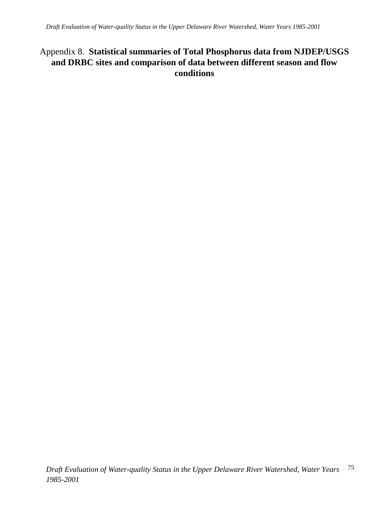## Appendix 8. **Statistical summaries of Total Phosphorus data from NJDEP/USGS and DRBC sites and comparison of data between different season and flow conditions**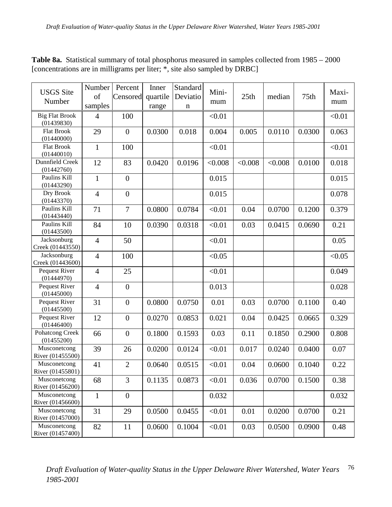| <b>USGS</b> Site                    | Number         | Percent          | Inner    | Standard    | Mini-   |         |         |        | Maxi-  |
|-------------------------------------|----------------|------------------|----------|-------------|---------|---------|---------|--------|--------|
| Number                              | of             | Censored         | quartile | Deviatio    | mum     | 25th    | median  | 75th   | mum    |
|                                     | samples        |                  | range    | $\mathbf n$ |         |         |         |        |        |
| <b>Big Flat Brook</b><br>(01439830) | $\overline{4}$ | 100              |          |             | < 0.01  |         |         |        | < 0.01 |
| <b>Flat Brook</b><br>(01440000)     | 29             | $\mathbf{0}$     | 0.0300   | 0.018       | 0.004   | 0.005   | 0.0110  | 0.0300 | 0.063  |
| <b>Flat Brook</b><br>(01440010)     | $\mathbf{1}$   | 100              |          |             | < 0.01  |         |         |        | < 0.01 |
| Dunnfield Creek<br>(01442760)       | 12             | 83               | 0.0420   | 0.0196      | < 0.008 | < 0.008 | < 0.008 | 0.0100 | 0.018  |
| Paulins Kill<br>(01443290)          | $\mathbf{1}$   | $\overline{0}$   |          |             | 0.015   |         |         |        | 0.015  |
| Dry Brook<br>(01443370)             | $\overline{4}$ | $\overline{0}$   |          |             | 0.015   |         |         |        | 0.078  |
| Paulins Kill<br>(01443440)          | 71             | $\overline{7}$   | 0.0800   | 0.0784      | < 0.01  | 0.04    | 0.0700  | 0.1200 | 0.379  |
| Paulins Kill<br>(01443500)          | 84             | 10               | 0.0390   | 0.0318      | < 0.01  | 0.03    | 0.0415  | 0.0690 | 0.21   |
| Jacksonburg<br>Creek (01443550)     | $\overline{4}$ | 50               |          |             | < 0.01  |         |         |        | 0.05   |
| Jacksonburg<br>Creek (01443600)     | $\overline{4}$ | 100              |          |             | < 0.05  |         |         |        | < 0.05 |
| Pequest River<br>(01444970)         | $\overline{4}$ | 25               |          |             | < 0.01  |         |         |        | 0.049  |
| Pequest River<br>(01445000)         | $\overline{4}$ | $\boldsymbol{0}$ |          |             | 0.013   |         |         |        | 0.028  |
| Pequest River<br>(01445500)         | 31             | $\boldsymbol{0}$ | 0.0800   | 0.0750      | 0.01    | 0.03    | 0.0700  | 0.1100 | 0.40   |
| Pequest River<br>(01446400)         | 12             | $\boldsymbol{0}$ | 0.0270   | 0.0853      | 0.021   | 0.04    | 0.0425  | 0.0665 | 0.329  |
| Pohatcong Creek<br>(01455200)       | 66             | $\boldsymbol{0}$ | 0.1800   | 0.1593      | 0.03    | 0.11    | 0.1850  | 0.2900 | 0.808  |
| Musconetcong<br>River (01455500)    | 39             | 26               | 0.0200   | 0.0124      | < 0.01  | 0.017   | 0.0240  | 0.0400 | 0.07   |
| Musconetcong<br>River (01455801)    | 41             | $\overline{2}$   | 0.0640   | 0.0515      | < 0.01  | 0.04    | 0.0600  | 0.1040 | 0.22   |
| Musconetcong<br>River (01456200)    | 68             | 3                | 0.1135   | 0.0873      | < 0.01  | 0.036   | 0.0700  | 0.1500 | 0.38   |
| Musconetcong<br>River (01456600)    | $\mathbf{1}$   | $\mathbf{0}$     |          |             | 0.032   |         |         |        | 0.032  |
| Musconetcong<br>River (01457000)    | 31             | 29               | 0.0500   | 0.0455      | < 0.01  | 0.01    | 0.0200  | 0.0700 | 0.21   |
| Musconetcong<br>River (01457400)    | 82             | 11               | 0.0600   | 0.1004      | < 0.01  | 0.03    | 0.0500  | 0.0900 | 0.48   |

**Table 8a.** Statistical summary of total phosphorus measured in samples collected from 1985 – 2000 [concentrations are in milligrams per liter; \*, site also sampled by DRBC]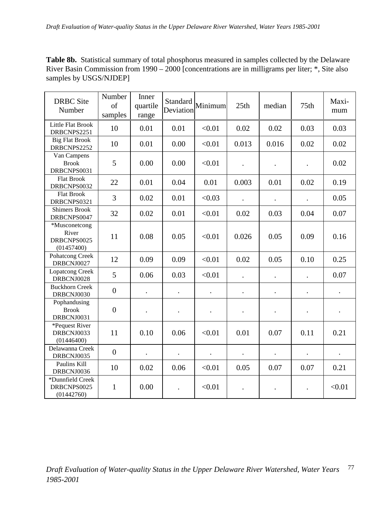**Table 8b.** Statistical summary of total phosphorus measured in samples collected by the Delaware River Basin Commission from 1990 – 2000 [concentrations are in milligrams per liter; \*, Site also samples by USGS/NJDEP]

| <b>DRBC</b> Site<br>Number                          | Number<br>of<br>samples | Inner<br>quartile<br>range | Standard<br>Deviation | Minimum | 25th                 | median               | 75th                 | Maxi-<br>mum |
|-----------------------------------------------------|-------------------------|----------------------------|-----------------------|---------|----------------------|----------------------|----------------------|--------------|
| Little Flat Brook<br>DRBCNPS2251                    | 10                      | 0.01                       | 0.01                  | < 0.01  | 0.02                 | 0.02                 | 0.03                 | 0.03         |
| <b>Big Flat Brook</b><br>DRBCNPS2252                | 10                      | 0.01                       | 0.00                  | < 0.01  | 0.013                | 0.016                | 0.02                 | 0.02         |
| Van Campens<br><b>Brook</b><br>DRBCNPS0031          | 5                       | 0.00                       | 0.00                  | < 0.01  |                      |                      |                      | 0.02         |
| <b>Flat Brook</b><br>DRBCNPS0032                    | 22                      | 0.01                       | 0.04                  | 0.01    | 0.003                | 0.01                 | 0.02                 | 0.19         |
| <b>Flat Brook</b><br>DRBCNPS0321                    | 3                       | 0.02                       | 0.01                  | < 0.03  | $\ddot{\phantom{0}}$ | $\ddot{\phantom{a}}$ | $\ddot{\phantom{0}}$ | 0.05         |
| <b>Shimers Brook</b><br>DRBCNPS0047                 | 32                      | 0.02                       | 0.01                  | < 0.01  | 0.02                 | 0.03                 | 0.04                 | 0.07         |
| *Musconetcong<br>River<br>DRBCNPS0025<br>(01457400) | 11                      | 0.08                       | 0.05                  | < 0.01  | 0.026                | 0.05                 | 0.09                 | 0.16         |
| Pohatcong Creek<br>DRBCNJ0027                       | 12                      | 0.09                       | 0.09                  | < 0.01  | 0.02                 | 0.05                 | 0.10                 | 0.25         |
| <b>Lopatcong Creek</b><br>DRBCNJ0028                | 5                       | 0.06                       | 0.03                  | < 0.01  |                      |                      | $\ddot{\phantom{a}}$ | 0.07         |
| <b>Buckhorn Creek</b><br>DRBCNJ0030                 | $\overline{0}$          | $\bullet$                  | $\bullet$             |         |                      |                      | $\ddot{\phantom{0}}$ |              |
| Pophandusing<br><b>Brook</b><br>DRBCNJ0031          | $\overline{0}$          |                            |                       |         |                      |                      |                      |              |
| *Pequest River<br>DRBCNJ0033<br>(01446400)          | 11                      | 0.10                       | 0.06                  | < 0.01  | 0.01                 | 0.07                 | 0.11                 | 0.21         |
| Delawanna Creek<br>DRBCNJ0035                       | $\boldsymbol{0}$        |                            |                       |         |                      |                      |                      |              |
| Paulins Kill<br>DRBCNJ0036                          | 10                      | 0.02                       | 0.06                  | < 0.01  | 0.05                 | 0.07                 | 0.07                 | 0.21         |
| *Dunnfield Creek<br>DRBCNPS0025<br>(01442760)       | $\mathbf{1}$            | 0.00                       |                       | < 0.01  |                      |                      | $\ddot{\phantom{0}}$ | < 0.01       |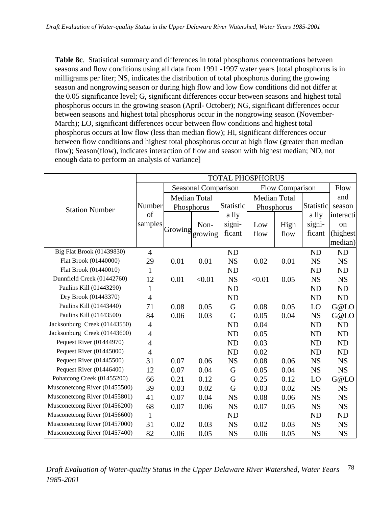**Table 8c**. Statistical summary and differences in total phosphorus concentrations between seasons and flow conditions using all data from 1991 -1997 water years [total phosphorus is in milligrams per liter; NS, indicates the distribution of total phosphorus during the growing season and nongrowing season or during high flow and low flow conditions did not differ at the 0.05 significance level; G, significant differences occur between seasons and highest total phosphorus occurs in the growing season (April- October); NG, significant differences occur between seasons and highest total phosphorus occur in the nongrowing season (November-March); LO, significant differences occur between flow conditions and highest total phosphorus occurs at low flow (less than median flow); HI, significant differences occur between flow conditions and highest total phosphorus occur at high flow (greater than median flow); Season(flow), indicates interaction of flow and season with highest median; ND, not enough data to perform an analysis of variance]

|                               | <b>TOTAL PHOSPHORUS</b> |         |                     |           |                     |                 |           |           |  |  |
|-------------------------------|-------------------------|---------|---------------------|-----------|---------------------|-----------------|-----------|-----------|--|--|
|                               | Seasonal Comparison     |         |                     |           |                     | Flow Comparison |           | Flow      |  |  |
|                               |                         |         | <b>Median Total</b> |           | <b>Median Total</b> |                 |           | and       |  |  |
| <b>Station Number</b>         | Number                  |         | Phosphorus          | Statistic |                     | Phosphorus      | Statistic | season    |  |  |
|                               | of                      |         |                     | a lly     |                     |                 | a lly     | interacti |  |  |
|                               | samples                 |         | Non-                | signi-    | Low                 | High            | signi-    | on        |  |  |
|                               |                         | Growing | growing             | ficant    | flow                | flow            | ficant    | (highest) |  |  |
|                               |                         |         |                     |           |                     |                 |           | median)   |  |  |
| Big Flat Brook (01439830)     | $\overline{4}$          |         |                     | ND        |                     |                 | <b>ND</b> | ND        |  |  |
| Flat Brook (01440000)         | 29                      | 0.01    | 0.01                | <b>NS</b> | 0.02                | 0.01            | <b>NS</b> | <b>NS</b> |  |  |
| Flat Brook (01440010)         | 1                       |         |                     | <b>ND</b> |                     |                 | <b>ND</b> | <b>ND</b> |  |  |
| Dunnfield Creek (01442760)    | 12                      | 0.01    | < 0.01              | <b>NS</b> | < 0.01              | 0.05            | <b>NS</b> | <b>NS</b> |  |  |
| Paulins Kill (01443290)       | 1                       |         |                     | <b>ND</b> |                     |                 | <b>ND</b> | ND        |  |  |
| Dry Brook (01443370)          | $\overline{4}$          |         |                     | <b>ND</b> |                     |                 | <b>ND</b> | ND        |  |  |
| Paulins Kill (01443440)       | 71                      | 0.08    | 0.05                | G         | 0.08                | 0.05            | LO        | G@LO      |  |  |
| Paulins Kill (01443500)       | 84                      | 0.06    | 0.03                | G         | 0.05                | 0.04            | <b>NS</b> | G@LO      |  |  |
| Jacksonburg Creek (01443550)  | $\overline{4}$          |         |                     | <b>ND</b> | 0.04                |                 | <b>ND</b> | <b>ND</b> |  |  |
| Jacksonburg Creek (01443600)  | $\overline{4}$          |         |                     | <b>ND</b> | 0.05                |                 | <b>ND</b> | ND        |  |  |
| Pequest River (01444970)      | $\overline{4}$          |         |                     | ND        | 0.03                |                 | <b>ND</b> | ND        |  |  |
| Pequest River (01445000)      | $\overline{4}$          |         |                     | <b>ND</b> | 0.02                |                 | <b>ND</b> | ND        |  |  |
| Pequest River (01445500)      | 31                      | 0.07    | 0.06                | <b>NS</b> | 0.08                | 0.06            | <b>NS</b> | <b>NS</b> |  |  |
| Pequest River (01446400)      | 12                      | 0.07    | 0.04                | G         | 0.05                | 0.04            | <b>NS</b> | <b>NS</b> |  |  |
| Pohatcong Creek (01455200)    | 66                      | 0.21    | 0.12                | G         | 0.25                | 0.12            | LO        | G@LO      |  |  |
| Musconetcong River (01455500) | 39                      | 0.03    | 0.02                | G         | 0.03                | 0.02            | <b>NS</b> | <b>NS</b> |  |  |
| Musconetcong River (01455801) | 41                      | 0.07    | 0.04                | <b>NS</b> | 0.08                | 0.06            | <b>NS</b> | <b>NS</b> |  |  |
| Musconetcong River (01456200) | 68                      | 0.07    | 0.06                | <b>NS</b> | 0.07                | 0.05            | <b>NS</b> | <b>NS</b> |  |  |
| Musconetcong River (01456600) | $\mathbf{1}$            |         |                     | <b>ND</b> |                     |                 | <b>ND</b> | ND        |  |  |
| Musconetcong River (01457000) | 31                      | 0.02    | 0.03                | <b>NS</b> | 0.02                | 0.03            | <b>NS</b> | <b>NS</b> |  |  |
| Musconetcong River (01457400) | 82                      | 0.06    | 0.05                | <b>NS</b> | 0.06                | 0.05            | <b>NS</b> | <b>NS</b> |  |  |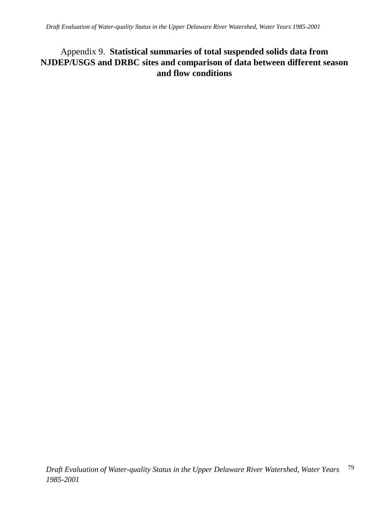## Appendix 9. **Statistical summaries of total suspended solids data from NJDEP/USGS and DRBC sites and comparison of data between different season and flow conditions**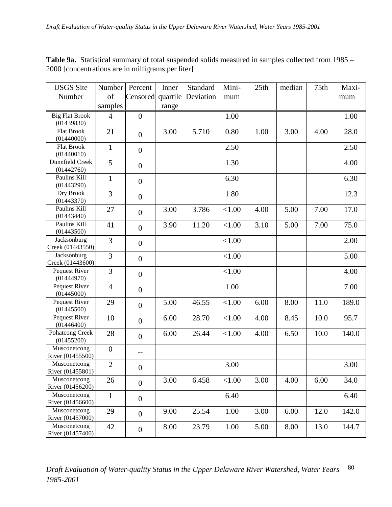| <b>USGS</b> Site                    | Number         | Percent          | Inner    | Standard  | Mini-     | 25th | median | 75th | Maxi- |
|-------------------------------------|----------------|------------------|----------|-----------|-----------|------|--------|------|-------|
| Number                              | of             | Censored         | quartile | Deviation | mum       |      |        |      | mum   |
|                                     | samples        |                  | range    |           |           |      |        |      |       |
| <b>Big Flat Brook</b><br>(01439830) | $\overline{4}$ | $\boldsymbol{0}$ |          |           | 1.00      |      |        |      | 1.00  |
| <b>Flat Brook</b><br>(01440000)     | 21             | $\overline{0}$   | 3.00     | 5.710     | 0.80      | 1.00 | 3.00   | 4.00 | 28.0  |
| <b>Flat Brook</b><br>(01440010)     | $\mathbf{1}$   | $\boldsymbol{0}$ |          |           | 2.50      |      |        |      | 2.50  |
| Dunnfield Creek<br>(01442760)       | 5              | $\overline{0}$   |          |           | 1.30      |      |        |      | 4.00  |
| Paulins Kill<br>(01443290)          | $\mathbf{1}$   | $\overline{0}$   |          |           | 6.30      |      |        |      | 6.30  |
| Dry Brook<br>(01443370)             | $\overline{3}$ | $\overline{0}$   |          |           | 1.80      |      |        |      | 12.3  |
| Paulins Kill<br>(01443440)          | 27             | $\overline{0}$   | 3.00     | 3.786     | ${<}1.00$ | 4.00 | 5.00   | 7.00 | 17.0  |
| Paulins Kill<br>(01443500)          | 41             | $\overline{0}$   | 3.90     | 11.20     | ${<}1.00$ | 3.10 | 5.00   | 7.00 | 75.0  |
| Jacksonburg<br>Creek (01443550)     | 3              | $\overline{0}$   |          |           | < 1.00    |      |        |      | 2.00  |
| Jacksonburg<br>Creek (01443600)     | 3              | $\overline{0}$   |          |           | ${<}1.00$ |      |        |      | 5.00  |
| Pequest River<br>(01444970)         | 3              | $\overline{0}$   |          |           | ${<}1.00$ |      |        |      | 4.00  |
| Pequest River<br>(01445000)         | $\overline{4}$ | $\boldsymbol{0}$ |          |           | 1.00      |      |        |      | 7.00  |
| Pequest River<br>(01445500)         | 29             | $\overline{0}$   | 5.00     | 46.55     | ${<}1.00$ | 6.00 | 8.00   | 11.0 | 189.0 |
| Pequest River<br>(01446400)         | 10             | $\overline{0}$   | 6.00     | 28.70     | < 1.00    | 4.00 | 8.45   | 10.0 | 95.7  |
| Pohatcong Creek<br>(01455200)       | 28             | $\overline{0}$   | 6.00     | 26.44     | < 1.00    | 4.00 | 6.50   | 10.0 | 140.0 |
| Musconetcong<br>River (01455500)    | $\overline{0}$ | $-$              |          |           |           |      |        |      |       |
| Musconetcong<br>River (01455801)    | $\overline{2}$ | $\boldsymbol{0}$ |          |           | 3.00      |      |        |      | 3.00  |
| Musconetcong<br>River (01456200)    | 26             | $\overline{0}$   | 3.00     | 6.458     | < 1.00    | 3.00 | 4.00   | 6.00 | 34.0  |
| Musconetcong<br>River (01456600)    | $\mathbf{1}$   | $\boldsymbol{0}$ |          |           | 6.40      |      |        |      | 6.40  |
| Musconetcong<br>River (01457000)    | 29             | $\boldsymbol{0}$ | 9.00     | 25.54     | 1.00      | 3.00 | 6.00   | 12.0 | 142.0 |
| Musconetcong<br>River (01457400)    | 42             | $\boldsymbol{0}$ | 8.00     | 23.79     | 1.00      | 5.00 | 8.00   | 13.0 | 144.7 |

**Table 9a.** Statistical summary of total suspended solids measured in samples collected from 1985 – 2000 [concentrations are in milligrams per liter]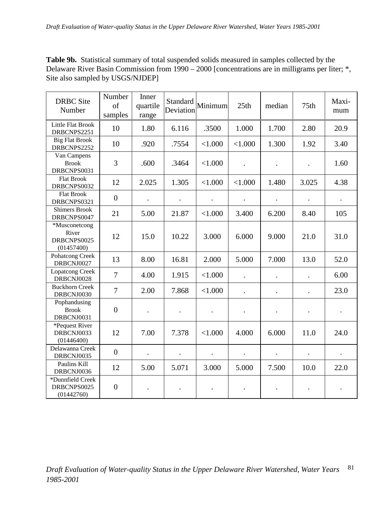**Table 9b.** Statistical summary of total suspended solids measured in samples collected by the Delaware River Basin Commission from 1990 – 2000 [concentrations are in milligrams per liter; \*, Site also sampled by USGS/NJDEP]

| <b>DRBC</b> Site<br>Number                          | Number<br>of<br>samples | Inner<br>quartile<br>range | Standard<br>Deviation | Minimum              | 25th      | median               | 75th                 | Maxi-<br>mum         |
|-----------------------------------------------------|-------------------------|----------------------------|-----------------------|----------------------|-----------|----------------------|----------------------|----------------------|
| Little Flat Brook<br>DRBCNPS2251                    | 10                      | 1.80                       | 6.116                 | .3500                | 1.000     | 1.700                | 2.80                 | 20.9                 |
| <b>Big Flat Brook</b><br>DRBCNPS2252                | 10                      | .920                       | .7554                 | < 1.000              | < 1.000   | 1.300                | 1.92                 | 3.40                 |
| Van Campens<br><b>Brook</b><br>DRBCNPS0031          | 3                       | .600                       | .3464                 | < 1.000              |           |                      | $\cdot$              | 1.60                 |
| <b>Flat Brook</b><br>DRBCNPS0032                    | 12                      | 2.025                      | 1.305                 | < 1.000              | < 1.000   | 1.480                | 3.025                | 4.38                 |
| <b>Flat Brook</b><br>DRBCNPS0321                    | $\boldsymbol{0}$        | $\ddot{\phantom{a}}$       | $\bullet$             | $\ddot{\phantom{0}}$ | $\bullet$ | $\ddot{\phantom{0}}$ | $\ddot{\phantom{0}}$ | $\ddot{\phantom{0}}$ |
| <b>Shimers Brook</b><br>DRBCNPS0047                 | 21                      | 5.00                       | 21.87                 | < 1.000              | 3.400     | 6.200                | 8.40                 | 105                  |
| *Musconetcong<br>River<br>DRBCNPS0025<br>(01457400) | 12                      | 15.0                       | 10.22                 | 3.000                | 6.000     | 9.000                | 21.0                 | 31.0                 |
| Pohatcong Creek<br>DRBCNJ0027                       | 13                      | 8.00                       | 16.81                 | 2.000                | 5.000     | 7.000                | 13.0                 | 52.0                 |
| <b>Lopatcong Creek</b><br>DRBCNJ0028                | $\overline{7}$          | 4.00                       | 1.915                 | < 1.000              |           |                      | $\ddot{\phantom{0}}$ | 6.00                 |
| <b>Buckhorn Creek</b><br>DRBCNJ0030                 | $\overline{7}$          | 2.00                       | 7.868                 | < 1.000              |           |                      | $\ddot{\phantom{0}}$ | 23.0                 |
| Pophandusing<br><b>Brook</b><br>DRBCNJ0031          | $\overline{0}$          |                            |                       |                      |           |                      |                      |                      |
| *Pequest River<br>DRBCNJ0033<br>(01446400)          | 12                      | 7.00                       | 7.378                 | < 1.000              | 4.000     | 6.000                | 11.0                 | 24.0                 |
| Delawanna Creek<br>DRBCNJ0035                       | $\boldsymbol{0}$        |                            |                       |                      |           |                      | $\bullet$            |                      |
| Paulins Kill<br>DRBCNJ0036                          | 12                      | 5.00                       | 5.071                 | 3.000                | 5.000     | 7.500                | 10.0                 | 22.0                 |
| *Dunnfield Creek<br>DRBCNPS0025<br>(01442760)       | $\overline{0}$          |                            |                       |                      |           |                      |                      |                      |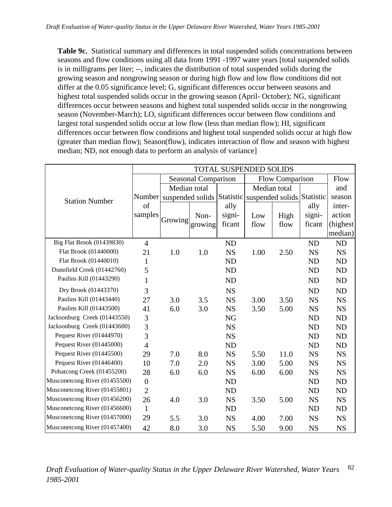**Table 9c.** Statistical summary and differences in total suspended solids concentrations between seasons and flow conditions using all data from 1991 -1997 water years [total suspended solids is in milligrams per liter; --, indicates the distribution of total suspended solids during the growing season and nongrowing season or during high flow and low flow conditions did not differ at the 0.05 significance level; G, significant differences occur between seasons and highest total suspended solids occur in the growing season (April- October); NG, significant differences occur between seasons and highest total suspended solids occur in the nongrowing season (November-March); LO, significant differences occur between flow conditions and largest total suspended solids occur at low flow (less than median flow); HI, significant differences occur between flow conditions and highest total suspended solids occur at high flow (greater than median flow); Season(flow), indicates interaction of flow and season with highest median; ND, not enough data to perform an analysis of variance]

|                               | <b>TOTAL SUSPENDED SOLIDS</b> |                                                              |                     |                |                 |              |           |           |  |  |
|-------------------------------|-------------------------------|--------------------------------------------------------------|---------------------|----------------|-----------------|--------------|-----------|-----------|--|--|
|                               |                               |                                                              | Seasonal Comparison |                | Flow Comparison |              |           | Flow      |  |  |
|                               |                               | Median total                                                 |                     |                |                 | Median total |           | and       |  |  |
| <b>Station Number</b>         |                               | Number suspended solids Statistic suspended solids Statistic |                     |                |                 |              |           | season    |  |  |
|                               | of                            |                                                              |                     | ally           |                 |              | ally      | inter-    |  |  |
|                               | samples                       |                                                              | Non-                | signi-         | Low             | High         | signi-    | action    |  |  |
|                               |                               | Growing                                                      | growing             | ficant         | flow            | flow         | ficant    | (highest) |  |  |
|                               |                               |                                                              |                     |                |                 |              |           | median)   |  |  |
| Big Flat Brook (01439830)     | $\overline{4}$                |                                                              |                     | <b>ND</b>      |                 |              | <b>ND</b> | ND        |  |  |
| Flat Brook (01440000)         | 21                            | 1.0                                                          | 1.0                 | <b>NS</b>      | 1.00            | 2.50         | <b>NS</b> | <b>NS</b> |  |  |
| Flat Brook (01440010)         | 1                             |                                                              |                     | <b>ND</b>      |                 |              | <b>ND</b> | <b>ND</b> |  |  |
| Dunnfield Creek (01442760)    | 5                             |                                                              |                     | <b>ND</b>      |                 |              | <b>ND</b> | <b>ND</b> |  |  |
| Paulins Kill (01443290)       | $\mathbf{1}$                  |                                                              |                     | <b>ND</b>      |                 |              | <b>ND</b> | <b>ND</b> |  |  |
| Dry Brook (01443370)          | 3                             |                                                              |                     | <b>NS</b>      |                 |              | <b>ND</b> | <b>ND</b> |  |  |
| Paulins Kill (01443440)       | 27                            | 3.0                                                          | 3.5                 | <b>NS</b>      | 3.00            | 3.50         | <b>NS</b> | NS        |  |  |
| Paulins Kill (01443500)       | 41                            | 6.0                                                          | 3.0                 | <b>NS</b>      | 3.50            | 5.00         | <b>NS</b> | <b>NS</b> |  |  |
| Jacksonburg Creek (01443550)  | 3                             |                                                              |                     | NG             |                 |              | <b>ND</b> | <b>ND</b> |  |  |
| Jacksonburg Creek (01443600)  | 3                             |                                                              |                     | <b>NS</b>      |                 |              | <b>ND</b> | <b>ND</b> |  |  |
| Pequest River (01444970)      | 3                             |                                                              |                     | <b>NS</b>      |                 |              | <b>ND</b> | ND        |  |  |
| Pequest River (01445000)      | $\overline{4}$                |                                                              |                     | <b>ND</b>      |                 |              | <b>ND</b> | <b>ND</b> |  |  |
| Pequest River (01445500)      | 29                            | 7.0                                                          | 8.0                 | <b>NS</b>      | 5.50            | 11.0         | <b>NS</b> | <b>NS</b> |  |  |
| Pequest River (01446400)      | 10                            | 7.0                                                          | 2.0                 | <b>NS</b>      | 3.00            | 5.00         | <b>NS</b> | <b>NS</b> |  |  |
| Pohatcong Creek (01455200)    | 28                            | 6.0                                                          | 6.0                 | <b>NS</b>      | 6.00            | 6.00         | <b>NS</b> | <b>NS</b> |  |  |
| Musconetcong River (01455500) | $\boldsymbol{0}$              |                                                              |                     | <b>ND</b>      |                 |              | <b>ND</b> | ND        |  |  |
| Musconetcong River (01455801) | $\overline{2}$                |                                                              |                     | N <sub>D</sub> |                 |              | ND        | <b>ND</b> |  |  |
| Musconetcong River (01456200) | 26                            | 4.0                                                          | 3.0                 | <b>NS</b>      | 3.50            | 5.00         | <b>NS</b> | <b>NS</b> |  |  |
| Musconetcong River (01456600) | $\mathbf{1}$                  |                                                              |                     | ND             |                 |              | <b>ND</b> | ND        |  |  |
| Musconetcong River (01457000) | 29                            | 5.5                                                          | 3.0                 | <b>NS</b>      | 4.00            | 7.00         | <b>NS</b> | <b>NS</b> |  |  |
| Musconetcong River (01457400) | 42                            | 8.0                                                          | 3.0                 | <b>NS</b>      | 5.50            | 9.00         | <b>NS</b> | <b>NS</b> |  |  |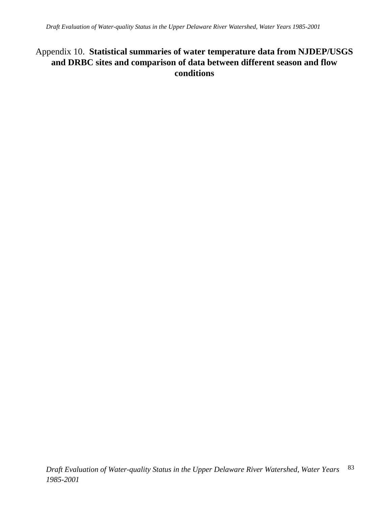## Appendix 10. **Statistical summaries of water temperature data from NJDEP/USGS and DRBC sites and comparison of data between different season and flow conditions**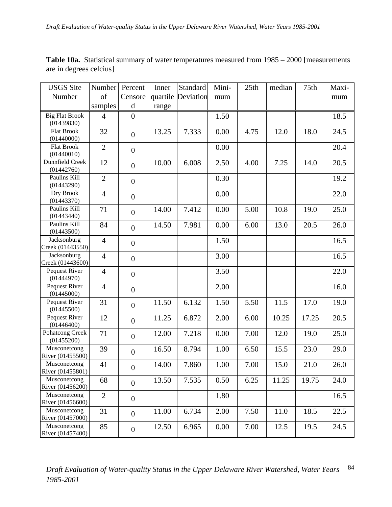|                         | <b>Table 10a.</b> Statistical summary of water temperatures measured from $1985 - 2000$ [measurements |
|-------------------------|-------------------------------------------------------------------------------------------------------|
| are in degrees celcius] |                                                                                                       |

| <b>USGS</b> Site                 | Number         | Percent          | Inner    | Standard  | Mini- | 25th | median | 75th  | Maxi- |
|----------------------------------|----------------|------------------|----------|-----------|-------|------|--------|-------|-------|
| Number                           | of             | Censore          | quartile | Deviation | mum   |      |        |       | mum   |
|                                  | samples        | $\mathbf d$      | range    |           |       |      |        |       |       |
| <b>Big Flat Brook</b>            | $\overline{4}$ | $\boldsymbol{0}$ |          |           | 1.50  |      |        |       | 18.5  |
| (01439830)                       |                |                  |          |           |       |      |        |       |       |
| <b>Flat Brook</b><br>(01440000)  | 32             | $\overline{0}$   | 13.25    | 7.333     | 0.00  | 4.75 | 12.0   | 18.0  | 24.5  |
| <b>Flat Brook</b><br>(01440010)  | $\overline{2}$ | $\boldsymbol{0}$ |          |           | 0.00  |      |        |       | 20.4  |
| Dunnfield Creek<br>(01442760)    | 12             | $\overline{0}$   | 10.00    | 6.008     | 2.50  | 4.00 | 7.25   | 14.0  | 20.5  |
| Paulins Kill<br>(01443290)       | $\overline{2}$ | $\boldsymbol{0}$ |          |           | 0.30  |      |        |       | 19.2  |
| Dry Brook<br>(01443370)          | $\overline{4}$ | $\boldsymbol{0}$ |          |           | 0.00  |      |        |       | 22.0  |
| Paulins Kill<br>(01443440)       | 71             | $\boldsymbol{0}$ | 14.00    | 7.412     | 0.00  | 5.00 | 10.8   | 19.0  | 25.0  |
| Paulins Kill<br>(01443500)       | 84             | $\boldsymbol{0}$ | 14.50    | 7.981     | 0.00  | 6.00 | 13.0   | 20.5  | 26.0  |
| Jacksonburg<br>Creek (01443550)  | $\overline{4}$ | $\boldsymbol{0}$ |          |           | 1.50  |      |        |       | 16.5  |
| Jacksonburg<br>Creek (01443600)  | $\overline{4}$ | $\boldsymbol{0}$ |          |           | 3.00  |      |        |       | 16.5  |
| Pequest River<br>(01444970)      | $\overline{4}$ | $\boldsymbol{0}$ |          |           | 3.50  |      |        |       | 22.0  |
| Pequest River<br>(01445000)      | $\overline{4}$ | $\boldsymbol{0}$ |          |           | 2.00  |      |        |       | 16.0  |
| Pequest River<br>(01445500)      | 31             | $\boldsymbol{0}$ | 11.50    | 6.132     | 1.50  | 5.50 | 11.5   | 17.0  | 19.0  |
| Pequest River<br>(01446400)      | 12             | $\boldsymbol{0}$ | 11.25    | 6.872     | 2.00  | 6.00 | 10.25  | 17.25 | 20.5  |
| Pohatcong Creek<br>(01455200)    | 71             | $\boldsymbol{0}$ | 12.00    | 7.218     | 0.00  | 7.00 | 12.0   | 19.0  | 25.0  |
| Musconetcong<br>River (01455500) | 39             | $\boldsymbol{0}$ | 16.50    | 8.794     | 1.00  | 6.50 | 15.5   | 23.0  | 29.0  |
| Musconetcong<br>River (01455801) | 41             | $\boldsymbol{0}$ | 14.00    | 7.860     | 1.00  | 7.00 | 15.0   | 21.0  | 26.0  |
| Musconetcong<br>River (01456200) | 68             | $\boldsymbol{0}$ | 13.50    | 7.535     | 0.50  | 6.25 | 11.25  | 19.75 | 24.0  |
| Musconetcong<br>River (01456600) | $\overline{2}$ | $\boldsymbol{0}$ |          |           | 1.80  |      |        |       | 16.5  |
| Musconetcong<br>River (01457000) | 31             | $\boldsymbol{0}$ | 11.00    | 6.734     | 2.00  | 7.50 | 11.0   | 18.5  | 22.5  |
| Musconetcong<br>River (01457400) | 85             | $\boldsymbol{0}$ | 12.50    | 6.965     | 0.00  | 7.00 | 12.5   | 19.5  | 24.5  |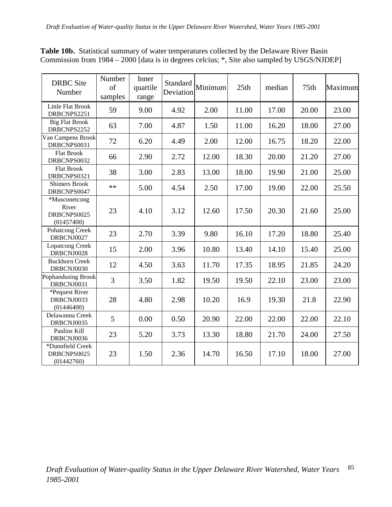| <b>DRBC</b> Site<br>Number                          | Number<br>of<br>samples | Inner<br>quartile<br>range | Standard<br>Deviation | Minimum | 25th  | median | 75th  | Maximum |
|-----------------------------------------------------|-------------------------|----------------------------|-----------------------|---------|-------|--------|-------|---------|
| <b>Little Flat Brook</b><br>DRBCNPS2251             | 59                      | 9.00                       | 4.92                  | 2.00    | 11.00 | 17.00  | 20.00 | 23.00   |
| <b>Big Flat Brook</b><br>DRBCNPS2252                | 63                      | 7.00                       | 4.87                  | 1.50    | 11.00 | 16.20  | 18.00 | 27.00   |
| Van Campens Brook<br>DRBCNPS0031                    | 72                      | 6.20                       | 4.49                  | 2.00    | 12.00 | 16.75  | 18.20 | 22.00   |
| <b>Flat Brook</b><br>DRBCNPS0032                    | 66                      | 2.90                       | 2.72                  | 12.00   | 18.30 | 20.00  | 21.20 | 27.00   |
| <b>Flat Brook</b><br>DRBCNPS0321                    | 38                      | 3.00                       | 2.83                  | 13.00   | 18.00 | 19.90  | 21.00 | 25.00   |
| <b>Shimers Brook</b><br>DRBCNPS0047                 | $**$                    | 5.00                       | 4.54                  | 2.50    | 17.00 | 19.00  | 22.00 | 25.50   |
| *Musconetcong<br>River<br>DRBCNPS0025<br>(01457400) | 23                      | 4.10                       | 3.12                  | 12.60   | 17.50 | 20.30  | 21.60 | 25.00   |
| Pohatcong Creek<br>DRBCNJ0027                       | 23                      | 2.70                       | 3.39                  | 9.80    | 16.10 | 17.20  | 18.80 | 25.40   |
| <b>Lopatcong Creek</b><br>DRBCNJ0028                | 15                      | 2.00                       | 3.96                  | 10.80   | 13.40 | 14.10  | 15.40 | 25.00   |
| <b>Buckhorn Creek</b><br>DRBCNJ0030                 | 12                      | 4.50                       | 3.63                  | 11.70   | 17.35 | 18.95  | 21.85 | 24.20   |
| Pophandusing Brook<br>DRBCNJ0031                    | 3                       | 3.50                       | 1.82                  | 19.50   | 19.50 | 22.10  | 23.00 | 23.00   |
| *Pequest River<br>DRBCNJ0033<br>(01446400)          | 28                      | 4.80                       | 2.98                  | 10.20   | 16.9  | 19.30  | 21.8  | 22.90   |
| Delawanna Creek<br>DRBCNJ0035                       | 5                       | 0.00                       | 0.50                  | 20.90   | 22.00 | 22.00  | 22.00 | 22.10   |
| Paulins Kill<br>DRBCNJ0036                          | 23                      | 5.20                       | 3.73                  | 13.30   | 18.80 | 21.70  | 24.00 | 27.50   |
| *Dunnfield Creek<br>DRBCNPS0025<br>(01442760)       | 23                      | 1.50                       | 2.36                  | 14.70   | 16.50 | 17.10  | 18.00 | 27.00   |

**Table 10b.** Statistical summary of water temperatures collected by the Delaware River Basin Commission from 1984 – 2000 [data is in degrees celcius; \*, Site also sampled by USGS/NJDEP]